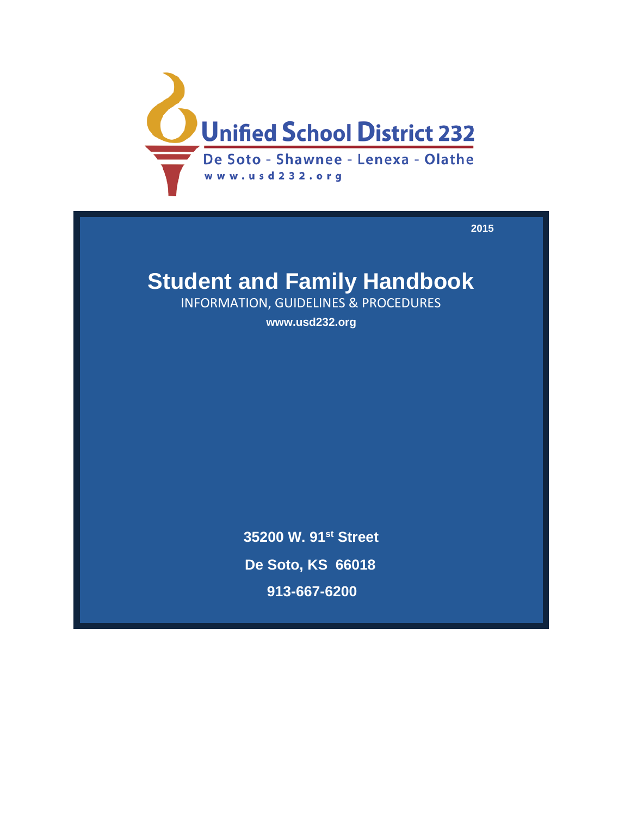

**2015**

# **Student and Family Handbook**

INFORMATION, GUIDELINES & PROCEDURES

**www.usd232.org**

**35200 W. 91st Street De Soto, KS 66018 913-667-6200**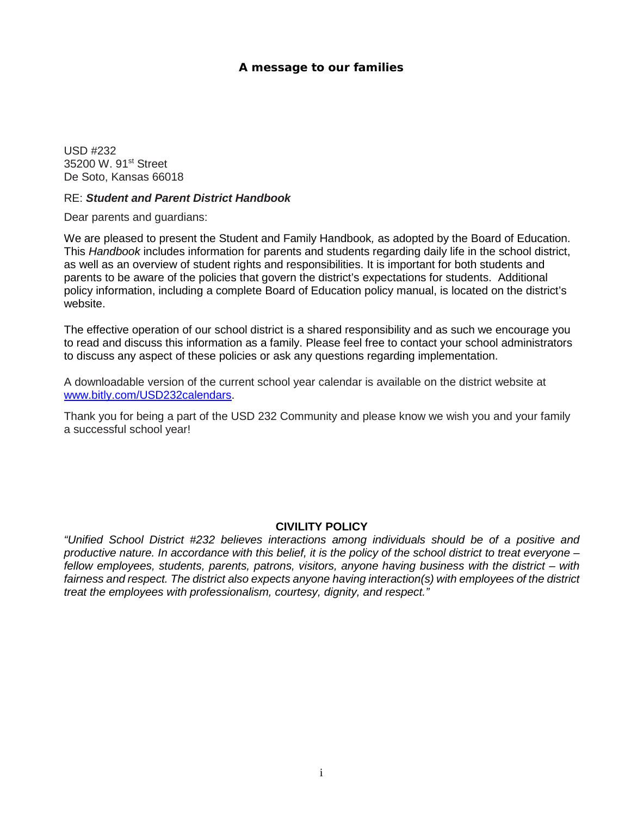## *A message to our families*

USD #232 35200 W. 91<sup>st</sup> Street De Soto, Kansas 66018

#### RE: *Student and Parent District Handbook*

Dear parents and guardians:

We are pleased to present the Student and Family Handbook*,* as adopted by the Board of Education. This *Handbook* includes information for parents and students regarding daily life in the school district, as well as an overview of student rights and responsibilities. It is important for both students and parents to be aware of the policies that govern the district's expectations for students. Additional policy information, including a complete Board of Education policy manual, is located on the district's website.

The effective operation of our school district is a shared responsibility and as such we encourage you to read and discuss this information as a family. Please feel free to contact your school administrators to discuss any aspect of these policies or ask any questions regarding implementation.

A downloadable version of the current school year calendar is available on the district website at [www.bitly.com/USD232calendars.](http://www.bitly.com/USD232calendars)

Thank you for being a part of the USD 232 Community and please know we wish you and your family a successful school year!

## **CIVILITY POLICY**

*"Unified School District #232 believes interactions among individuals should be of a positive and productive nature. In accordance with this belief, it is the policy of the school district to treat everyone – fellow employees, students, parents, patrons, visitors, anyone having business with the district – with fairness and respect. The district also expects anyone having interaction(s) with employees of the district treat the employees with professionalism, courtesy, dignity, and respect."*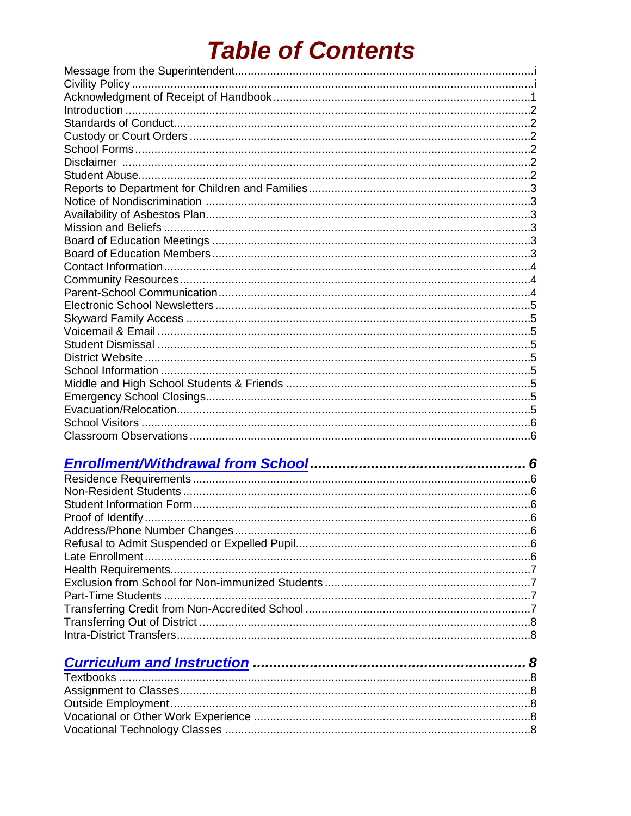# **Table of Contents**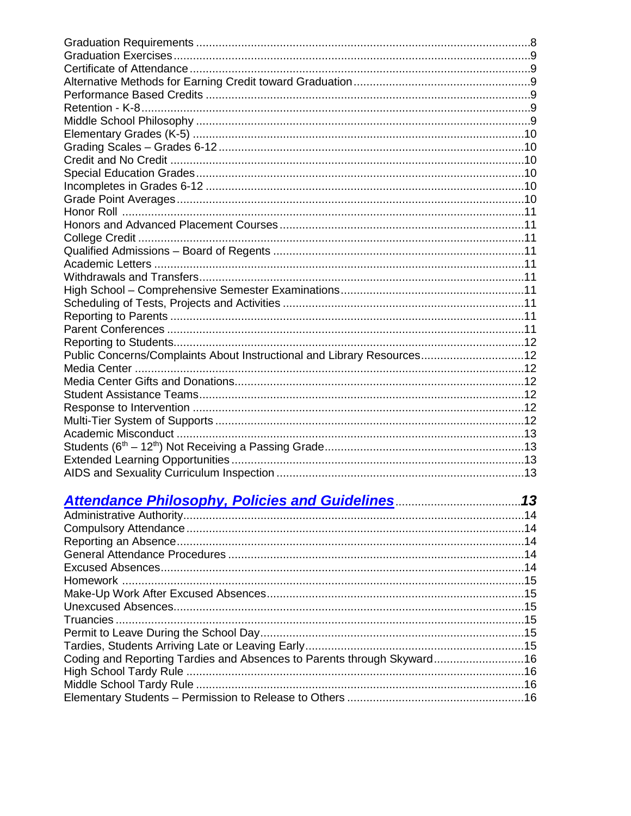| Public Concerns/Complaints About Instructional and Library Resources12 |  |
|------------------------------------------------------------------------|--|
|                                                                        |  |
|                                                                        |  |
|                                                                        |  |
|                                                                        |  |
|                                                                        |  |
|                                                                        |  |
|                                                                        |  |
|                                                                        |  |
|                                                                        |  |
|                                                                        |  |
|                                                                        |  |
|                                                                        |  |
|                                                                        |  |
|                                                                        |  |
|                                                                        |  |
|                                                                        |  |
|                                                                        |  |
|                                                                        |  |
|                                                                        |  |
|                                                                        |  |
|                                                                        |  |
|                                                                        |  |
|                                                                        |  |
| Coding and Reporting Tardies and Absences to Parents through Skyward16 |  |
|                                                                        |  |
|                                                                        |  |
|                                                                        |  |
|                                                                        |  |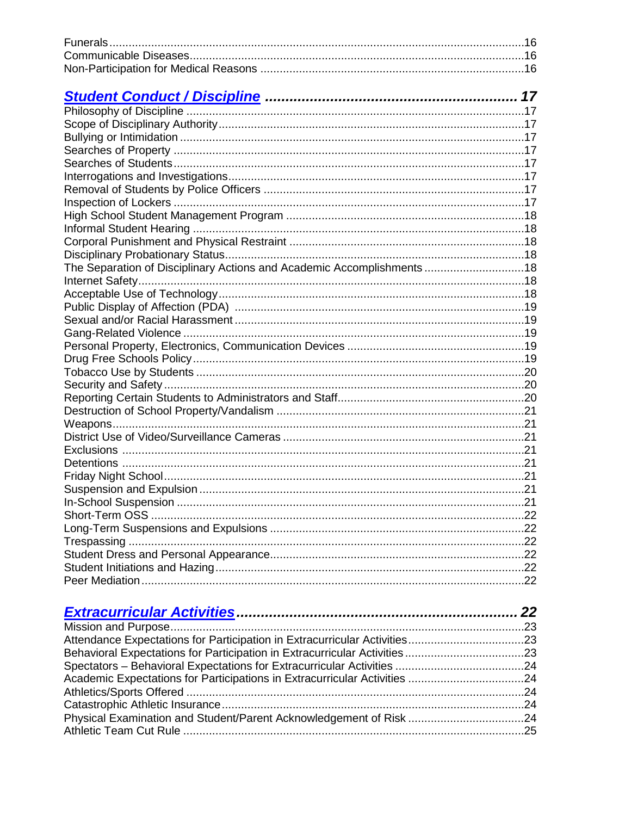| The Separation of Disciplinary Actions and Academic Accomplishments18 |  |
|-----------------------------------------------------------------------|--|
|                                                                       |  |
|                                                                       |  |
|                                                                       |  |
|                                                                       |  |
|                                                                       |  |
|                                                                       |  |
|                                                                       |  |
|                                                                       |  |
|                                                                       |  |
|                                                                       |  |
|                                                                       |  |
|                                                                       |  |
|                                                                       |  |
|                                                                       |  |
|                                                                       |  |
|                                                                       |  |
|                                                                       |  |
|                                                                       |  |
|                                                                       |  |
|                                                                       |  |
|                                                                       |  |
|                                                                       |  |
|                                                                       |  |
|                                                                       |  |
|                                                                       |  |
|                                                                       |  |
|                                                                       |  |
|                                                                       |  |
|                                                                       |  |
|                                                                       |  |
|                                                                       |  |

| Physical Examination and Student/Parent Acknowledgement of Risk 24 |  |
|--------------------------------------------------------------------|--|
|                                                                    |  |
|                                                                    |  |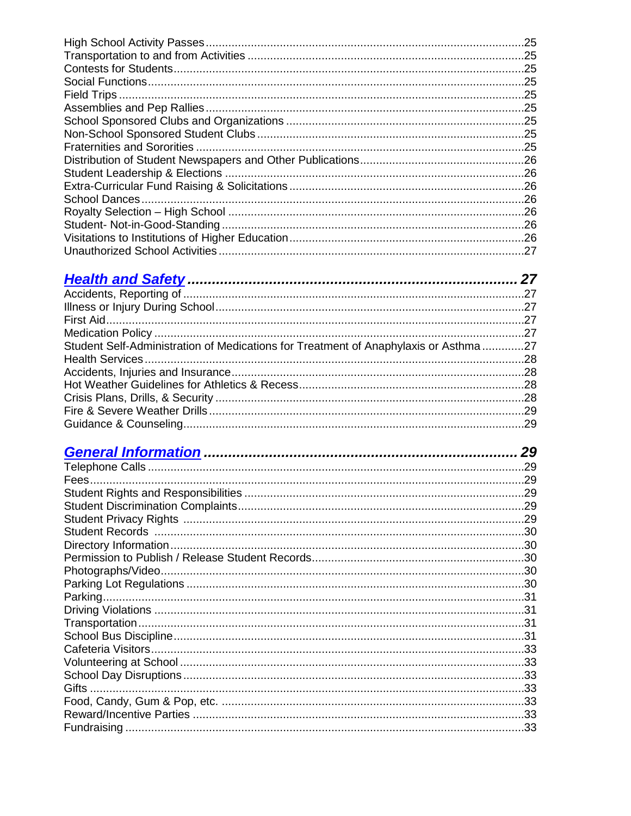| .25  |
|------|
| .25  |
| .25  |
| . 25 |
| .25  |
| .25  |
| .25  |
| .25  |
| .25  |
|      |
|      |
| . 26 |
| .26  |
| .26  |
| 26   |
|      |
| .27  |
|      |

| Student Self-Administration of Medications for Treatment of Anaphylaxis or Asthma27 |  |
|-------------------------------------------------------------------------------------|--|
|                                                                                     |  |
|                                                                                     |  |
|                                                                                     |  |
|                                                                                     |  |
|                                                                                     |  |
|                                                                                     |  |

|              | 29  |
|--------------|-----|
|              |     |
|              |     |
|              |     |
|              | .29 |
|              |     |
|              |     |
|              |     |
|              |     |
|              |     |
|              |     |
|              |     |
|              |     |
|              |     |
|              |     |
|              |     |
|              |     |
|              | .33 |
| <b>Gifts</b> |     |
|              |     |
|              | .33 |
|              | .33 |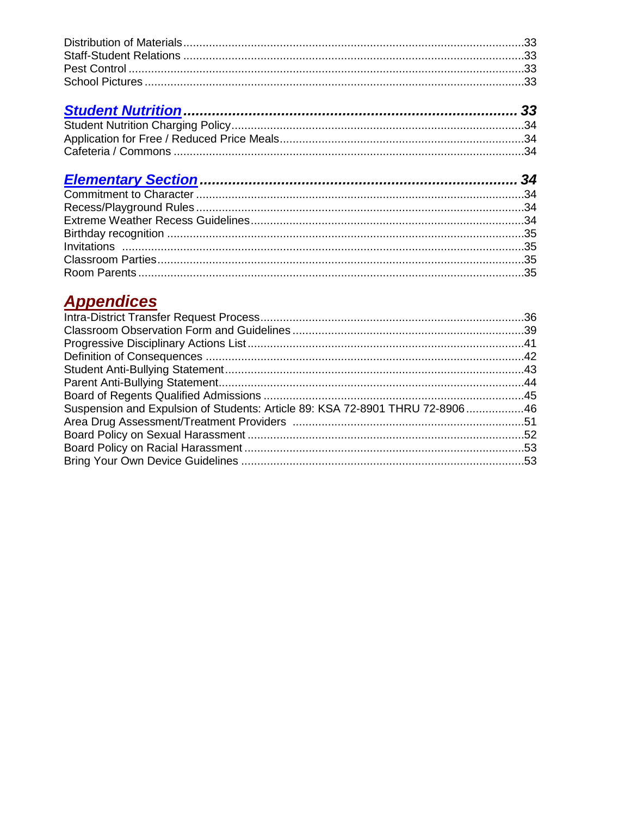## **Appendices**

| Suspension and Expulsion of Students: Article 89: KSA 72-8901 THRU 72-890646 |  |
|------------------------------------------------------------------------------|--|
|                                                                              |  |
|                                                                              |  |
|                                                                              |  |
|                                                                              |  |
|                                                                              |  |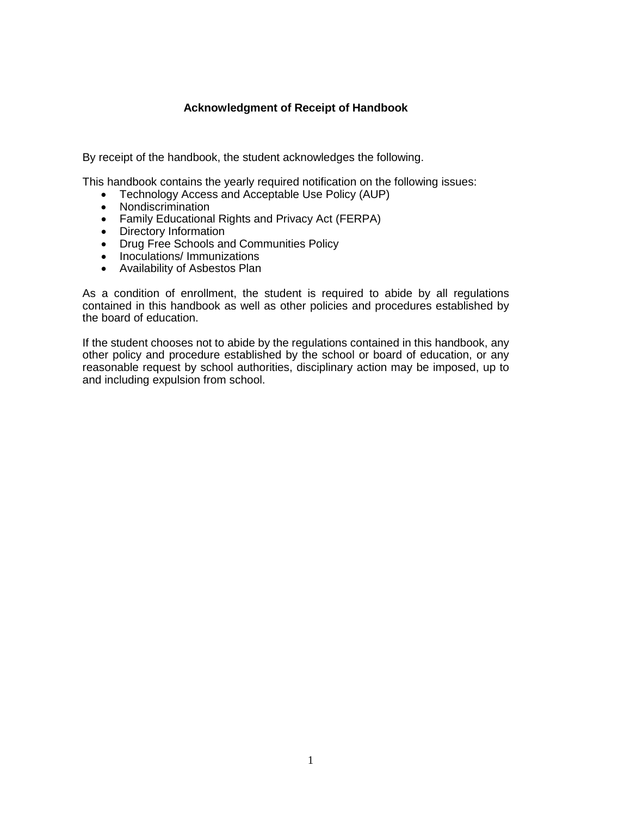## **Acknowledgment of Receipt of Handbook**

By receipt of the handbook, the student acknowledges the following.

This handbook contains the yearly required notification on the following issues:

- Technology Access and Acceptable Use Policy (AUP)
- Nondiscrimination
- Family Educational Rights and Privacy Act (FERPA)
- Directory Information
- Drug Free Schools and Communities Policy
- Inoculations/ Immunizations
- Availability of Asbestos Plan

As a condition of enrollment, the student is required to abide by all regulations contained in this handbook as well as other policies and procedures established by the board of education.

If the student chooses not to abide by the regulations contained in this handbook, any other policy and procedure established by the school or board of education, or any reasonable request by school authorities, disciplinary action may be imposed, up to and including expulsion from school.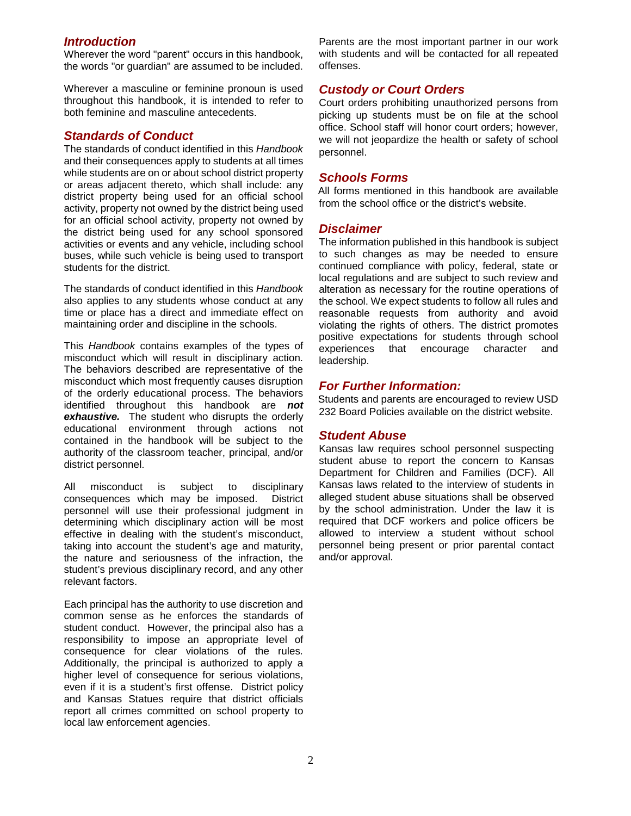#### *Introduction*

Wherever the word "parent" occurs in this handbook, the words "or guardian" are assumed to be included.

Wherever a masculine or feminine pronoun is used throughout this handbook, it is intended to refer to both feminine and masculine antecedents.

#### *Standards of Conduct*

The standards of conduct identified in this *Handbook* and their consequences apply to students at all times while students are on or about school district property or areas adjacent thereto, which shall include: any district property being used for an official school activity, property not owned by the district being used for an official school activity, property not owned by the district being used for any school sponsored activities or events and any vehicle, including school buses, while such vehicle is being used to transport students for the district.

The standards of conduct identified in this *Handbook* also applies to any students whose conduct at any time or place has a direct and immediate effect on maintaining order and discipline in the schools.

This *Handbook* contains examples of the types of misconduct which will result in disciplinary action. The behaviors described are representative of the misconduct which most frequently causes disruption of the orderly educational process. The behaviors identified throughout this handbook are *not exhaustive.* The student who disrupts the orderly educational environment through actions not contained in the handbook will be subject to the authority of the classroom teacher, principal, and/or district personnel.

All misconduct is subject to disciplinary consequences which may be imposed. District personnel will use their professional judgment in determining which disciplinary action will be most effective in dealing with the student's misconduct, taking into account the student's age and maturity, the nature and seriousness of the infraction, the student's previous disciplinary record, and any other relevant factors.

Each principal has the authority to use discretion and common sense as he enforces the standards of student conduct.However, the principal also has a responsibility to impose an appropriate level of consequence for clear violations of the rules*.*  Additionally, the principal is authorized to apply a higher level of consequence for serious violations, even if it is a student's first offense. District policy and Kansas Statues require that district officials report all crimes committed on school property to local law enforcement agencies.

Parents are the most important partner in our work with students and will be contacted for all repeated offenses.

## *Custody or Court Orders*

Court orders prohibiting unauthorized persons from picking up students must be on file at the school office. School staff will honor court orders; however, we will not jeopardize the health or safety of school personnel.

#### *Schools Forms*

All forms mentioned in this handbook are available from the school office or the district's website.

#### *Disclaimer*

The information published in this handbook is subject to such changes as may be needed to ensure continued compliance with policy, federal, state or local regulations and are subject to such review and alteration as necessary for the routine operations of the school. We expect students to follow all rules and reasonable requests from authority and avoid violating the rights of others. The district promotes positive expectations for students through school experiences that encourage character and leadership.

#### *For Further Information:*

Students and parents are encouraged to review USD 232 Board Policies available on the district website.

#### *Student Abuse*

Kansas law requires school personnel suspecting student abuse to report the concern to Kansas Department for Children and Families (DCF). All Kansas laws related to the interview of students in alleged student abuse situations shall be observed by the school administration. Under the law it is required that DCF workers and police officers be allowed to interview a student without school personnel being present or prior parental contact and/or approval.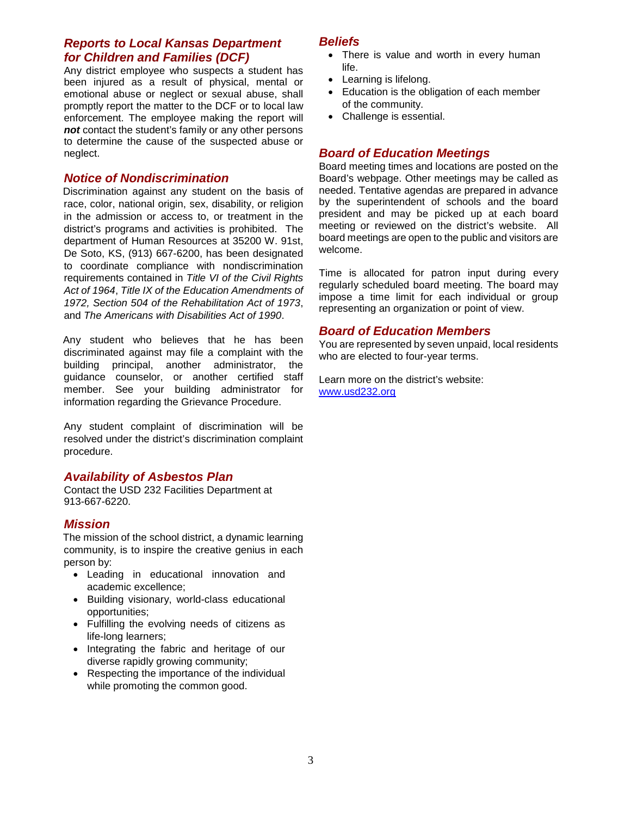## *Reports to Local Kansas Department for Children and Families (DCF)*

Any district employee who suspects a student has been injured as a result of physical, mental or emotional abuse or neglect or sexual abuse, shall promptly report the matter to the DCF or to local law enforcement. The employee making the report will *not* contact the student's family or any other persons to determine the cause of the suspected abuse or neglect.

## *Notice of Nondiscrimination*

Discrimination against any student on the basis of race, color, national origin, sex, disability, or religion in the admission or access to, or treatment in the district's programs and activities is prohibited. The department of Human Resources at 35200 W. 91st, De Soto, KS, (913) 667-6200, has been designated to coordinate compliance with nondiscrimination requirements contained in *Title VI of the Civil Rights Act of 1964*, *Title IX of the Education Amendments of 1972, Section 504 of the Rehabilitation Act of 1973*, and *The Americans with Disabilities Act of 1990*.

Any student who believes that he has been discriminated against may file a complaint with the building principal, another administrator, the guidance counselor, or another certified staff member. See your building administrator for information regarding the Grievance Procedure.

Any student complaint of discrimination will be resolved under the district's discrimination complaint procedure.

#### *Availability of Asbestos Plan*

Contact the USD 232 Facilities Department at 913-667-6220.

#### *Mission*

The mission of the school district, a dynamic learning community, is to inspire the creative genius in each person by:

- Leading in educational innovation and academic excellence;
- Building visionary, world-class educational opportunities;
- Fulfilling the evolving needs of citizens as life-long learners;
- Integrating the fabric and heritage of our diverse rapidly growing community;
- Respecting the importance of the individual while promoting the common good.

#### *Beliefs*

- There is value and worth in every human life.
- Learning is lifelong.
- Education is the obligation of each member of the community.
- Challenge is essential.

## *Board of Education Meetings*

Board meeting times and locations are posted on the Board's webpage. Other meetings may be called as needed. Tentative agendas are prepared in advance by the superintendent of schools and the board president and may be picked up at each board meeting or reviewed on the district's website. All board meetings are open to the public and visitors are welcome.

Time is allocated for patron input during every regularly scheduled board meeting. The board may impose a time limit for each individual or group representing an organization or point of view.

#### *Board of Education Members*

You are represented by seven unpaid, local residents who are elected to four-year terms.

Learn more on the district's website: [www.usd232.org](http://www.usd232.org/)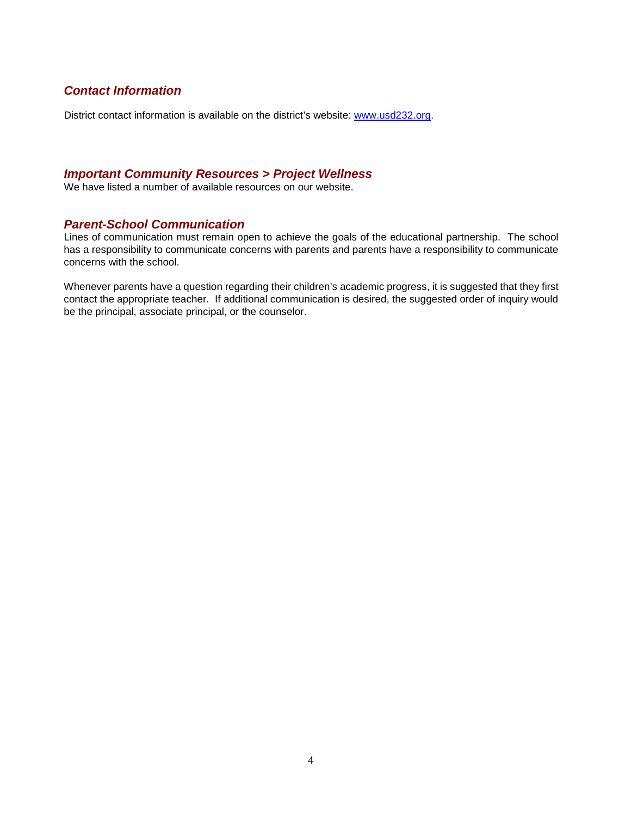## *Contact Information*

District contact information is available on the district's website: [www.usd232.org.](http://www.usd232.org/)

## *Important Community Resources > Project Wellness*

We have listed a number of available resources on our website.

#### *Parent-School Communication*

Lines of communication must remain open to achieve the goals of the educational partnership. The school has a responsibility to communicate concerns with parents and parents have a responsibility to communicate concerns with the school.

Whenever parents have a question regarding their children's academic progress, it is suggested that they first contact the appropriate teacher. If additional communication is desired, the suggested order of inquiry would be the principal, associate principal, or the counselor.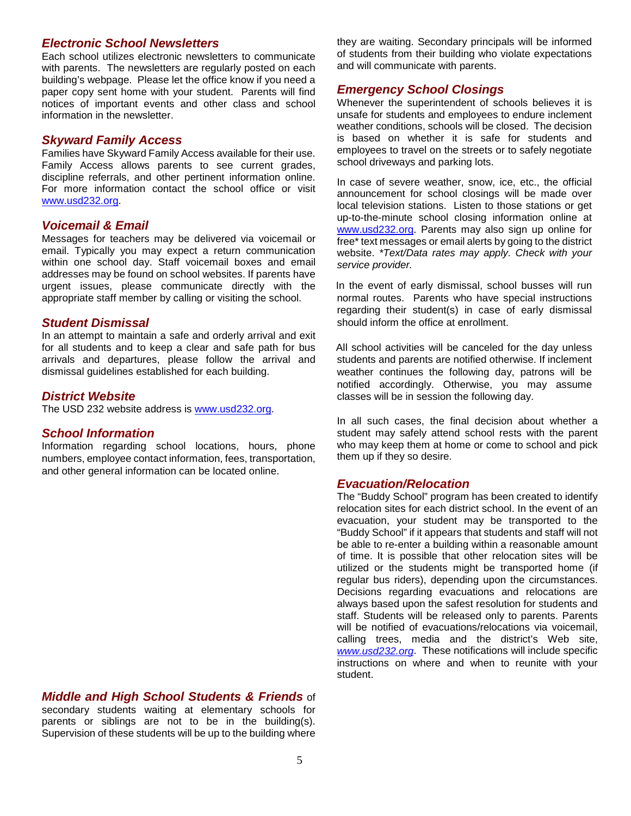#### *Electronic School Newsletters*

Each school utilizes electronic newsletters to communicate with parents. The newsletters are regularly posted on each building's webpage. Please let the office know if you need a paper copy sent home with your student. Parents will find notices of important events and other class and school information in the newsletter.

#### *Skyward Family Access*

Families have Skyward Family Access available for their use. Family Access allows parents to see current grades, discipline referrals, and other pertinent information online. For more information contact the school office or visit [www.usd232.org.](http://www.usd232.org/familyaccess)

#### *Voicemail & Email*

Messages for teachers may be delivered via voicemail or email. Typically you may expect a return communication within one school day. Staff voicemail boxes and email addresses may be found on school websites. If parents have urgent issues, please communicate directly with the appropriate staff member by calling or visiting the school.

#### *Student Dismissal*

In an attempt to maintain a safe and orderly arrival and exit for all students and to keep a clear and safe path for bus arrivals and departures, please follow the arrival and dismissal guidelines established for each building.

#### *District Website*

The USD 232 website address is [www.usd232.org.](http://www.usd232.org/)

#### *School Information*

Information regarding school locations, hours, phone numbers, employee contact information, fees, transportation, and other general information can be located online.

*Middle and High School Students & Friends* of

secondary students waiting at elementary schools for parents or siblings are not to be in the building(s). Supervision of these students will be up to the building where they are waiting. Secondary principals will be informed of students from their building who violate expectations and will communicate with parents.

#### *Emergency School Closings*

Whenever the superintendent of schools believes it is unsafe for students and employees to endure inclement weather conditions, schools will be closed. The decision is based on whether it is safe for students and employees to travel on the streets or to safely negotiate school driveways and parking lots.

In case of severe weather, snow, ice, etc., the official announcement for school closings will be made over local television stations. Listen to those stations or get up-to-the-minute school closing information online at [www.usd232.org.](http://www.usd232.org/) Parents may also sign up online for free\* text messages or email alerts by going to the district website. *\*Text/Data rates may apply. Check with your service provider.*

In the event of early dismissal, school busses will run normal routes. Parents who have special instructions regarding their student(s) in case of early dismissal should inform the office at enrollment.

All school activities will be canceled for the day unless students and parents are notified otherwise. If inclement weather continues the following day, patrons will be notified accordingly. Otherwise, you may assume classes will be in session the following day.

In all such cases, the final decision about whether a student may safely attend school rests with the parent who may keep them at home or come to school and pick them up if they so desire.

#### *Evacuation/Relocation*

<span id="page-11-0"></span>The "Buddy School" program has been created to identify relocation sites for each district school. In the event of an evacuation, your student may be transported to the "Buddy School" if it appears that students and staff will not be able to re-enter a building within a reasonable amount of time. It is possible that other relocation sites will be utilized or the students might be transported home (if regular bus riders), depending upon the circumstances. Decisions regarding evacuations and relocations are always based upon the safest resolution for students and staff. Students will be released only to parents. Parents will be notified of evacuations/relocations via voicemail, calling trees, media and the district's Web site, *[www.usd232.org](http://www.usd232.org/)*. These notifications will include specific instructions on where and when to reunite with your student.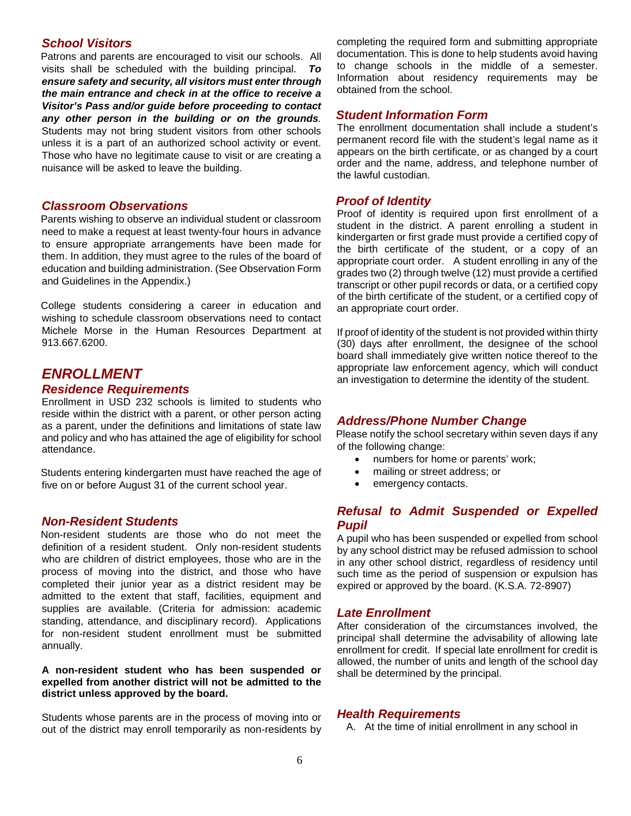## *School Visitors*

Patrons and parents are encouraged to visit our schools. All visits shall be scheduled with the building principal. *To ensure safety and security, all visitors must enter through the main entrance and check in at the office to receive a Visitor's Pass and/or guide before proceeding to contact any other person in the building or on the grounds.* Students may not bring student visitors from other schools unless it is a part of an authorized school activity or event. Those who have no legitimate cause to visit or are creating a nuisance will be asked to leave the building.

#### *Classroom Observations*

Parents wishing to observe an individual student or classroom need to make a request at least twenty-four hours in advance to ensure appropriate arrangements have been made for them. In addition, they must agree to the rules of the board of education and building administration. (See Observation Form and Guidelines in the Appendix.)

College students considering a career in education and wishing to schedule classroom observations need to contact Michele Morse in the Human Resources Department at 913.667.6200.

## <span id="page-12-0"></span>*ENROLLMENT*

### *Residence Requirements*

Enrollment in USD 232 schools is limited to students who reside within the district with a parent, or other person acting as a parent, under the definitions and limitations of state law and policy and who has attained the age of eligibility for school attendance.

Students entering kindergarten must have reached the age of five on or before August 31 of the current school year.

#### *Non-Resident Students*

Non-resident students are those who do not meet the definition of a resident student. Only non-resident students who are children of district employees, those who are in the process of moving into the district, and those who have completed their junior year as a district resident may be admitted to the extent that staff, facilities, equipment and supplies are available. (Criteria for admission: academic standing, attendance, and disciplinary record). Applications for non-resident student enrollment must be submitted annually.

#### **A non-resident student who has been suspended or expelled from another district will not be admitted to the district unless approved by the board.**

Students whose parents are in the process of moving into or out of the district may enroll temporarily as non-residents by completing the required form and submitting appropriate documentation. This is done to help students avoid having to change schools in the middle of a semester. Information about residency requirements may be obtained from the school.

#### *Student Information Form*

The enrollment documentation shall include a student's permanent record file with the student's legal name as it appears on the birth certificate, or as changed by a court order and the name, address, and telephone number of the lawful custodian.

#### *Proof of Identity*

Proof of identity is required upon first enrollment of a student in the district. A parent enrolling a student in kindergarten or first grade must provide a certified copy of the birth certificate of the student, or a copy of an appropriate court order. A student enrolling in any of the grades two (2) through twelve (12) must provide a certified transcript or other pupil records or data, or a certified copy of the birth certificate of the student, or a certified copy of an appropriate court order.

If proof of identity of the student is not provided within thirty (30) days after enrollment, the designee of the school board shall immediately give written notice thereof to the appropriate law enforcement agency, which will conduct an investigation to determine the identity of the student.

## *Address/Phone Number Change*

Please notify the school secretary within seven days if any of the following change:

- numbers for home or parents' work;
- mailing or street address; or
- emergency contacts.

#### *Refusal to Admit Suspended or Expelled Pupil*

A pupil who has been suspended or expelled from school by any school district may be refused admission to school in any other school district, regardless of residency until such time as the period of suspension or expulsion has expired or approved by the board. (K.S.A. 72-8907)

#### *Late Enrollment*

After consideration of the circumstances involved, the principal shall determine the advisability of allowing late enrollment for credit. If special late enrollment for credit is allowed, the number of units and length of the school day shall be determined by the principal.

#### *Health Requirements*

A. At the time of initial enrollment in any school in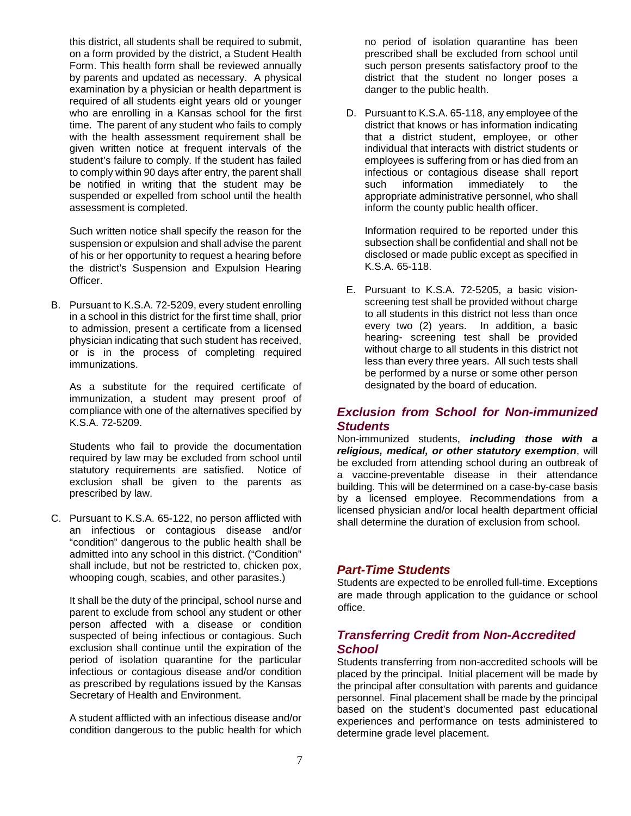this district, all students shall be required to submit, on a form provided by the district, a Student Health Form. This health form shall be reviewed annually by parents and updated as necessary. A physical examination by a physician or health department is required of all students eight years old or younger who are enrolling in a Kansas school for the first time. The parent of any student who fails to comply with the health assessment requirement shall be given written notice at frequent intervals of the student's failure to comply. If the student has failed to comply within 90 days after entry, the parent shall be notified in writing that the student may be suspended or expelled from school until the health assessment is completed.

Such written notice shall specify the reason for the suspension or expulsion and shall advise the parent of his or her opportunity to request a hearing before the district's Suspension and Expulsion Hearing Officer.

B. Pursuant to K.S.A. 72-5209, every student enrolling in a school in this district for the first time shall, prior to admission, present a certificate from a licensed physician indicating that such student has received, or is in the process of completing required immunizations.

As a substitute for the required certificate of immunization, a student may present proof of compliance with one of the alternatives specified by K.S.A. 72-5209.

Students who fail to provide the documentation required by law may be excluded from school until statutory requirements are satisfied. Notice of exclusion shall be given to the parents as prescribed by law.

C. Pursuant to K.S.A. 65-122, no person afflicted with an infectious or contagious disease and/or "condition" dangerous to the public health shall be admitted into any school in this district. ("Condition" shall include, but not be restricted to, chicken pox, whooping cough, scabies, and other parasites.)

It shall be the duty of the principal, school nurse and parent to exclude from school any student or other person affected with a disease or condition suspected of being infectious or contagious. Such exclusion shall continue until the expiration of the period of isolation quarantine for the particular infectious or contagious disease and/or condition as prescribed by regulations issued by the Kansas Secretary of Health and Environment.

A student afflicted with an infectious disease and/or condition dangerous to the public health for which

no period of isolation quarantine has been prescribed shall be excluded from school until such person presents satisfactory proof to the district that the student no longer poses a danger to the public health.

D. Pursuant to K.S.A. 65-118, any employee of the district that knows or has information indicating that a district student, employee, or other individual that interacts with district students or employees is suffering from or has died from an infectious or contagious disease shall report such information immediately to the appropriate administrative personnel, who shall inform the county public health officer.

Information required to be reported under this subsection shall be confidential and shall not be disclosed or made public except as specified in K.S.A. 65-118.

E. Pursuant to K.S.A. 72-5205, a basic visionscreening test shall be provided without charge to all students in this district not less than once every two (2) years. In addition, a basic hearing- screening test shall be provided without charge to all students in this district not less than every three years. All such tests shall be performed by a nurse or some other person designated by the board of education.

## *Exclusion from School for Non-immunized Students*

Non-immunized students, *including those with a religious, medical, or other statutory exemption*, will be excluded from attending school during an outbreak of a vaccine-preventable disease in their attendance building. This will be determined on a case-by-case basis by a licensed employee. Recommendations from a licensed physician and/or local health department official shall determine the duration of exclusion from school.

## *Part-Time Students*

Students are expected to be enrolled full-time. Exceptions are made through application to the guidance or school office.

## *Transferring Credit from Non-Accredited School*

Students transferring from non-accredited schools will be placed by the principal. Initial placement will be made by the principal after consultation with parents and guidance personnel. Final placement shall be made by the principal based on the student's documented past educational experiences and performance on tests administered to determine grade level placement.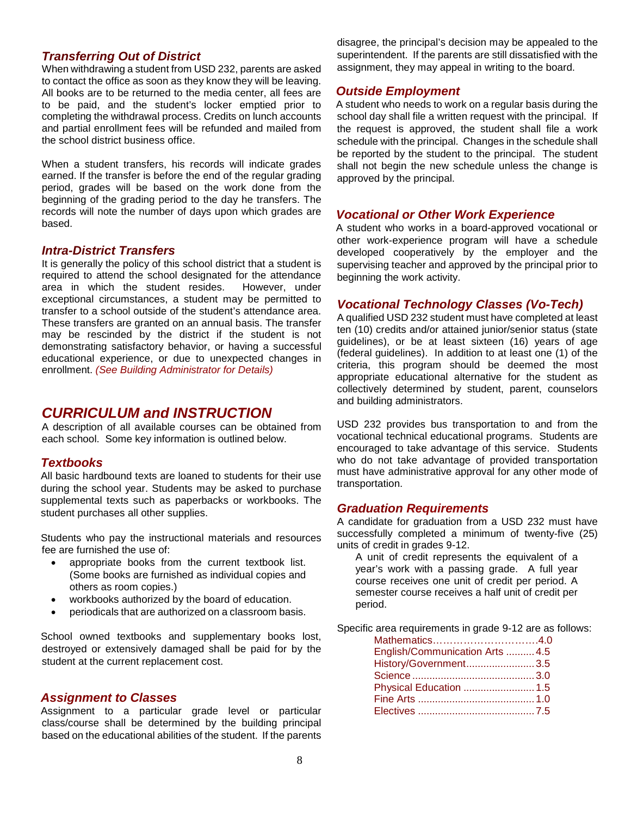#### *Transferring Out of District*

When withdrawing a student from USD 232, parents are asked to contact the office as soon as they know they will be leaving. All books are to be returned to the media center, all fees are to be paid, and the student's locker emptied prior to completing the withdrawal process. Credits on lunch accounts and partial enrollment fees will be refunded and mailed from the school district business office.

When a student transfers, his records will indicate grades earned. If the transfer is before the end of the regular grading period, grades will be based on the work done from the beginning of the grading period to the day he transfers. The records will note the number of days upon which grades are based.

#### *Intra-District Transfers*

It is generally the policy of this school district that a student is required to attend the school designated for the attendance<br>area in which the student resides. However, under area in which the student resides. exceptional circumstances, a student may be permitted to transfer to a school outside of the student's attendance area. These transfers are granted on an annual basis. The transfer may be rescinded by the district if the student is not demonstrating satisfactory behavior, or having a successful educational experience, or due to unexpected changes in enrollment. *(See Building Administrator for Details)* 

## <span id="page-14-0"></span>*CURRICULUM and INSTRUCTION*

A description of all available courses can be obtained from each school. Some key information is outlined below.

#### *Textbooks*

All basic hardbound texts are loaned to students for their use during the school year. Students may be asked to purchase supplemental texts such as paperbacks or workbooks. The student purchases all other supplies.

Students who pay the instructional materials and resources fee are furnished the use of:

- appropriate books from the current textbook list. (Some books are furnished as individual copies and others as room copies.)
- workbooks authorized by the board of education.
- periodicals that are authorized on a classroom basis.

School owned textbooks and supplementary books lost, destroyed or extensively damaged shall be paid for by the student at the current replacement cost.

#### *Assignment to Classes*

Assignment to a particular grade level or particular class/course shall be determined by the building principal based on the educational abilities of the student. If the parents

disagree, the principal's decision may be appealed to the superintendent. If the parents are still dissatisfied with the assignment, they may appeal in writing to the board.

#### *Outside Employment*

A student who needs to work on a regular basis during the school day shall file a written request with the principal. If the request is approved, the student shall file a work schedule with the principal. Changes in the schedule shall be reported by the student to the principal. The student shall not begin the new schedule unless the change is approved by the principal.

#### *Vocational or Other Work Experience*

A student who works in a board-approved vocational or other work-experience program will have a schedule developed cooperatively by the employer and the supervising teacher and approved by the principal prior to beginning the work activity.

#### *Vocational Technology Classes (Vo-Tech)*

A qualified USD 232 student must have completed at least ten (10) credits and/or attained junior/senior status (state guidelines), or be at least sixteen (16) years of age (federal guidelines). In addition to at least one (1) of the criteria, this program should be deemed the most appropriate educational alternative for the student as collectively determined by student, parent, counselors and building administrators.

USD 232 provides bus transportation to and from the vocational technical educational programs. Students are encouraged to take advantage of this service. Students who do not take advantage of provided transportation must have administrative approval for any other mode of transportation.

#### *Graduation Requirements*

A candidate for graduation from a USD 232 must have successfully completed a minimum of twenty-five (25) units of credit in grades 9-12.

A unit of credit represents the equivalent of a year's work with a passing grade. A full year course receives one unit of credit per period. A semester course receives a half unit of credit per period.

Specific area requirements in grade 9-12 are as follows:

| Mathematics4.0                  |  |
|---------------------------------|--|
| English/Communication Arts  4.5 |  |
| History/Government 3.5          |  |
|                                 |  |
| Physical Education  1.5         |  |
|                                 |  |
|                                 |  |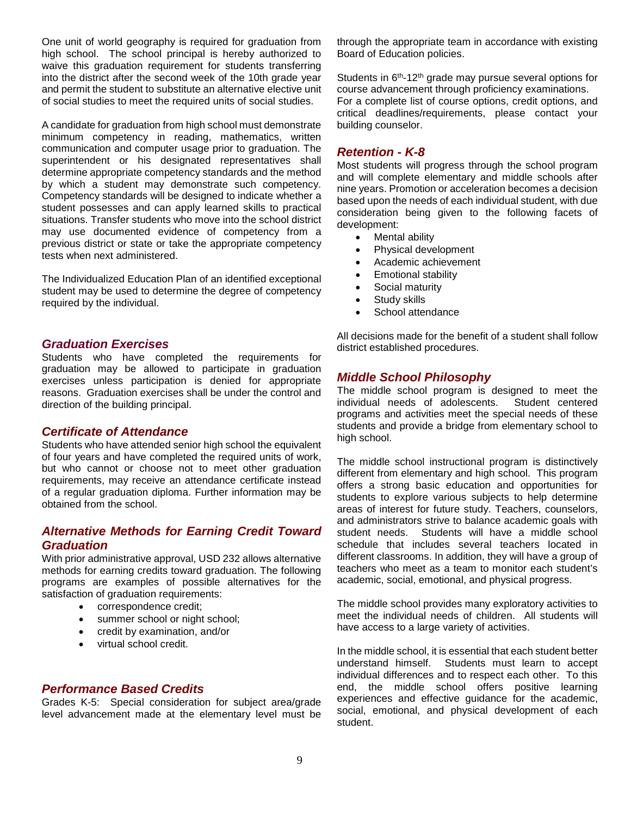One unit of world geography is required for graduation from high school. The school principal is hereby authorized to waive this graduation requirement for students transferring into the district after the second week of the 10th grade year and permit the student to substitute an alternative elective unit of social studies to meet the required units of social studies.

A candidate for graduation from high school must demonstrate minimum competency in reading, mathematics, written communication and computer usage prior to graduation. The superintendent or his designated representatives shall determine appropriate competency standards and the method by which a student may demonstrate such competency. Competency standards will be designed to indicate whether a student possesses and can apply learned skills to practical situations. Transfer students who move into the school district may use documented evidence of competency from a previous district or state or take the appropriate competency tests when next administered.

The Individualized Education Plan of an identified exceptional student may be used to determine the degree of competency required by the individual.

#### <span id="page-15-0"></span>*Graduation Exercises*

Students who have completed the requirements for graduation may be allowed to participate in graduation exercises unless participation is denied for appropriate reasons. Graduation exercises shall be under the control and direction of the building principal.

#### *Certificate of Attendance*

Students who have attended senior high school the equivalent of four years and have completed the required units of work, but who cannot or choose not to meet other graduation requirements, may receive an attendance certificate instead of a regular graduation diploma. Further information may be obtained from the school.

## *Alternative Methods for Earning Credit Toward Graduation*

With prior administrative approval, USD 232 allows alternative methods for earning credits toward graduation. The following programs are examples of possible alternatives for the satisfaction of graduation requirements:

- correspondence credit;
- summer school or night school;
- credit by examination, and/or
- virtual school credit.

#### *Performance Based Credits*

Grades K-5: Special consideration for subject area/grade level advancement made at the elementary level must be through the appropriate team in accordance with existing Board of Education policies.

Students in 6<sup>th</sup>-12<sup>th</sup> grade may pursue several options for course advancement through proficiency examinations.

For a complete list of course options, credit options, and critical deadlines/requirements, please contact your building counselor.

#### *Retention - K-8*

Most students will progress through the school program and will complete elementary and middle schools after nine years. Promotion or acceleration becomes a decision based upon the needs of each individual student, with due consideration being given to the following facets of development:

- Mental ability
- Physical development
- Academic achievement
- Emotional stability
- Social maturity
- Study skills
- School attendance

All decisions made for the benefit of a student shall follow district established procedures.

#### *Middle School Philosophy*

The middle school program is designed to meet the individual needs of adolescents. Student centered programs and activities meet the special needs of these students and provide a bridge from elementary school to high school.

The middle school instructional program is distinctively different from elementary and high school. This program offers a strong basic education and opportunities for students to explore various subjects to help determine areas of interest for future study. Teachers, counselors, and administrators strive to balance academic goals with student needs. Students will have a middle school schedule that includes several teachers located in different classrooms. In addition, they will have a group of teachers who meet as a team to monitor each student's academic, social, emotional, and physical progress.

The middle school provides many exploratory activities to meet the individual needs of children. All students will have access to a large variety of activities.

In the middle school, it is essential that each student better understand himself. Students must learn to accept individual differences and to respect each other. To this end, the middle school offers positive learning experiences and effective guidance for the academic, social, emotional, and physical development of each student.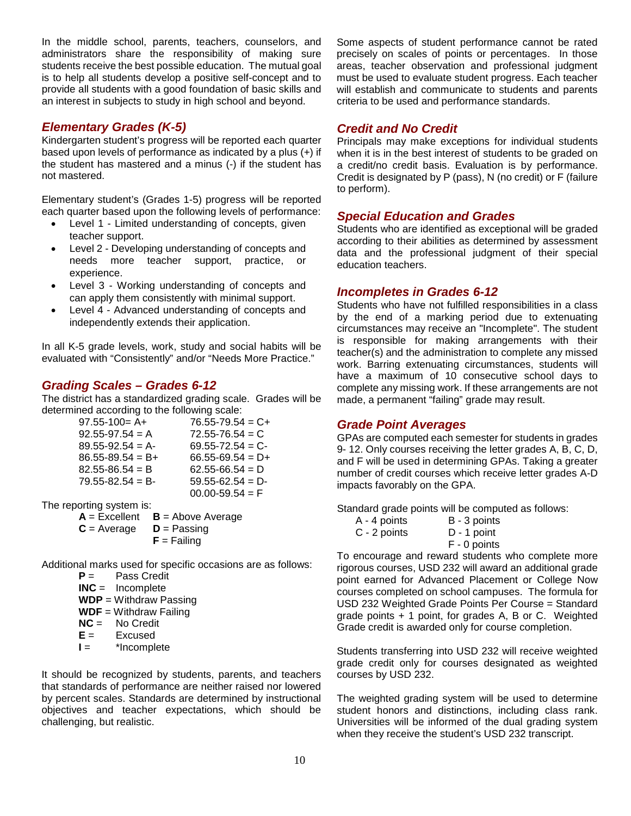In the middle school, parents, teachers, counselors, and administrators share the responsibility of making sure students receive the best possible education. The mutual goal is to help all students develop a positive self-concept and to provide all students with a good foundation of basic skills and an interest in subjects to study in high school and beyond.

## *Elementary Grades (K-5)*

Kindergarten student's progress will be reported each quarter based upon levels of performance as indicated by a plus (+) if the student has mastered and a minus (-) if the student has not mastered.

Elementary student's (Grades 1-5) progress will be reported each quarter based upon the following levels of performance:

- Level 1 Limited understanding of concepts, given teacher support.
- Level 2 Developing understanding of concepts and needs more teacher support, practice, or experience.
- Level 3 Working understanding of concepts and can apply them consistently with minimal support.
- Level 4 Advanced understanding of concepts and independently extends their application.

In all K-5 grade levels, work, study and social habits will be evaluated with "Consistently" and/or "Needs More Practice."

## *Grading Scales – Grades 6-12*

The district has a standardized grading scale. Grades will be determined according to the following scale:

> 97.55-100= A+  $76.55-79.54 = C+$ <br>92.55-97.54 = A  $72.55-76.54 = C$  $92.55-97.54 = A$  $89.55-92.54 = A-$  69.55-72.54 = C-<br> $86.55-89.54 = B+$  66.55-69.54 = D+  $66.55-69.54 = D+$ <br> $62.55-66.54 = D$  $82.55 - 86.54 = B$  $79.55 - 82.54 = B - 59.55 - 62.54 = D 00.00 - 59.54 = F$

The reporting system is:

 $A = Excellent$  **B** = Above Average<br>**C** = Average **D** = Passing

- **C** = Average
	- $$

Additional marks used for specific occasions are as follows:

- **P** = Pass Credit **INC** = Incomplete
- **WDP** = Withdraw Passing
- **WDF** = Withdraw Failing
- **NC** = No Credit<br>**E** = Excused
- **Excused**
- **I** = \*Incomplete

It should be recognized by students, parents, and teachers that standards of performance are neither raised nor lowered by percent scales. Standards are determined by instructional objectives and teacher expectations, which should be challenging, but realistic.

Some aspects of student performance cannot be rated precisely on scales of points or percentages. In those areas, teacher observation and professional judgment must be used to evaluate student progress. Each teacher will establish and communicate to students and parents criteria to be used and performance standards.

## *Credit and No Credit*

Principals may make exceptions for individual students when it is in the best interest of students to be graded on a credit/no credit basis. Evaluation is by performance. Credit is designated by P (pass), N (no credit) or F (failure to perform).

## *Special Education and Grades*

Students who are identified as exceptional will be graded according to their abilities as determined by assessment data and the professional judgment of their special education teachers.

## *Incompletes in Grades 6-12*

Students who have not fulfilled responsibilities in a class by the end of a marking period due to extenuating circumstances may receive an "Incomplete". The student is responsible for making arrangements with their teacher(s) and the administration to complete any missed work. Barring extenuating circumstances, students will have a maximum of 10 consecutive school days to complete any missing work. If these arrangements are not made, a permanent "failing" grade may result.

## *Grade Point Averages*

GPAs are computed each semester for students in grades 9- 12. Only courses receiving the letter grades A, B, C, D, and F will be used in determining GPAs. Taking a greater number of credit courses which receive letter grades A-D impacts favorably on the GPA.

Standard grade points will be computed as follows:<br> $A - 4$  points  $B - 3$  points

| A - 4 points | B - 3 points  |
|--------------|---------------|
| C - 2 points | $D - 1$ point |
|              | F - 0 points  |

To encourage and reward students who complete more rigorous courses, USD 232 will award an additional grade point earned for Advanced Placement or College Now courses completed on school campuses. The formula for USD 232 Weighted Grade Points Per Course = Standard grade points + 1 point, for grades A, B or C. Weighted Grade credit is awarded only for course completion.

Students transferring into USD 232 will receive weighted grade credit only for courses designated as weighted courses by USD 232.

The weighted grading system will be used to determine student honors and distinctions, including class rank. Universities will be informed of the dual grading system when they receive the student's USD 232 transcript.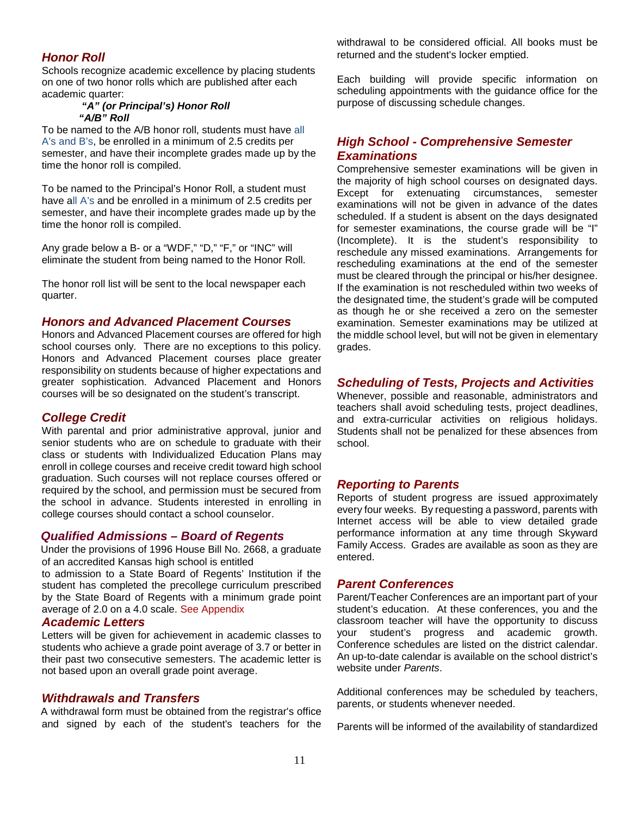## *Honor Roll*

Schools recognize academic excellence by placing students on one of two honor rolls which are published after each academic quarter:

#### *"A" (or Principal's) Honor Roll "A/B" Roll*

To be named to the A/B honor roll, students must have all A's and B's, be enrolled in a minimum of 2.5 credits per semester, and have their incomplete grades made up by the time the honor roll is compiled.

To be named to the Principal's Honor Roll, a student must have all A's and be enrolled in a minimum of 2.5 credits per semester, and have their incomplete grades made up by the time the honor roll is compiled.

Any grade below a B- or a "WDF," "D," "F," or "INC" will eliminate the student from being named to the Honor Roll.

The honor roll list will be sent to the local newspaper each quarter.

#### *Honors and Advanced Placement Courses*

Honors and Advanced Placement courses are offered for high school courses only. There are no exceptions to this policy. Honors and Advanced Placement courses place greater responsibility on students because of higher expectations and greater sophistication. Advanced Placement and Honors courses will be so designated on the student's transcript.

#### *College Credit*

With parental and prior administrative approval, junior and senior students who are on schedule to graduate with their class or students with Individualized Education Plans may enroll in college courses and receive credit toward high school graduation. Such courses will not replace courses offered or required by the school, and permission must be secured from the school in advance. Students interested in enrolling in college courses should contact a school counselor.

#### *Qualified Admissions – Board of Regents*

Under the provisions of 1996 House Bill No. 2668, a graduate of an accredited Kansas high school is entitled

to admission to a State Board of Regents' Institution if the student has completed the precollege curriculum prescribed by the State Board of Regents with a minimum grade point average of 2.0 on a 4.0 scale. [See Appendix](#page-51-0)

#### *Academic Letters*

Letters will be given for achievement in academic classes to students who achieve a grade point average of 3.7 or better in their past two consecutive semesters. The academic letter is not based upon an overall grade point average.

#### *Withdrawals and Transfers*

A withdrawal form must be obtained from the registrar's office and signed by each of the student's teachers for the withdrawal to be considered official. All books must be returned and the student's locker emptied.

Each building will provide specific information on scheduling appointments with the guidance office for the purpose of discussing schedule changes.

## *High School - Comprehensive Semester Examinations*

Comprehensive semester examinations will be given in the majority of high school courses on designated days. Except for extenuating circumstances, semester examinations will not be given in advance of the dates scheduled. If a student is absent on the days designated for semester examinations, the course grade will be "I" (Incomplete). It is the student's responsibility to reschedule any missed examinations. Arrangements for rescheduling examinations at the end of the semester must be cleared through the principal or his/her designee. If the examination is not rescheduled within two weeks of the designated time, the student's grade will be computed as though he or she received a zero on the semester examination. Semester examinations may be utilized at the middle school level, but will not be given in elementary grades.

#### *Scheduling of Tests, Projects and Activities*

Whenever, possible and reasonable, administrators and teachers shall avoid scheduling tests, project deadlines, and extra-curricular activities on religious holidays. Students shall not be penalized for these absences from school.

#### *Reporting to Parents*

Reports of student progress are issued approximately every four weeks. By requesting a password, parents with Internet access will be able to view detailed grade performance information at any time through Skyward Family Access. Grades are available as soon as they are entered.

#### *Parent Conferences*

Parent/Teacher Conferences are an important part of your student's education. At these conferences, you and the classroom teacher will have the opportunity to discuss your student's progress and academic growth. Conference schedules are listed on the district calendar. An up-to-date calendar is available on the school district's website under *Parents*.

Additional conferences may be scheduled by teachers, parents, or students whenever needed.

Parents will be informed of the availability of standardized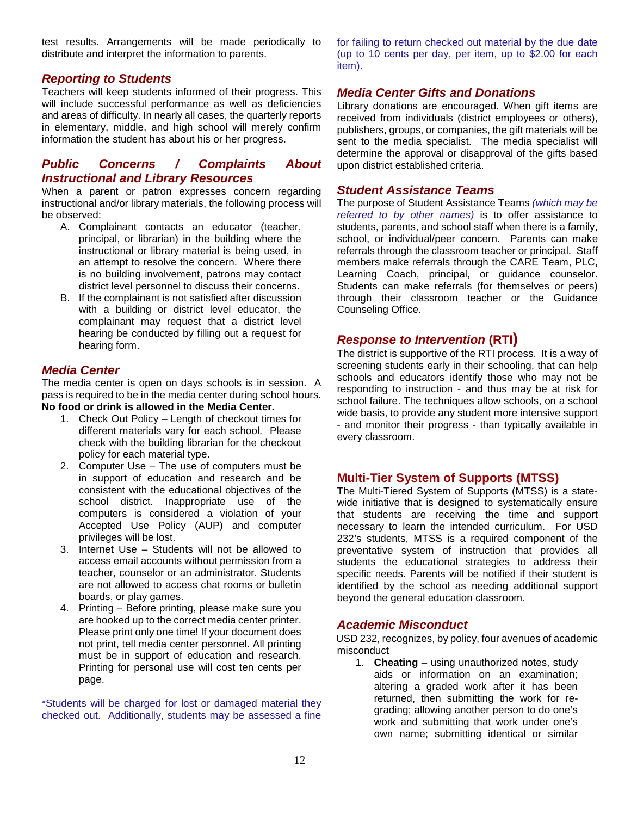test results. Arrangements will be made periodically to distribute and interpret the information to parents.

## *Reporting to Students*

Teachers will keep students informed of their progress. This will include successful performance as well as deficiencies and areas of difficulty. In nearly all cases, the quarterly reports in elementary, middle, and high school will merely confirm information the student has about his or her progress.

## *Public Concerns / Complaints About Instructional and Library Resources*

When a parent or patron expresses concern regarding instructional and/or library materials, the following process will be observed:

- A. Complainant contacts an educator (teacher, principal, or librarian) in the building where the instructional or library material is being used, in an attempt to resolve the concern. Where there is no building involvement, patrons may contact district level personnel to discuss their concerns.
- B. If the complainant is not satisfied after discussion with a building or district level educator, the complainant may request that a district level hearing be conducted by filling out a request for hearing form.

## *Media Center*

The media center is open on days schools is in session. A pass is required to be in the media center during school hours. **No food or drink is allowed in the Media Center.**

- 1. Check Out Policy Length of checkout times for different materials vary for each school. Please check with the building librarian for the checkout policy for each material type.
- 2. Computer Use The use of computers must be in support of education and research and be consistent with the educational objectives of the school district. Inappropriate use of the computers is considered a violation of your Accepted Use Policy (AUP) and computer privileges will be lost.
- 3. Internet Use Students will not be allowed to access email accounts without permission from a teacher, counselor or an administrator. Students are not allowed to access chat rooms or bulletin boards, or play games.
- 4. Printing Before printing, please make sure you are hooked up to the correct media center printer. Please print only one time! If your document does not print, tell media center personnel. All printing must be in support of education and research. Printing for personal use will cost ten cents per page.

\*Students will be charged for lost or damaged material they checked out. Additionally, students may be assessed a fine

for failing to return checked out material by the due date (up to 10 cents per day, per item, up to \$2.00 for each item).

#### *Media Center Gifts and Donations*

Library donations are encouraged. When gift items are received from individuals (district employees or others), publishers, groups, or companies, the gift materials will be sent to the media specialist. The media specialist will determine the approval or disapproval of the gifts based upon district established criteria.

#### *Student Assistance Teams*

The purpose of Student Assistance Teams *(which may be referred to by other names)* is to offer assistance to students, parents, and school staff when there is a family, school, or individual/peer concern. Parents can make referrals through the classroom teacher or principal. Staff members make referrals through the CARE Team, PLC, Learning Coach, principal, or guidance counselor. Students can make referrals (for themselves or peers) through their classroom teacher or the Guidance Counseling Office.

## *Response to Intervention* **(RTI)**

The district is supportive of the RTI process. It is a way of screening students early in their schooling, that can help schools and educators identify those who may not be responding to instruction - and thus may be at risk for school failure. The techniques allow schools, on a school wide basis, to provide any student more intensive support - and monitor their progress - than typically available in every classroom.

## **Multi-Tier System of Supports (MTSS)**

The Multi-Tiered System of Supports (MTSS) is a statewide initiative that is designed to systematically ensure that students are receiving the time and support necessary to learn the intended curriculum. For USD 232's students, MTSS is a required component of the preventative system of instruction that provides all students the educational strategies to address their specific needs. Parents will be notified if their student is identified by the school as needing additional support beyond the general education classroom.

## *Academic Misconduct*

USD 232, recognizes, by policy, four avenues of academic misconduct

1. **Cheating** – using unauthorized notes, study aids or information on an examination; altering a graded work after it has been returned, then submitting the work for regrading; allowing another person to do one's work and submitting that work under one's own name; submitting identical or similar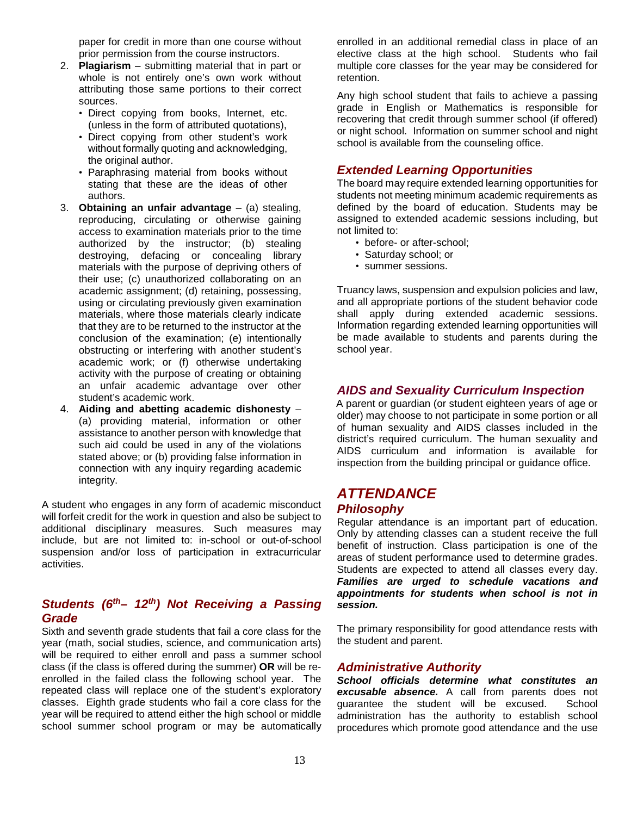paper for credit in more than one course without prior permission from the course instructors.

- 2. **Plagiarism** submitting material that in part or whole is not entirely one's own work without attributing those same portions to their correct sources.
	- Direct copying from books, Internet, etc. (unless in the form of attributed quotations),
	- Direct copying from other student's work without formally quoting and acknowledging, the original author.
	- Paraphrasing material from books without stating that these are the ideas of other authors.
- 3. **Obtaining an unfair advantage** (a) stealing, reproducing, circulating or otherwise gaining access to examination materials prior to the time authorized by the instructor; (b) stealing destroying, defacing or concealing library materials with the purpose of depriving others of their use; (c) unauthorized collaborating on an academic assignment; (d) retaining, possessing, using or circulating previously given examination materials, where those materials clearly indicate that they are to be returned to the instructor at the conclusion of the examination; (e) intentionally obstructing or interfering with another student's academic work; or (f) otherwise undertaking activity with the purpose of creating or obtaining an unfair academic advantage over other student's academic work.
- 4. **Aiding and abetting academic dishonesty** (a) providing material, information or other assistance to another person with knowledge that such aid could be used in any of the violations stated above; or (b) providing false information in connection with any inquiry regarding academic integrity.

A student who engages in any form of academic misconduct will forfeit credit for the work in question and also be subject to additional disciplinary measures. Such measures may include, but are not limited to: in-school or out-of-school suspension and/or loss of participation in extracurricular activities.

## *Students (6th– 12th) Not Receiving a Passing Grade*

Sixth and seventh grade students that fail a core class for the year (math, social studies, science, and communication arts) will be required to either enroll and pass a summer school class (if the class is offered during the summer) **OR** will be reenrolled in the failed class the following school year. The repeated class will replace one of the student's exploratory classes. Eighth grade students who fail a core class for the year will be required to attend either the high school or middle school summer school program or may be automatically enrolled in an additional remedial class in place of an elective class at the high school. Students who fail multiple core classes for the year may be considered for retention.

Any high school student that fails to achieve a passing grade in English or Mathematics is responsible for recovering that credit through summer school (if offered) or night school. Information on summer school and night school is available from the counseling office.

## *Extended Learning Opportunities*

The board may require extended learning opportunities for students not meeting minimum academic requirements as defined by the board of education. Students may be assigned to extended academic sessions including, but not limited to:

- before- or after-school;
- Saturday school; or
- summer sessions.

Truancy laws, suspension and expulsion policies and law, and all appropriate portions of the student behavior code shall apply during extended academic sessions. Information regarding extended learning opportunities will be made available to students and parents during the school year.

### *AIDS and Sexuality Curriculum Inspection*

A parent or guardian (or student eighteen years of age or older) may choose to not participate in some portion or all of human sexuality and AIDS classes included in the district's required curriculum. The human sexuality and AIDS curriculum and information is available for inspection from the building principal or guidance office.

## <span id="page-19-0"></span>*ATTENDANCE*

#### *Philosophy*

Regular attendance is an important part of education. Only by attending classes can a student receive the full benefit of instruction. Class participation is one of the areas of student performance used to determine grades. Students are expected to attend all classes every day. *Families are urged to schedule vacations and appointments for students when school is not in session.*

The primary responsibility for good attendance rests with the student and parent.

#### *Administrative Authority*

*School officials determine what constitutes an excusable absence.* A call from parents does not guarantee the student will be excused. School administration has the authority to establish school procedures which promote good attendance and the use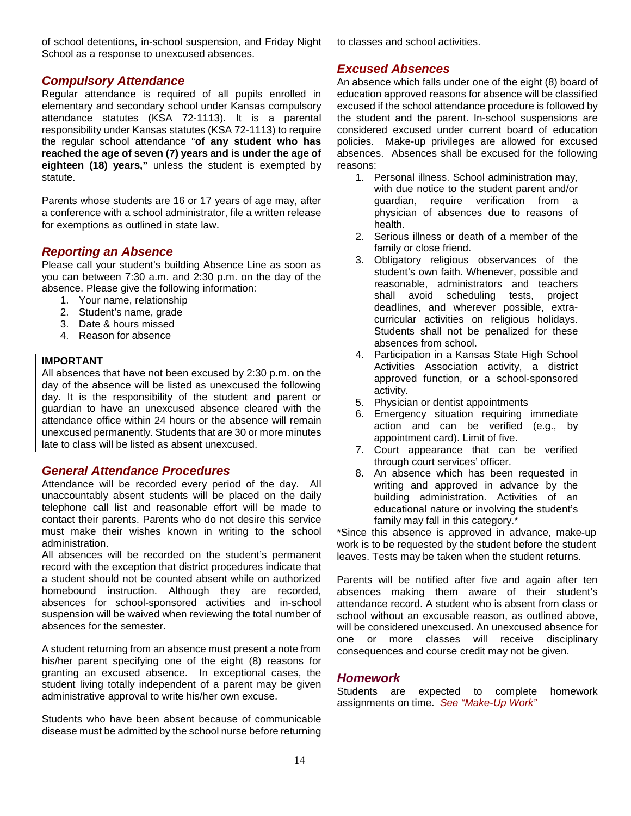of school detentions, in-school suspension, and Friday Night School as a response to unexcused absences.

## *Compulsory Attendance*

Regular attendance is required of all pupils enrolled in elementary and secondary school under Kansas compulsory attendance statutes (KSA 72-1113). It is a parental responsibility under Kansas statutes (KSA 72-1113) to require the regular school attendance "**of any student who has reached the age of seven (7) years and is under the age of eighteen (18) years,"** unless the student is exempted by statute.

Parents whose students are 16 or 17 years of age may, after a conference with a school administrator, file a written release for exemptions as outlined in state law.

## *Reporting an Absence*

Please call your student's building Absence Line as soon as you can between 7:30 a.m. and 2:30 p.m. on the day of the absence. Please give the following information:

- 1. Your name, relationship
- 2. Student's name, grade
- 3. Date & hours missed
- 4. Reason for absence

#### **IMPORTANT**

All absences that have not been excused by 2:30 p.m. on the day of the absence will be listed as unexcused the following day. It is the responsibility of the student and parent or guardian to have an unexcused absence cleared with the attendance office within 24 hours or the absence will remain unexcused permanently. Students that are 30 or more minutes late to class will be listed as absent unexcused.

## *General Attendance Procedures*

Attendance will be recorded every period of the day. All unaccountably absent students will be placed on the daily telephone call list and reasonable effort will be made to contact their parents. Parents who do not desire this service must make their wishes known in writing to the school administration.

All absences will be recorded on the student's permanent record with the exception that district procedures indicate that a student should not be counted absent while on authorized homebound instruction. Although they are recorded, absences for school-sponsored activities and in-school suspension will be waived when reviewing the total number of absences for the semester.

A student returning from an absence must present a note from his/her parent specifying one of the eight (8) reasons for granting an excused absence. In exceptional cases, the student living totally independent of a parent may be given administrative approval to write his/her own excuse.

Students who have been absent because of communicable disease must be admitted by the school nurse before returning

to classes and school activities.

## *Excused Absences*

An absence which falls under one of the eight (8) board of education approved reasons for absence will be classified excused if the school attendance procedure is followed by the student and the parent. In-school suspensions are considered excused under current board of education policies. Make-up privileges are allowed for excused absences. Absences shall be excused for the following reasons:

- 1. Personal illness. School administration may, with due notice to the student parent and/or guardian, require verification from a physician of absences due to reasons of health.
- 2. Serious illness or death of a member of the family or close friend.
- 3. Obligatory religious observances of the student's own faith. Whenever, possible and reasonable, administrators and teachers shall avoid scheduling tests, project deadlines, and wherever possible, extracurricular activities on religious holidays. Students shall not be penalized for these absences from school.
- 4. Participation in a Kansas State High School Activities Association activity, a district approved function, or a school-sponsored activity.
- 5. Physician or dentist appointments
- 6. Emergency situation requiring immediate action and can be verified (e.g., by appointment card). Limit of five.
- 7. Court appearance that can be verified through court services' officer.
- 8. An absence which has been requested in writing and approved in advance by the building administration. Activities of an educational nature or involving the student's family may fall in this category.\*

\*Since this absence is approved in advance, make-up work is to be requested by the student before the student leaves. Tests may be taken when the student returns.

Parents will be notified after five and again after ten absences making them aware of their student's attendance record. A student who is absent from class or school without an excusable reason, as outlined above, will be considered unexcused. An unexcused absence for one or more classes will receive disciplinary consequences and course credit may not be given.

## *Homework*

Students are expected to complete homework assignments on time. *See "Make-Up Work"*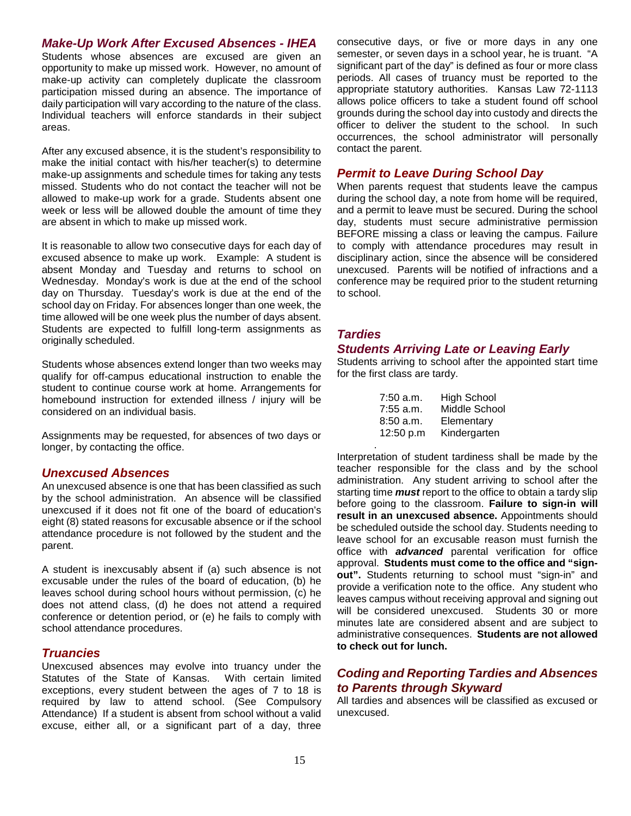*Make-Up Work After Excused Absences - IHEA* 

Students whose absences are excused are given an opportunity to make up missed work. However, no amount of make-up activity can completely duplicate the classroom participation missed during an absence. The importance of daily participation will vary according to the nature of the class. Individual teachers will enforce standards in their subject areas.

After any excused absence, it is the student's responsibility to make the initial contact with his/her teacher(s) to determine make-up assignments and schedule times for taking any tests missed. Students who do not contact the teacher will not be allowed to make-up work for a grade. Students absent one week or less will be allowed double the amount of time they are absent in which to make up missed work.

It is reasonable to allow two consecutive days for each day of excused absence to make up work. Example: A student is absent Monday and Tuesday and returns to school on Wednesday. Monday's work is due at the end of the school day on Thursday. Tuesday's work is due at the end of the school day on Friday. For absences longer than one week, the time allowed will be one week plus the number of days absent. Students are expected to fulfill long-term assignments as originally scheduled.

Students whose absences extend longer than two weeks may qualify for off-campus educational instruction to enable the student to continue course work at home. Arrangements for homebound instruction for extended illness / injury will be considered on an individual basis.

Assignments may be requested, for absences of two days or longer, by contacting the office.

#### *Unexcused Absences*

An unexcused absence is one that has been classified as such by the school administration. An absence will be classified unexcused if it does not fit one of the board of education's eight (8) stated reasons for excusable absence or if the school attendance procedure is not followed by the student and the parent.

A student is inexcusably absent if (a) such absence is not excusable under the rules of the board of education, (b) he leaves school during school hours without permission, (c) he does not attend class, (d) he does not attend a required conference or detention period, or (e) he fails to comply with school attendance procedures.

#### *Truancies*

Unexcused absences may evolve into truancy under the Statutes of the State of Kansas. With certain limited exceptions, every student between the ages of 7 to 18 is required by law to attend school. (See Compulsory Attendance) If a student is absent from school without a valid excuse, either all, or a significant part of a day, three

consecutive days, or five or more days in any one semester, or seven days in a school year, he is truant. "A significant part of the day" is defined as four or more class periods. All cases of truancy must be reported to the appropriate statutory authorities. Kansas Law 72-1113 allows police officers to take a student found off school grounds during the school day into custody and directs the officer to deliver the student to the school. In such occurrences, the school administrator will personally contact the parent.

#### *Permit to Leave During School Day*

When parents request that students leave the campus during the school day, a note from home will be required, and a permit to leave must be secured. During the school day, students must secure administrative permission BEFORE missing a class or leaving the campus. Failure to comply with attendance procedures may result in disciplinary action, since the absence will be considered unexcused. Parents will be notified of infractions and a conference may be required prior to the student returning to school.

## *Tardies*

.

#### *Students Arriving Late or Leaving Early*

Students arriving to school after the appointed start time for the first class are tardy.

| $7:50$ a.m. | <b>High School</b> |
|-------------|--------------------|
| $7:55$ a.m. | Middle School      |
| $8:50$ a.m. | Elementary         |
| 12:50 p.m   | Kindergarten       |

Interpretation of student tardiness shall be made by the teacher responsible for the class and by the school administration. Any student arriving to school after the starting time *must* report to the office to obtain a tardy slip before going to the classroom. **Failure to sign-in will result in an unexcused absence.** Appointments should be scheduled outside the school day. Students needing to leave school for an excusable reason must furnish the office with *advanced* parental verification for office approval. **Students must come to the office and "signout".** Students returning to school must "sign-in" and provide a verification note to the office. Any student who leaves campus without receiving approval and signing out will be considered unexcused. Students 30 or more minutes late are considered absent and are subject to administrative consequences. **Students are not allowed to check out for lunch.**

## *Coding and Reporting Tardies and Absences to Parents through Skyward*

All tardies and absences will be classified as excused or unexcused.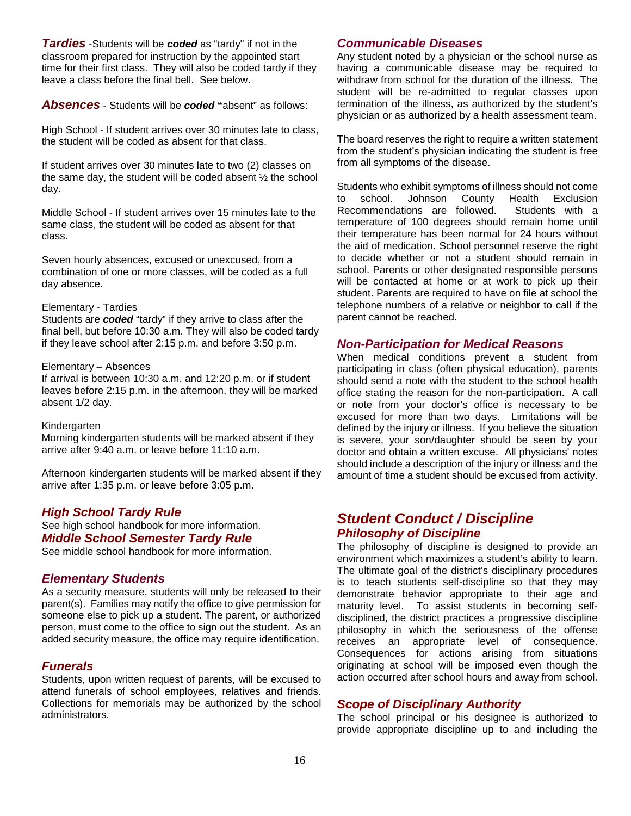*Tardies* -Students will be *coded* as "tardy" if not in the classroom prepared for instruction by the appointed start time for their first class. They will also be coded tardy if they leave a class before the final bell. See below.

*Absences* - Students will be *coded* **"**absent" as follows:

High School - If student arrives over 30 minutes late to class, the student will be coded as absent for that class.

If student arrives over 30 minutes late to two (2) classes on the same day, the student will be coded absent ½ the school day.

Middle School - If student arrives over 15 minutes late to the same class, the student will be coded as absent for that class.

Seven hourly absences, excused or unexcused, from a combination of one or more classes, will be coded as a full day absence.

#### Elementary - Tardies

Students are *coded* "tardy" if they arrive to class after the final bell, but before 10:30 a.m. They will also be coded tardy if they leave school after 2:15 p.m. and before 3:50 p.m.

#### Elementary – Absences

If arrival is between 10:30 a.m. and 12:20 p.m. or if student leaves before 2:15 p.m. in the afternoon, they will be marked absent 1/2 day.

Kindergarten

Morning kindergarten students will be marked absent if they arrive after 9:40 a.m. or leave before 11:10 a.m.

Afternoon kindergarten students will be marked absent if they arrive after 1:35 p.m. or leave before 3:05 p.m.

#### *High School Tardy Rule*

See high school handbook for more information. *Middle School Semester Tardy Rule* 

See middle school handbook for more information.

#### *Elementary Students*

As a security measure, students will only be released to their parent(s). Families may notify the office to give permission for someone else to pick up a student. The parent, or authorized person, must come to the office to sign out the student. As an added security measure, the office may require identification.

#### *Funerals*

Students, upon written request of parents, will be excused to attend funerals of school employees, relatives and friends. Collections for memorials may be authorized by the school administrators.

#### *Communicable Diseases*

Any student noted by a physician or the school nurse as having a communicable disease may be required to withdraw from school for the duration of the illness. The student will be re-admitted to regular classes upon termination of the illness, as authorized by the student's physician or as authorized by a health assessment team.

The board reserves the right to require a written statement from the student's physician indicating the student is free from all symptoms of the disease.

Students who exhibit symptoms of illness should not come to school. Johnson County Health Exclusion Recommendations are followed. Students with a temperature of 100 degrees should remain home until their temperature has been normal for 24 hours without the aid of medication. School personnel reserve the right to decide whether or not a student should remain in school. Parents or other designated responsible persons will be contacted at home or at work to pick up their student. Parents are required to have on file at school the telephone numbers of a relative or neighbor to call if the parent cannot be reached.

#### *Non-Participation for Medical Reasons*

When medical conditions prevent a student from participating in class (often physical education), parents should send a note with the student to the school health office stating the reason for the non-participation. A call or note from your doctor's office is necessary to be excused for more than two days. Limitations will be defined by the injury or illness. If you believe the situation is severe, your son/daughter should be seen by your doctor and obtain a written excuse. All physicians' notes should include a description of the injury or illness and the amount of time a student should be excused from activity.

## <span id="page-22-0"></span>*Student Conduct / Discipline Philosophy of Discipline*

The philosophy of discipline is designed to provide an environment which maximizes a student's ability to learn. The ultimate goal of the district's disciplinary procedures is to teach students self-discipline so that they may demonstrate behavior appropriate to their age and maturity level. To assist students in becoming selfdisciplined, the district practices a progressive discipline philosophy in which the seriousness of the offense receives an appropriate level of consequence. Consequences for actions arising from situations originating at school will be imposed even though the action occurred after school hours and away from school.

#### *Scope of Disciplinary Authority*

The school principal or his designee is authorized to provide appropriate discipline up to and including the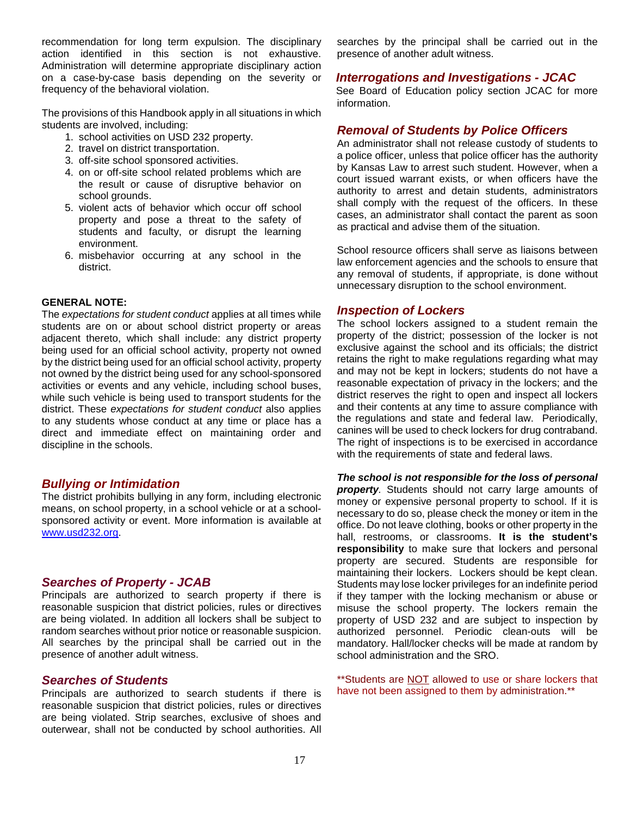recommendation for long term expulsion. The disciplinary action identified in this section is not exhaustive. Administration will determine appropriate disciplinary action on a case-by-case basis depending on the severity or frequency of the behavioral violation.

The provisions of this Handbook apply in all situations in which students are involved, including:

- 1. school activities on USD 232 property.
- 2. travel on district transportation.
- 3. off-site school sponsored activities.
- 4. on or off-site school related problems which are the result or cause of disruptive behavior on school grounds.
- 5. violent acts of behavior which occur off school property and pose a threat to the safety of students and faculty, or disrupt the learning environment.
- 6. misbehavior occurring at any school in the district.

#### **GENERAL NOTE:**

The *expectations for student conduct* applies at all times while students are on or about school district property or areas adjacent thereto, which shall include: any district property being used for an official school activity, property not owned by the district being used for an official school activity, property not owned by the district being used for any school-sponsored activities or events and any vehicle, including school buses, while such vehicle is being used to transport students for the district. These *expectations for student conduct* also applies to any students whose conduct at any time or place has a direct and immediate effect on maintaining order and discipline in the schools.

#### *Bullying or Intimidation*

The district prohibits bullying in any form, including electronic means, on school property, in a school vehicle or at a schoolsponsored activity or event. More information is available at [www.usd232.org.](http://www.usd232.org/)

#### *Searches of Property - JCAB*

Principals are authorized to search property if there is reasonable suspicion that district policies, rules or directives are being violated. In addition all lockers shall be subject to random searches without prior notice or reasonable suspicion. All searches by the principal shall be carried out in the presence of another adult witness.

#### *Searches of Students*

Principals are authorized to search students if there is reasonable suspicion that district policies, rules or directives are being violated. Strip searches, exclusive of shoes and outerwear, shall not be conducted by school authorities. All searches by the principal shall be carried out in the presence of another adult witness.

#### *Interrogations and Investigations - JCAC*

See Board of Education policy section JCAC for more information.

#### *Removal of Students by Police Officers*

An administrator shall not release custody of students to a police officer, unless that police officer has the authority by Kansas Law to arrest such student. However, when a court issued warrant exists, or when officers have the authority to arrest and detain students, administrators shall comply with the request of the officers. In these cases, an administrator shall contact the parent as soon as practical and advise them of the situation.

School resource officers shall serve as liaisons between law enforcement agencies and the schools to ensure that any removal of students, if appropriate, is done without unnecessary disruption to the school environment.

#### *Inspection of Lockers*

The school lockers assigned to a student remain the property of the district; possession of the locker is not exclusive against the school and its officials; the district retains the right to make regulations regarding what may and may not be kept in lockers; students do not have a reasonable expectation of privacy in the lockers; and the district reserves the right to open and inspect all lockers and their contents at any time to assure compliance with the regulations and state and federal law. Periodically, canines will be used to check lockers for drug contraband. The right of inspections is to be exercised in accordance with the requirements of state and federal laws.

*The school is not responsible for the loss of personal property.* Students should not carry large amounts of money or expensive personal property to school. If it is necessary to do so, please check the money or item in the office. Do not leave clothing, books or other property in the hall, restrooms, or classrooms. **It is the student's responsibility** to make sure that lockers and personal property are secured. Students are responsible for maintaining their lockers. Lockers should be kept clean. Students may lose locker privileges for an indefinite period if they tamper with the locking mechanism or abuse or misuse the school property. The lockers remain the property of USD 232 and are subject to inspection by authorized personnel. Periodic clean-outs will be mandatory. Hall/locker checks will be made at random by school administration and the SRO.

\*\*Students are NOT allowed to use or share lockers that have not been assigned to them by administration.\*\*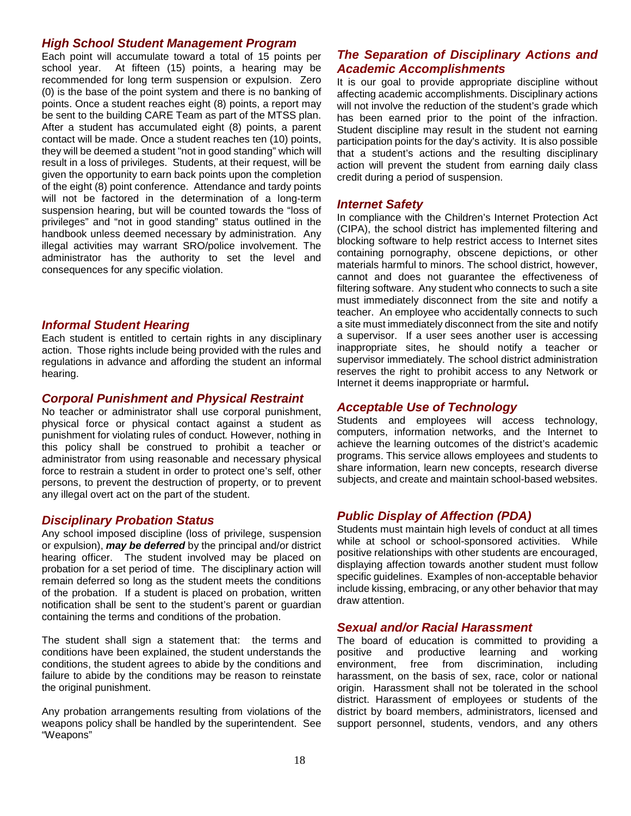#### *High School Student Management Program*

Each point will accumulate toward a total of 15 points per school year. At fifteen (15) points, a hearing may be recommended for long term suspension or expulsion. Zero (0) is the base of the point system and there is no banking of points. Once a student reaches eight (8) points, a report may be sent to the building CARE Team as part of the MTSS plan. After a student has accumulated eight (8) points, a parent contact will be made. Once a student reaches ten (10) points, they will be deemed a student "not in good standing" which will result in a loss of privileges. Students, at their request, will be given the opportunity to earn back points upon the completion of the eight (8) point conference. Attendance and tardy points will not be factored in the determination of a long-term suspension hearing, but will be counted towards the "loss of privileges" and "not in good standing" status outlined in the handbook unless deemed necessary by administration. Any illegal activities may warrant SRO/police involvement. The administrator has the authority to set the level and consequences for any specific violation.

#### *Informal Student Hearing*

Each student is entitled to certain rights in any disciplinary action. Those rights include being provided with the rules and regulations in advance and affording the student an informal hearing.

## *Corporal Punishment and Physical Restraint*

No teacher or administrator shall use corporal punishment, physical force or physical contact against a student as punishment for violating rules of conduct*.* However, nothing in this policy shall be construed to prohibit a teacher or administrator from using reasonable and necessary physical force to restrain a student in order to protect one's self, other persons, to prevent the destruction of property, or to prevent any illegal overt act on the part of the student.

## *Disciplinary Probation Status*

Any school imposed discipline (loss of privilege, suspension or expulsion), *may be deferred* by the principal and/or district hearing officer. The student involved may be placed on probation for a set period of time. The disciplinary action will remain deferred so long as the student meets the conditions of the probation. If a student is placed on probation, written notification shall be sent to the student's parent or guardian containing the terms and conditions of the probation.

The student shall sign a statement that: the terms and conditions have been explained, the student understands the conditions, the student agrees to abide by the conditions and failure to abide by the conditions may be reason to reinstate the original punishment.

Any probation arrangements resulting from violations of the weapons policy shall be handled by the superintendent. See "Weapons"

## *The Separation of Disciplinary Actions and Academic Accomplishments*

It is our goal to provide appropriate discipline without affecting academic accomplishments. Disciplinary actions will not involve the reduction of the student's grade which has been earned prior to the point of the infraction. Student discipline may result in the student not earning participation points for the day's activity. It is also possible that a student's actions and the resulting disciplinary action will prevent the student from earning daily class credit during a period of suspension.

## *Internet Safety*

In compliance with the Children's Internet Protection Act (CIPA), the school district has implemented filtering and blocking software to help restrict access to Internet sites containing pornography, obscene depictions, or other materials harmful to minors. The school district, however, cannot and does not guarantee the effectiveness of filtering software. Any student who connects to such a site must immediately disconnect from the site and notify a teacher. An employee who accidentally connects to such a site must immediately disconnect from the site and notify a supervisor. If a user sees another user is accessing inappropriate sites, he should notify a teacher or supervisor immediately. The school district administration reserves the right to prohibit access to any Network or Internet it deems inappropriate or harmful**.** 

#### *Acceptable Use of Technology*

Students and employees will access technology, computers, information networks, and the Internet to achieve the learning outcomes of the district's academic programs. This service allows employees and students to share information, learn new concepts, research diverse subjects, and create and maintain school-based websites.

## *Public Display of Affection (PDA)*

Students must maintain high levels of conduct at all times while at school or school-sponsored activities. While positive relationships with other students are encouraged, displaying affection towards another student must follow specific guidelines. Examples of non-acceptable behavior include kissing, embracing, or any other behavior that may draw attention.

#### *Sexual and/or Racial Harassment*

The board of education is committed to providing a positive and productive learning and working<br>environment, free from discrimination, including environment, free from discrimination, including harassment, on the basis of sex, race, color or national origin. Harassment shall not be tolerated in the school district. Harassment of employees or students of the district by board members, administrators, licensed and support personnel, students, vendors, and any others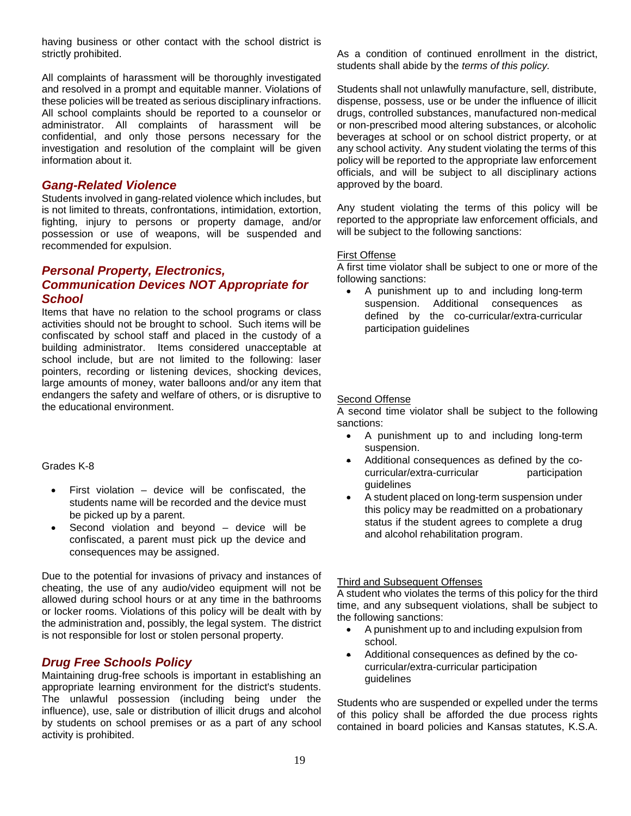having business or other contact with the school district is strictly prohibited.

All complaints of harassment will be thoroughly investigated and resolved in a prompt and equitable manner. Violations of these policies will be treated as serious disciplinary infractions. All school complaints should be reported to a counselor or administrator. All complaints of harassment will be confidential, and only those persons necessary for the investigation and resolution of the complaint will be given information about it.

## *Gang-Related Violence*

Students involved in gang-related violence which includes, but is not limited to threats, confrontations, intimidation, extortion, fighting, injury to persons or property damage, and/or possession or use of weapons, will be suspended and recommended for expulsion.

#### *Personal Property, Electronics, Communication Devices NOT Appropriate for School*

Items that have no relation to the school programs or class activities should not be brought to school. Such items will be confiscated by school staff and placed in the custody of a building administrator. Items considered unacceptable at school include, but are not limited to the following: laser pointers, recording or listening devices, shocking devices, large amounts of money, water balloons and/or any item that endangers the safety and welfare of others, or is disruptive to the educational environment.

#### Grades K-8

- First violation  $-$  device will be confiscated, the students name will be recorded and the device must be picked up by a parent.
- Second violation and beyond  $-$  device will be confiscated, a parent must pick up the device and consequences may be assigned.

Due to the potential for invasions of privacy and instances of cheating, the use of any audio/video equipment will not be allowed during school hours or at any time in the bathrooms or locker rooms. Violations of this policy will be dealt with by the administration and, possibly, the legal system. The district is not responsible for lost or stolen personal property.

## *Drug Free Schools Policy*

Maintaining drug-free schools is important in establishing an appropriate learning environment for the district's students. The unlawful possession (including being under the influence), use, sale or distribution of illicit drugs and alcohol by students on school premises or as a part of any school activity is prohibited.

As a condition of continued enrollment in the district, students shall abide by the *terms of this policy.*

Students shall not unlawfully manufacture, sell, distribute, dispense, possess, use or be under the influence of illicit drugs, controlled substances, manufactured non-medical or non-prescribed mood altering substances, or alcoholic beverages at school or on school district property, or at any school activity. Any student violating the terms of this policy will be reported to the appropriate law enforcement officials, and will be subject to all disciplinary actions approved by the board.

Any student violating the terms of this policy will be reported to the appropriate law enforcement officials, and will be subject to the following sanctions:

#### First Offense

A first time violator shall be subject to one or more of the following sanctions:

• A punishment up to and including long-term suspension. Additional consequences as defined by the co-curricular/extra-curricular participation guidelines

#### Second Offense

A second time violator shall be subject to the following sanctions:

- A punishment up to and including long-term suspension.
- Additional consequences as defined by the cocurricular/extra-curricular participation guidelines
- A student placed on long-term suspension under this policy may be readmitted on a probationary status if the student agrees to complete a drug and alcohol rehabilitation program.

#### Third and Subsequent Offenses

A student who violates the terms of this policy for the third time, and any subsequent violations, shall be subject to the following sanctions:

- A punishment up to and including expulsion from school.
- Additional consequences as defined by the cocurricular/extra-curricular participation guidelines

Students who are suspended or expelled under the terms of this policy shall be afforded the due process rights contained in board policies and Kansas statutes, K.S.A.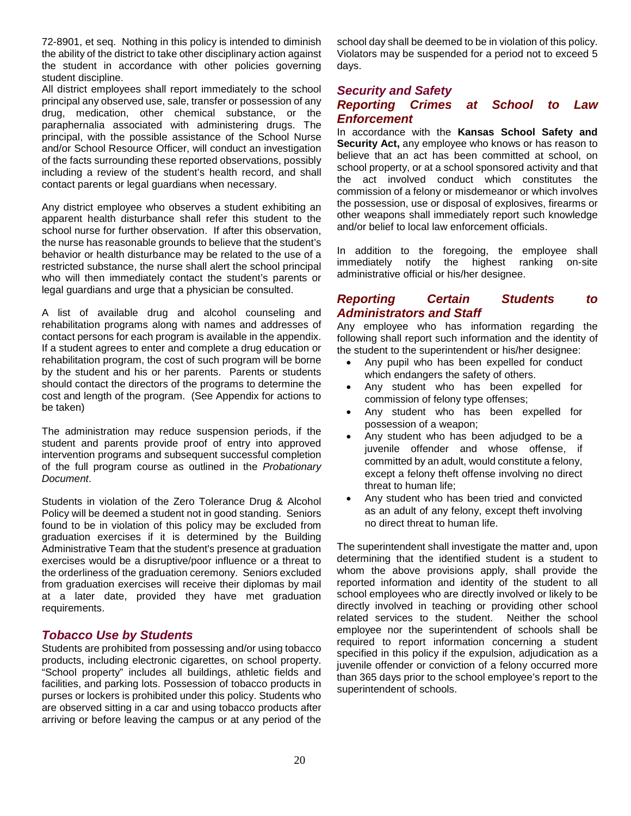72-8901, et seq. Nothing in this policy is intended to diminish the ability of the district to take other disciplinary action against the student in accordance with other policies governing student discipline.

All district employees shall report immediately to the school principal any observed use, sale, transfer or possession of any drug, medication, other chemical substance, or the paraphernalia associated with administering drugs. The principal, with the possible assistance of the School Nurse and/or School Resource Officer, will conduct an investigation of the facts surrounding these reported observations, possibly including a review of the student's health record, and shall contact parents or legal guardians when necessary.

Any district employee who observes a student exhibiting an apparent health disturbance shall refer this student to the school nurse for further observation. If after this observation, the nurse has reasonable grounds to believe that the student's behavior or health disturbance may be related to the use of a restricted substance, the nurse shall alert the school principal who will then immediately contact the student's parents or legal guardians and urge that a physician be consulted.

A list of available drug and alcohol counseling and rehabilitation programs along with names and addresses of contact persons for each program is available in the appendix. If a student agrees to enter and complete a drug education or rehabilitation program, the cost of such program will be borne by the student and his or her parents. Parents or students should contact the directors of the programs to determine the cost and length of the program. (See Appendix for actions to be taken)

The administration may reduce suspension periods, if the student and parents provide proof of entry into approved intervention programs and subsequent successful completion of the full program course as outlined in the *Probationary Document*.

Students in violation of the Zero Tolerance Drug & Alcohol Policy will be deemed a student not in good standing. Seniors found to be in violation of this policy may be excluded from graduation exercises if it is determined by the Building Administrative Team that the student's presence at graduation exercises would be a disruptive/poor influence or a threat to the orderliness of the graduation ceremony. Seniors excluded from graduation exercises will receive their diplomas by mail at a later date, provided they have met graduation requirements.

## *Tobacco Use by Students*

Students are prohibited from possessing and/or using tobacco products, including electronic cigarettes, on school property. "School property" includes all buildings, athletic fields and facilities, and parking lots. Possession of tobacco products in purses or lockers is prohibited under this policy. Students who are observed sitting in a car and using tobacco products after arriving or before leaving the campus or at any period of the

school day shall be deemed to be in violation of this policy. Violators may be suspended for a period not to exceed 5 days.

## *Security and Safety*

## *Reporting Crimes at School to Law Enforcement*

In accordance with the **Kansas School Safety and Security Act,** any employee who knows or has reason to believe that an act has been committed at school, on school property, or at a school sponsored activity and that the act involved conduct which constitutes the commission of a felony or misdemeanor or which involves the possession, use or disposal of explosives, firearms or other weapons shall immediately report such knowledge and/or belief to local law enforcement officials.

In addition to the foregoing, the employee shall immediately notify the highest ranking on-site the highest ranking on-site administrative official or his/her designee.

## *Reporting Certain Students to Administrators and Staff*

Any employee who has information regarding the following shall report such information and the identity of the student to the superintendent or his/her designee:

- Any pupil who has been expelled for conduct which endangers the safety of others.
- Any student who has been expelled for commission of felony type offenses;
- Any student who has been expelled for possession of a weapon;
- Any student who has been adjudged to be a juvenile offender and whose offense, if committed by an adult, would constitute a felony, except a felony theft offense involving no direct threat to human life;
- Any student who has been tried and convicted as an adult of any felony, except theft involving no direct threat to human life.

The superintendent shall investigate the matter and, upon determining that the identified student is a student to whom the above provisions apply, shall provide the reported information and identity of the student to all school employees who are directly involved or likely to be directly involved in teaching or providing other school related services to the student. Neither the school employee nor the superintendent of schools shall be required to report information concerning a student specified in this policy if the expulsion, adjudication as a juvenile offender or conviction of a felony occurred more than 365 days prior to the school employee's report to the superintendent of schools.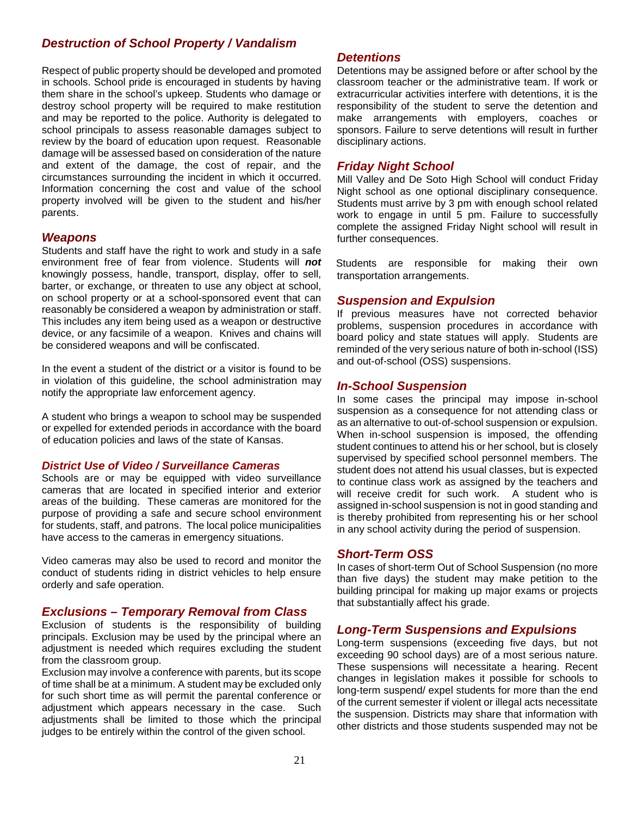## *Destruction of School Property / Vandalism*

Respect of public property should be developed and promoted in schools. School pride is encouraged in students by having them share in the school's upkeep. Students who damage or destroy school property will be required to make restitution and may be reported to the police. Authority is delegated to school principals to assess reasonable damages subject to review by the board of education upon request. Reasonable damage will be assessed based on consideration of the nature and extent of the damage, the cost of repair, and the circumstances surrounding the incident in which it occurred. Information concerning the cost and value of the school property involved will be given to the student and his/her parents.

#### *Weapons*

Students and staff have the right to work and study in a safe environment free of fear from violence. Students will *not* knowingly possess, handle, transport, display, offer to sell, barter, or exchange, or threaten to use any object at school, on school property or at a school-sponsored event that can reasonably be considered a weapon by administration or staff. This includes any item being used as a weapon or destructive device, or any facsimile of a weapon. Knives and chains will be considered weapons and will be confiscated.

In the event a student of the district or a visitor is found to be in violation of this guideline, the school administration may notify the appropriate law enforcement agency.

A student who brings a weapon to school may be suspended or expelled for extended periods in accordance with the board of education policies and laws of the state of Kansas.

#### *District Use of Video / Surveillance Cameras*

Schools are or may be equipped with video surveillance cameras that are located in specified interior and exterior areas of the building. These cameras are monitored for the purpose of providing a safe and secure school environment for students, staff, and patrons. The local police municipalities have access to the cameras in emergency situations.

Video cameras may also be used to record and monitor the conduct of students riding in district vehicles to help ensure orderly and safe operation.

#### *Exclusions – Temporary Removal from Class*

Exclusion of students is the responsibility of building principals. Exclusion may be used by the principal where an adjustment is needed which requires excluding the student from the classroom group.

Exclusion may involve a conference with parents, but its scope of time shall be at a minimum. A student may be excluded only for such short time as will permit the parental conference or adjustment which appears necessary in the case. Such adjustments shall be limited to those which the principal judges to be entirely within the control of the given school.

#### *Detentions*

Detentions may be assigned before or after school by the classroom teacher or the administrative team. If work or extracurricular activities interfere with detentions, it is the responsibility of the student to serve the detention and make arrangements with employers, coaches or sponsors. Failure to serve detentions will result in further disciplinary actions.

#### *Friday Night School*

Mill Valley and De Soto High School will conduct Friday Night school as one optional disciplinary consequence. Students must arrive by 3 pm with enough school related work to engage in until 5 pm. Failure to successfully complete the assigned Friday Night school will result in further consequences.

Students are responsible for making their own transportation arrangements.

#### *Suspension and Expulsion*

If previous measures have not corrected behavior problems, suspension procedures in accordance with board policy and state statues will apply. Students are reminded of the very serious nature of both in-school (ISS) and out-of-school (OSS) suspensions.

#### *In-School Suspension*

In some cases the principal may impose in-school suspension as a consequence for not attending class or as an alternative to out-of-school suspension or expulsion. When in-school suspension is imposed, the offending student continues to attend his or her school, but is closely supervised by specified school personnel members. The student does not attend his usual classes, but is expected to continue class work as assigned by the teachers and will receive credit for such work. A student who is assigned in-school suspension is not in good standing and is thereby prohibited from representing his or her school in any school activity during the period of suspension.

#### *Short-Term OSS*

In cases of short-term Out of School Suspension (no more than five days) the student may make petition to the building principal for making up major exams or projects that substantially affect his grade.

#### *Long-Term Suspensions and Expulsions*

Long-term suspensions (exceeding five days, but not exceeding 90 school days) are of a most serious nature. These suspensions will necessitate a hearing. Recent changes in legislation makes it possible for schools to long-term suspend/ expel students for more than the end of the current semester if violent or illegal acts necessitate the suspension. Districts may share that information with other districts and those students suspended may not be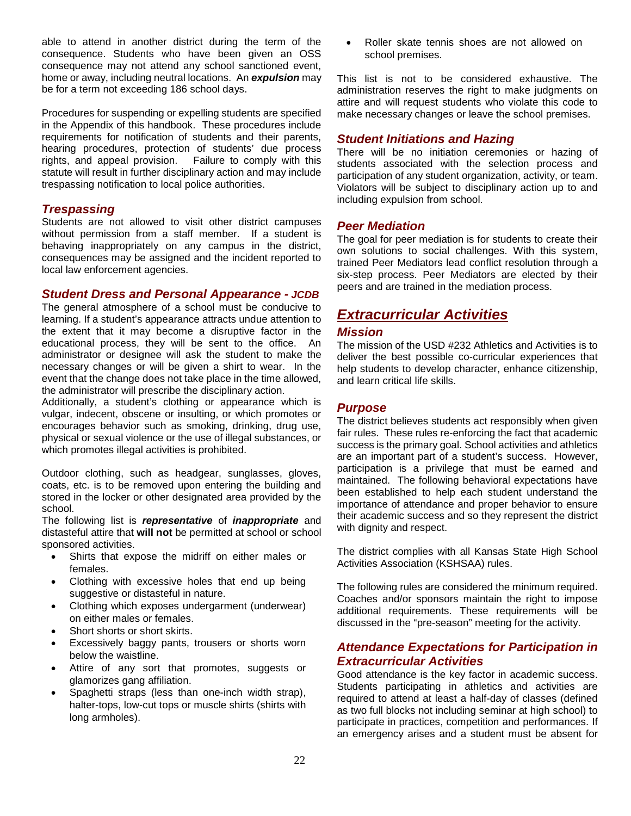able to attend in another district during the term of the consequence. Students who have been given an OSS consequence may not attend any school sanctioned event, home or away, including neutral locations. An *expulsion* may be for a term not exceeding 186 school days.

Procedures for suspending or expelling students are specified in the Appendix of this handbook. These procedures include requirements for notification of students and their parents, hearing procedures, protection of students' due process<br>rights, and appeal provision. Failure to comply with this Failure to comply with this statute will result in further disciplinary action and may include trespassing notification to local police authorities.

## *Trespassing*

Students are not allowed to visit other district campuses without permission from a staff member. If a student is behaving inappropriately on any campus in the district, consequences may be assigned and the incident reported to local law enforcement agencies.

#### *Student Dress and Personal Appearance - JCDB*

The general atmosphere of a school must be conducive to learning. If a student's appearance attracts undue attention to the extent that it may become a disruptive factor in the educational process, they will be sent to the office. An administrator or designee will ask the student to make the necessary changes or will be given a shirt to wear. In the event that the change does not take place in the time allowed, the administrator will prescribe the disciplinary action.

Additionally, a student's clothing or appearance which is vulgar, indecent, obscene or insulting, or which promotes or encourages behavior such as smoking, drinking, drug use, physical or sexual violence or the use of illegal substances, or which promotes illegal activities is prohibited.

Outdoor clothing, such as headgear, sunglasses, gloves, coats, etc. is to be removed upon entering the building and stored in the locker or other designated area provided by the school.

The following list is *representative* of *inappropriate* and distasteful attire that **will not** be permitted at school or school sponsored activities.

- Shirts that expose the midriff on either males or females.
- Clothing with excessive holes that end up being suggestive or distasteful in nature.
- Clothing which exposes undergarment (underwear) on either males or females.
- Short shorts or short skirts.
- Excessively baggy pants, trousers or shorts worn below the waistline.
- Attire of any sort that promotes, suggests or glamorizes gang affiliation.
- Spaghetti straps (less than one-inch width strap), halter-tops, low-cut tops or muscle shirts (shirts with long armholes).

• Roller skate tennis shoes are not allowed on school premises.

This list is not to be considered exhaustive. The administration reserves the right to make judgments on attire and will request students who violate this code to make necessary changes or leave the school premises.

#### *Student Initiations and Hazing*

There will be no initiation ceremonies or hazing of students associated with the selection process and participation of any student organization, activity, or team. Violators will be subject to disciplinary action up to and including expulsion from school.

#### *Peer Mediation*

The goal for peer mediation is for students to create their own solutions to social challenges. With this system, trained Peer Mediators lead conflict resolution through a six-step process. Peer Mediators are elected by their peers and are trained in the mediation process.

## <span id="page-28-0"></span>*Extracurricular Activities*

#### *Mission*

The mission of the USD #232 Athletics and Activities is to deliver the best possible co-curricular experiences that help students to develop character, enhance citizenship, and learn critical life skills.

#### *Purpose*

The district believes students act responsibly when given fair rules. These rules re-enforcing the fact that academic success is the primary goal. School activities and athletics are an important part of a student's success. However, participation is a privilege that must be earned and maintained. The following behavioral expectations have been established to help each student understand the importance of attendance and proper behavior to ensure their academic success and so they represent the district with dignity and respect.

The district complies with all Kansas State High School Activities Association (KSHSAA) rules.

The following rules are considered the minimum required. Coaches and/or sponsors maintain the right to impose additional requirements. These requirements will be discussed in the "pre-season" meeting for the activity.

### *Attendance Expectations for Participation in Extracurricular Activities*

Good attendance is the key factor in academic success. Students participating in athletics and activities are required to attend at least a half-day of classes (defined as two full blocks not including seminar at high school) to participate in practices, competition and performances. If an emergency arises and a student must be absent for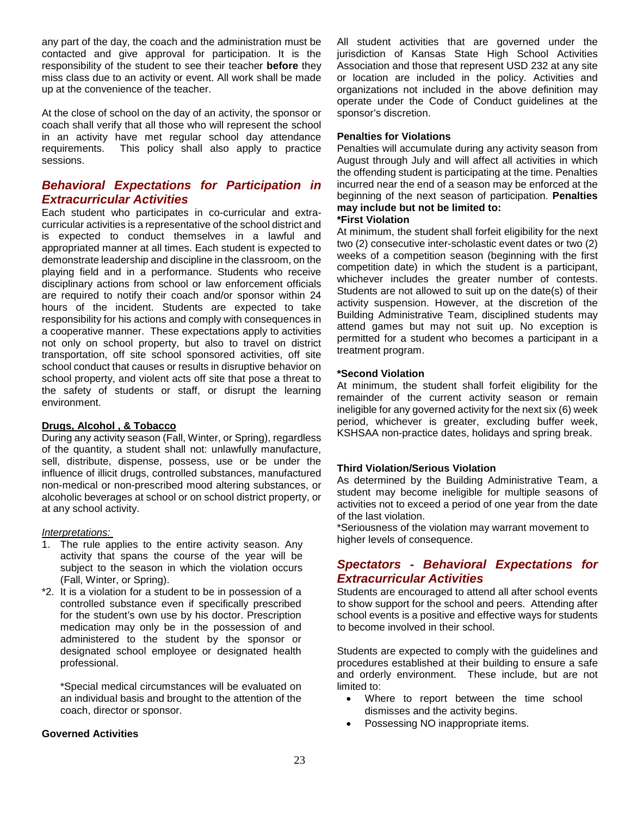any part of the day, the coach and the administration must be contacted and give approval for participation. It is the responsibility of the student to see their teacher **before** they miss class due to an activity or event. All work shall be made up at the convenience of the teacher.

At the close of school on the day of an activity, the sponsor or coach shall verify that all those who will represent the school in an activity have met regular school day attendance requirements. This policy shall also apply to practice sessions.

## *Behavioral Expectations for Participation in Extracurricular Activities*

Each student who participates in co-curricular and extracurricular activities is a representative of the school district and is expected to conduct themselves in a lawful and appropriated manner at all times. Each student is expected to demonstrate leadership and discipline in the classroom, on the playing field and in a performance. Students who receive disciplinary actions from school or law enforcement officials are required to notify their coach and/or sponsor within 24 hours of the incident. Students are expected to take responsibility for his actions and comply with consequences in a cooperative manner. These expectations apply to activities not only on school property, but also to travel on district transportation, off site school sponsored activities, off site school conduct that causes or results in disruptive behavior on school property, and violent acts off site that pose a threat to the safety of students or staff, or disrupt the learning environment.

#### **Drugs, Alcohol , & Tobacco**

During any activity season (Fall, Winter, or Spring), regardless of the quantity, a student shall not: unlawfully manufacture, sell, distribute, dispense, possess, use or be under the influence of illicit drugs, controlled substances, manufactured non-medical or non-prescribed mood altering substances, or alcoholic beverages at school or on school district property, or at any school activity.

#### *Interpretations:*

- 1. The rule applies to the entire activity season. Any activity that spans the course of the year will be subject to the season in which the violation occurs (Fall, Winter, or Spring).
- \*2. It is a violation for a student to be in possession of a controlled substance even if specifically prescribed for the student's own use by his doctor. Prescription medication may only be in the possession of and administered to the student by the sponsor or designated school employee or designated health professional.

\*Special medical circumstances will be evaluated on an individual basis and brought to the attention of the coach, director or sponsor.

#### **Governed Activities**

All student activities that are governed under the jurisdiction of Kansas State High School Activities Association and those that represent USD 232 at any site or location are included in the policy. Activities and organizations not included in the above definition may operate under the Code of Conduct guidelines at the sponsor's discretion.

#### **Penalties for Violations**

Penalties will accumulate during any activity season from August through July and will affect all activities in which the offending student is participating at the time. Penalties incurred near the end of a season may be enforced at the beginning of the next season of participation. **Penalties may include but not be limited to:** 

#### **\*First Violation**

At minimum, the student shall forfeit eligibility for the next two (2) consecutive inter-scholastic event dates or two (2) weeks of a competition season (beginning with the first competition date) in which the student is a participant, whichever includes the greater number of contests. Students are not allowed to suit up on the date(s) of their activity suspension. However, at the discretion of the Building Administrative Team, disciplined students may attend games but may not suit up. No exception is permitted for a student who becomes a participant in a treatment program.

#### **\*Second Violation**

At minimum, the student shall forfeit eligibility for the remainder of the current activity season or remain ineligible for any governed activity for the next six (6) week period, whichever is greater, excluding buffer week, KSHSAA non-practice dates, holidays and spring break.

#### **Third Violation/Serious Violation**

As determined by the Building Administrative Team, a student may become ineligible for multiple seasons of activities not to exceed a period of one year from the date of the last violation.

\*Seriousness of the violation may warrant movement to higher levels of consequence.

## *Spectators - Behavioral Expectations for Extracurricular Activities*

Students are encouraged to attend all after school events to show support for the school and peers. Attending after school events is a positive and effective ways for students to become involved in their school.

Students are expected to comply with the guidelines and procedures established at their building to ensure a safe and orderly environment. These include, but are not limited to:

- Where to report between the time school dismisses and the activity begins.
- Possessing NO inappropriate items.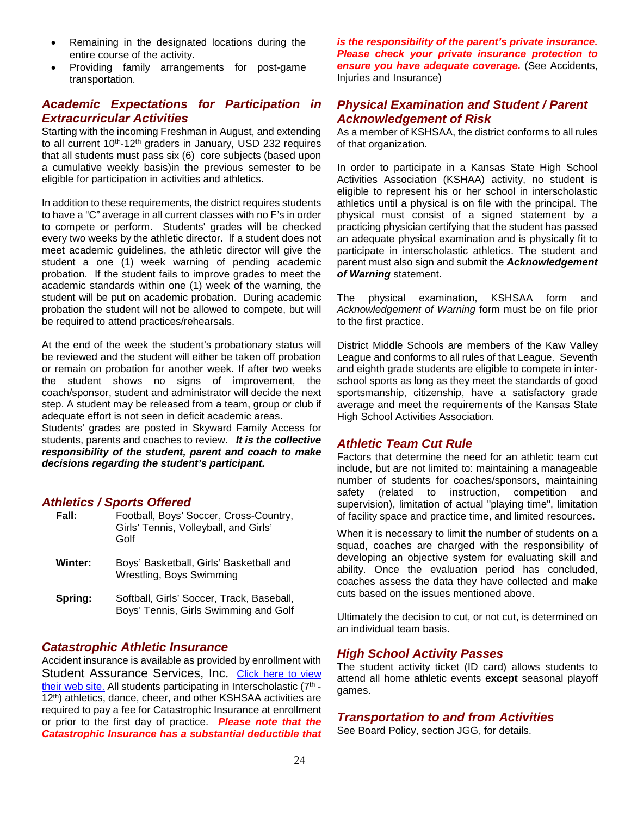- Remaining in the designated locations during the entire course of the activity.
- Providing family arrangements for post-game transportation.

## *Academic Expectations for Participation in Extracurricular Activities*

Starting with the incoming Freshman in August, and extending to all current 10<sup>th</sup>-12<sup>th</sup> graders in January, USD 232 requires that all students must pass six (6) core subjects (based upon a cumulative weekly basis)in the previous semester to be eligible for participation in activities and athletics.

In addition to these requirements, the district requires students to have a "C" average in all current classes with no F's in order to compete or perform. Students' grades will be checked every two weeks by the athletic director. If a student does not meet academic guidelines, the athletic director will give the student a one (1) week warning of pending academic probation. If the student fails to improve grades to meet the academic standards within one (1) week of the warning, the student will be put on academic probation. During academic probation the student will not be allowed to compete, but will be required to attend practices/rehearsals.

At the end of the week the student's probationary status will be reviewed and the student will either be taken off probation or remain on probation for another week. If after two weeks the student shows no signs of improvement, the coach/sponsor, student and administrator will decide the next step. A student may be released from a team, group or club if adequate effort is not seen in deficit academic areas.

Students' grades are posted in Skyward Family Access for students, parents and coaches to review. *It is the collective responsibility of the student, parent and coach to make decisions regarding the student's participant.*

## *Athletics / Sports Offered*

| Fall:   | Football, Boys' Soccer, Cross-Country,<br>Girls' Tennis, Volleyball, and Girls'<br>Golf |
|---------|-----------------------------------------------------------------------------------------|
| Winter: | Boys' Basketball, Girls' Basketball and<br>Wrestling, Boys Swimming                     |
| Spring: | Softball, Girls' Soccer, Track, Baseball,<br>Boys' Tennis, Girls Swimming and Golf      |

#### *Catastrophic Athletic Insurance*

Accident insurance is available as provided by enrollment with Student Assurance Services, Inc. Click here to view [their web site.](http://www.sas-mn.com/k12.html) All students participating in Interscholastic (7<sup>th</sup> -12<sup>th</sup>) athletics, dance, cheer, and other KSHSAA activities are required to pay a fee for Catastrophic Insurance at enrollment or prior to the first day of practice. *Please note that the Catastrophic Insurance has a substantial deductible that* 

*is the responsibility of the parent's private insurance. Please check your private insurance protection to ensure you have adequate coverage.* (See Accidents, Injuries and Insurance)

## *Physical Examination and Student / Parent Acknowledgement of Risk*

As a member of KSHSAA, the district conforms to all rules of that organization.

In order to participate in a Kansas State High School Activities Association (KSHAA) activity, no student is eligible to represent his or her school in interscholastic athletics until a physical is on file with the principal. The physical must consist of a signed statement by a practicing physician certifying that the student has passed an adequate physical examination and is physically fit to participate in interscholastic athletics. The student and parent must also sign and submit the *Acknowledgement of Warning* statement.

The physical examination, KSHSAA form and *Acknowledgement of Warning* form must be on file prior to the first practice.

District Middle Schools are members of the Kaw Valley League and conforms to all rules of that League. Seventh and eighth grade students are eligible to compete in interschool sports as long as they meet the standards of good sportsmanship, citizenship, have a satisfactory grade average and meet the requirements of the Kansas State High School Activities Association.

## *Athletic Team Cut Rule*

Factors that determine the need for an athletic team cut include, but are not limited to: maintaining a manageable number of students for coaches/sponsors, maintaining safety (related to instruction, competition and supervision), limitation of actual "playing time", limitation of facility space and practice time, and limited resources.

When it is necessary to limit the number of students on a squad, coaches are charged with the responsibility of developing an objective system for evaluating skill and ability. Once the evaluation period has concluded, coaches assess the data they have collected and make cuts based on the issues mentioned above.

Ultimately the decision to cut, or not cut, is determined on an individual team basis.

## *High School Activity Passes*

The student activity ticket (ID card) allows students to attend all home athletic events **except** seasonal playoff games.

## *Transportation to and from Activities*

See Board Policy, section JGG, for details.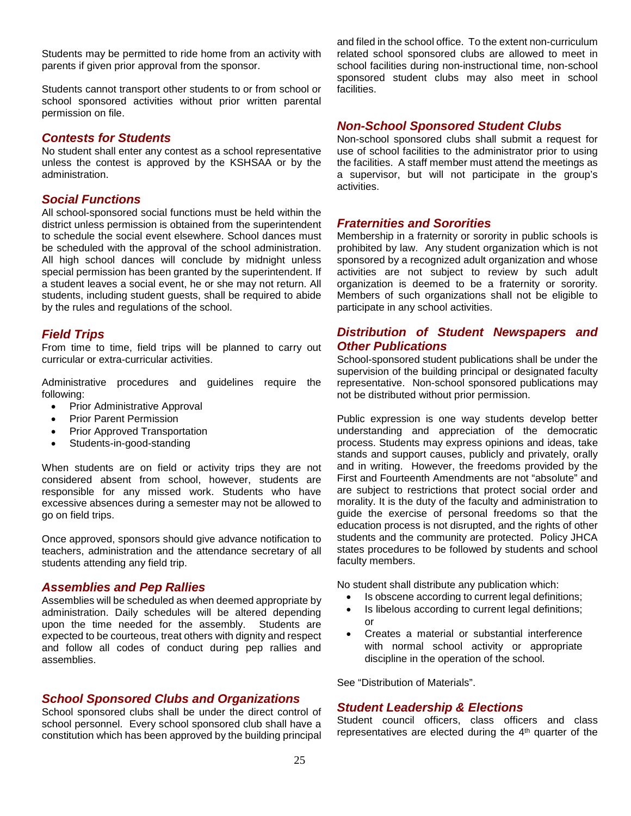Students may be permitted to ride home from an activity with parents if given prior approval from the sponsor.

Students cannot transport other students to or from school or school sponsored activities without prior written parental permission on file.

#### *Contests for Students*

No student shall enter any contest as a school representative unless the contest is approved by the KSHSAA or by the administration.

#### *Social Functions*

All school-sponsored social functions must be held within the district unless permission is obtained from the superintendent to schedule the social event elsewhere. School dances must be scheduled with the approval of the school administration. All high school dances will conclude by midnight unless special permission has been granted by the superintendent. If a student leaves a social event, he or she may not return. All students, including student guests, shall be required to abide by the rules and regulations of the school.

#### *Field Trips*

From time to time, field trips will be planned to carry out curricular or extra-curricular activities.

Administrative procedures and guidelines require the following:

- Prior Administrative Approval
- Prior Parent Permission
- Prior Approved Transportation
- Students-in-good-standing

When students are on field or activity trips they are not considered absent from school, however, students are responsible for any missed work. Students who have excessive absences during a semester may not be allowed to go on field trips.

Once approved, sponsors should give advance notification to teachers, administration and the attendance secretary of all students attending any field trip.

#### *Assemblies and Pep Rallies*

Assemblies will be scheduled as when deemed appropriate by administration. Daily schedules will be altered depending upon the time needed for the assembly. Students are expected to be courteous, treat others with dignity and respect and follow all codes of conduct during pep rallies and assemblies.

#### *School Sponsored Clubs and Organizations*

School sponsored clubs shall be under the direct control of school personnel. Every school sponsored club shall have a constitution which has been approved by the building principal

and filed in the school office. To the extent non-curriculum related school sponsored clubs are allowed to meet in school facilities during non-instructional time, non-school sponsored student clubs may also meet in school facilities.

#### *Non-School Sponsored Student Clubs*

Non-school sponsored clubs shall submit a request for use of school facilities to the administrator prior to using the facilities. A staff member must attend the meetings as a supervisor, but will not participate in the group's activities.

#### *Fraternities and Sororities*

Membership in a fraternity or sorority in public schools is prohibited by law. Any student organization which is not sponsored by a recognized adult organization and whose activities are not subject to review by such adult organization is deemed to be a fraternity or sorority. Members of such organizations shall not be eligible to participate in any school activities.

## *Distribution of Student Newspapers and Other Publications*

School-sponsored student publications shall be under the supervision of the building principal or designated faculty representative. Non-school sponsored publications may not be distributed without prior permission.

Public expression is one way students develop better understanding and appreciation of the democratic process. Students may express opinions and ideas, take stands and support causes, publicly and privately, orally and in writing. However, the freedoms provided by the First and Fourteenth Amendments are not "absolute" and are subject to restrictions that protect social order and morality. It is the duty of the faculty and administration to guide the exercise of personal freedoms so that the education process is not disrupted, and the rights of other students and the community are protected. Policy JHCA states procedures to be followed by students and school faculty members.

No student shall distribute any publication which:

- Is obscene according to current legal definitions;
- Is libelous according to current legal definitions;  $\alpha$ r
- Creates a material or substantial interference with normal school activity or appropriate discipline in the operation of the school.

See "Distribution of Materials".

#### *Student Leadership & Elections*

Student council officers, class officers and class representatives are elected during the 4<sup>th</sup> quarter of the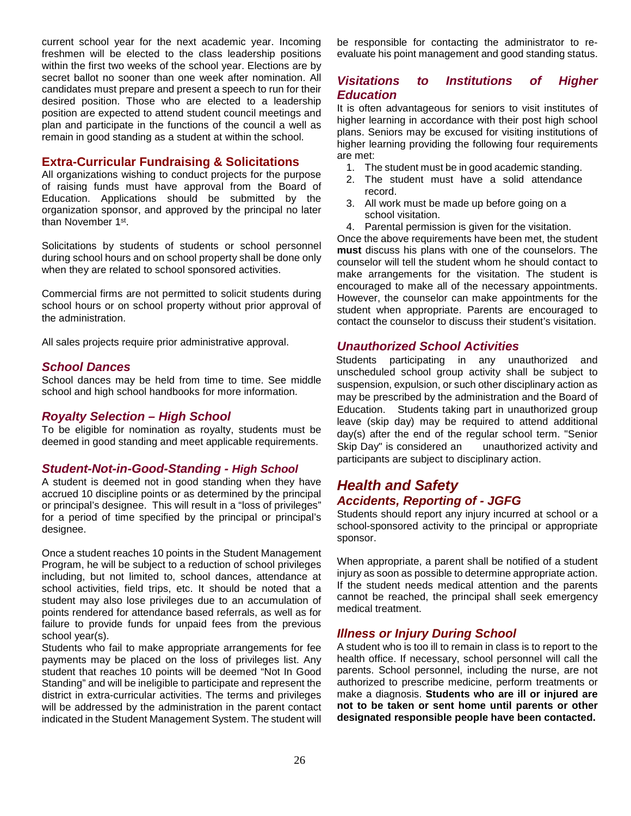current school year for the next academic year. Incoming freshmen will be elected to the class leadership positions within the first two weeks of the school year. Elections are by secret ballot no sooner than one week after nomination. All candidates must prepare and present a speech to run for their desired position. Those who are elected to a leadership position are expected to attend student council meetings and plan and participate in the functions of the council a well as remain in good standing as a student at within the school.

## **Extra-Curricular Fundraising & Solicitations**

All organizations wishing to conduct projects for the purpose of raising funds must have approval from the Board of Education. Applications should be submitted by the organization sponsor, and approved by the principal no later than November 1<sup>st</sup>.

Solicitations by students of students or school personnel during school hours and on school property shall be done only when they are related to school sponsored activities.

Commercial firms are not permitted to solicit students during school hours or on school property without prior approval of the administration.

All sales projects require prior administrative approval.

#### *School Dances*

School dances may be held from time to time. See middle school and high school handbooks for more information.

#### *Royalty Selection – High School*

To be eligible for nomination as royalty, students must be deemed in good standing and meet applicable requirements.

#### *Student-Not-in-Good-Standing - High School*

A student is deemed not in good standing when they have accrued 10 discipline points or as determined by the principal or principal's designee. This will result in a "loss of privileges" for a period of time specified by the principal or principal's designee.

Once a student reaches 10 points in the Student Management Program, he will be subject to a reduction of school privileges including, but not limited to, school dances, attendance at school activities, field trips, etc. It should be noted that a student may also lose privileges due to an accumulation of points rendered for attendance based referrals, as well as for failure to provide funds for unpaid fees from the previous school year(s).

Students who fail to make appropriate arrangements for fee payments may be placed on the loss of privileges list. Any student that reaches 10 points will be deemed "Not In Good Standing" and will be ineligible to participate and represent the district in extra-curricular activities. The terms and privileges will be addressed by the administration in the parent contact indicated in the Student Management System. The student will

be responsible for contacting the administrator to reevaluate his point management and good standing status.

## *Visitations to Institutions of Higher Education*

It is often advantageous for seniors to visit institutes of higher learning in accordance with their post high school plans. Seniors may be excused for visiting institutions of higher learning providing the following four requirements are met:

- 1. The student must be in good academic standing.
- 2. The student must have a solid attendance record.
- 3. All work must be made up before going on a school visitation.
- 4. Parental permission is given for the visitation.

Once the above requirements have been met, the student **must** discuss his plans with one of the counselors. The counselor will tell the student whom he should contact to make arrangements for the visitation. The student is encouraged to make all of the necessary appointments. However, the counselor can make appointments for the student when appropriate. Parents are encouraged to contact the counselor to discuss their student's visitation.

#### *Unauthorized School Activities*

Students participating in any unauthorized and unscheduled school group activity shall be subject to suspension, expulsion, or such other disciplinary action as may be prescribed by the administration and the Board of Education. Students taking part in unauthorized group leave (skip day) may be required to attend additional day(s) after the end of the regular school term. "Senior Skip Day" is considered an unauthorized activity and participants are subject to disciplinary action.

## <span id="page-32-0"></span>*Health and Safety Accidents, Reporting of - JGFG*

Students should report any injury incurred at school or a school-sponsored activity to the principal or appropriate sponsor.

When appropriate, a parent shall be notified of a student injury as soon as possible to determine appropriate action. If the student needs medical attention and the parents cannot be reached, the principal shall seek emergency medical treatment.

## *Illness or Injury During School*

A student who is too ill to remain in class is to report to the health office. If necessary, school personnel will call the parents. School personnel, including the nurse, are not authorized to prescribe medicine, perform treatments or make a diagnosis. **Students who are ill or injured are not to be taken or sent home until parents or other designated responsible people have been contacted.**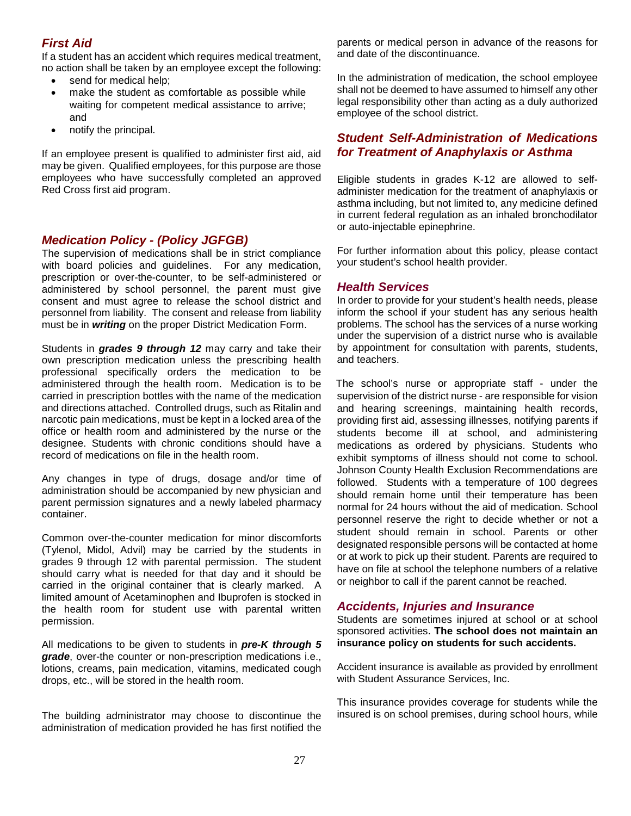## *First Aid*

If a student has an accident which requires medical treatment, no action shall be taken by an employee except the following:

- send for medical help;
- make the student as comfortable as possible while waiting for competent medical assistance to arrive; and
- notify the principal.

If an employee present is qualified to administer first aid, aid may be given. Qualified employees, for this purpose are those employees who have successfully completed an approved Red Cross first aid program.

#### *Medication Policy - (Policy JGFGB)*

The supervision of medications shall be in strict compliance with board policies and guidelines. For any medication, prescription or over-the-counter, to be self-administered or administered by school personnel, the parent must give consent and must agree to release the school district and personnel from liability. The consent and release from liability must be in *writing* on the proper District Medication Form.

Students in *grades 9 through 12* may carry and take their own prescription medication unless the prescribing health professional specifically orders the medication to be administered through the health room. Medication is to be carried in prescription bottles with the name of the medication and directions attached. Controlled drugs, such as Ritalin and narcotic pain medications, must be kept in a locked area of the office or health room and administered by the nurse or the designee. Students with chronic conditions should have a record of medications on file in the health room.

Any changes in type of drugs, dosage and/or time of administration should be accompanied by new physician and parent permission signatures and a newly labeled pharmacy container.

Common over-the-counter medication for minor discomforts (Tylenol, Midol, Advil) may be carried by the students in grades 9 through 12 with parental permission. The student should carry what is needed for that day and it should be carried in the original container that is clearly marked. A limited amount of Acetaminophen and Ibuprofen is stocked in the health room for student use with parental written permission.

All medications to be given to students in *pre-K through 5 grade*, over-the counter or non-prescription medications i.e., lotions, creams, pain medication, vitamins, medicated cough drops, etc., will be stored in the health room.

The building administrator may choose to discontinue the administration of medication provided he has first notified the parents or medical person in advance of the reasons for and date of the discontinuance.

In the administration of medication, the school employee shall not be deemed to have assumed to himself any other legal responsibility other than acting as a duly authorized employee of the school district.

## *Student Self-Administration of Medications for Treatment of Anaphylaxis or Asthma*

Eligible students in grades K-12 are allowed to selfadminister medication for the treatment of anaphylaxis or asthma including, but not limited to, any medicine defined in current federal regulation as an inhaled bronchodilator or auto-injectable epinephrine.

For further information about this policy, please contact your student's school health provider.

#### *Health Services*

In order to provide for your student's health needs, please inform the school if your student has any serious health problems. The school has the services of a nurse working under the supervision of a district nurse who is available by appointment for consultation with parents, students, and teachers.

The school's nurse or appropriate staff - under the supervision of the district nurse - are responsible for vision and hearing screenings, maintaining health records, providing first aid, assessing illnesses, notifying parents if students become ill at school, and administering medications as ordered by physicians. Students who exhibit symptoms of illness should not come to school. Johnson County Health Exclusion Recommendations are followed. Students with a temperature of 100 degrees should remain home until their temperature has been normal for 24 hours without the aid of medication. School personnel reserve the right to decide whether or not a student should remain in school. Parents or other designated responsible persons will be contacted at home or at work to pick up their student. Parents are required to have on file at school the telephone numbers of a relative or neighbor to call if the parent cannot be reached.

#### *Accidents, Injuries and Insurance*

Students are sometimes injured at school or at school sponsored activities. **The school does not maintain an insurance policy on students for such accidents.** 

Accident insurance is available as provided by enrollment with Student Assurance Services, Inc.

This insurance provides coverage for students while the insured is on school premises, during school hours, while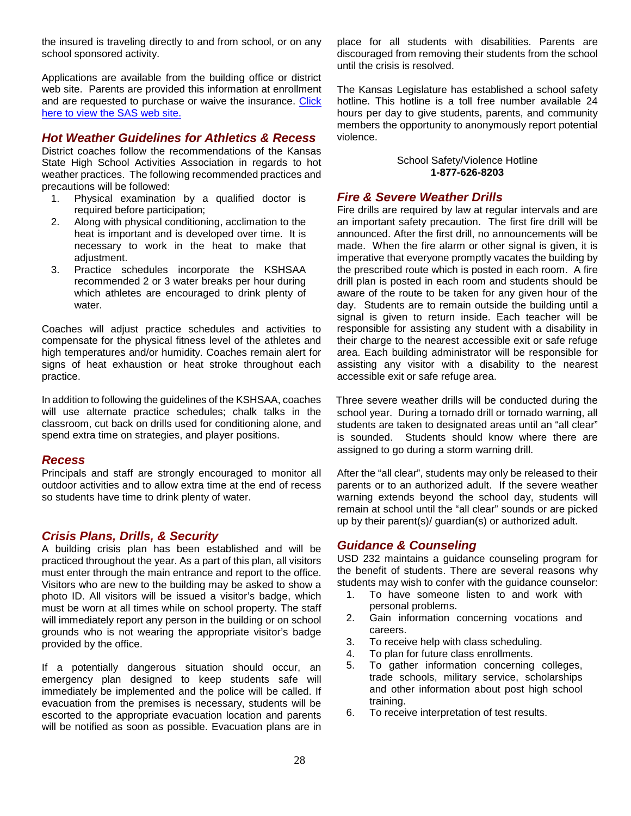the insured is traveling directly to and from school, or on any school sponsored activity.

Applications are available from the building office or district web site. Parents are provided this information at enrollment and are requested to purchase or waive the insurance. [Click](http://www.sas-mn.com/k12.html)  [here to view the SAS](http://www.sas-mn.com/k12.html) web site.

## *Hot Weather Guidelines for Athletics & Recess*

District coaches follow the recommendations of the Kansas State High School Activities Association in regards to hot weather practices. The following recommended practices and precautions will be followed:

- 1. Physical examination by a qualified doctor is required before participation;
- 2. Along with physical conditioning, acclimation to the heat is important and is developed over time. It is necessary to work in the heat to make that adiustment.
- 3. Practice schedules incorporate the KSHSAA recommended 2 or 3 water breaks per hour during which athletes are encouraged to drink plenty of water.

Coaches will adjust practice schedules and activities to compensate for the physical fitness level of the athletes and high temperatures and/or humidity. Coaches remain alert for signs of heat exhaustion or heat stroke throughout each practice.

In addition to following the guidelines of the KSHSAA, coaches will use alternate practice schedules; chalk talks in the classroom, cut back on drills used for conditioning alone, and spend extra time on strategies, and player positions.

#### *Recess*

Principals and staff are strongly encouraged to monitor all outdoor activities and to allow extra time at the end of recess so students have time to drink plenty of water.

## *Crisis Plans, Drills, & Security*

A building crisis plan has been established and will be practiced throughout the year. As a part of this plan, all visitors must enter through the main entrance and report to the office. Visitors who are new to the building may be asked to show a photo ID. All visitors will be issued a visitor's badge, which must be worn at all times while on school property. The staff will immediately report any person in the building or on school grounds who is not wearing the appropriate visitor's badge provided by the office.

If a potentially dangerous situation should occur, an emergency plan designed to keep students safe will immediately be implemented and the police will be called. If evacuation from the premises is necessary, students will be escorted to the appropriate evacuation location and parents will be notified as soon as possible. Evacuation plans are in place for all students with disabilities. Parents are discouraged from removing their students from the school until the crisis is resolved.

The Kansas Legislature has established a school safety hotline. This hotline is a toll free number available 24 hours per day to give students, parents, and community members the opportunity to anonymously report potential violence.

> School Safety/Violence Hotline **1-877-626-8203**

#### *Fire & Severe Weather Drills*

Fire drills are required by law at regular intervals and are an important safety precaution. The first fire drill will be announced. After the first drill, no announcements will be made. When the fire alarm or other signal is given, it is imperative that everyone promptly vacates the building by the prescribed route which is posted in each room. A fire drill plan is posted in each room and students should be aware of the route to be taken for any given hour of the day. Students are to remain outside the building until a signal is given to return inside. Each teacher will be responsible for assisting any student with a disability in their charge to the nearest accessible exit or safe refuge area. Each building administrator will be responsible for assisting any visitor with a disability to the nearest accessible exit or safe refuge area.

Three severe weather drills will be conducted during the school year. During a tornado drill or tornado warning, all students are taken to designated areas until an "all clear" is sounded. Students should know where there are assigned to go during a storm warning drill.

After the "all clear", students may only be released to their parents or to an authorized adult. If the severe weather warning extends beyond the school day, students will remain at school until the "all clear" sounds or are picked up by their parent(s)/ guardian(s) or authorized adult.

#### *Guidance & Counseling*

USD 232 maintains a guidance counseling program for the benefit of students. There are several reasons why students may wish to confer with the guidance counselor:

- 1. To have someone listen to and work with personal problems.
- 2. Gain information concerning vocations and careers.
- 3. To receive help with class scheduling.
- 4. To plan for future class enrollments.
- 5. To gather information concerning colleges, trade schools, military service, scholarships and other information about post high school training.
- 6. To receive interpretation of test results.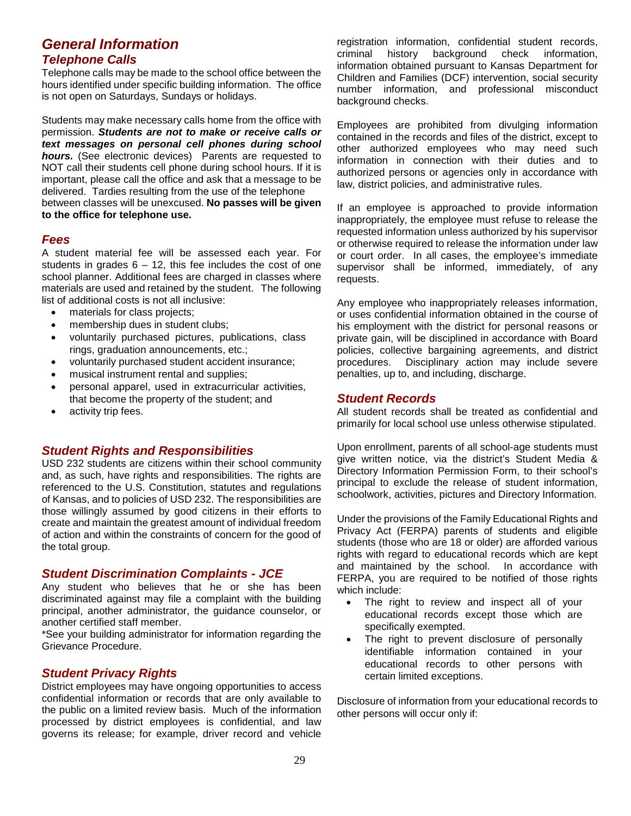## <span id="page-35-0"></span>*General Information Telephone Calls*

Telephone calls may be made to the school office between the hours identified under specific building information. The office is not open on Saturdays, Sundays or holidays.

Students may make necessary calls home from the office with permission. *Students are not to make or receive calls or text messages on personal cell phones during school hours.* (See electronic devices) Parents are requested to NOT call their students cell phone during school hours. If it is important, please call the office and ask that a message to be delivered. Tardies resulting from the use of the telephone between classes will be unexcused. **No passes will be given to the office for telephone use.**

#### *Fees*

A student material fee will be assessed each year. For students in grades  $6 - 12$ , this fee includes the cost of one school planner. Additional fees are charged in classes where materials are used and retained by the student. The following list of additional costs is not all inclusive:

- materials for class projects;
- membership dues in student clubs;
- voluntarily purchased pictures, publications, class rings, graduation announcements, etc.;
- voluntarily purchased student accident insurance;
- musical instrument rental and supplies;
- personal apparel, used in extracurricular activities, that become the property of the student; and
- activity trip fees.

## *Student Rights and Responsibilities*

USD 232 students are citizens within their school community and, as such, have rights and responsibilities. The rights are referenced to the U.S. Constitution, statutes and regulations of Kansas, and to policies of USD 232. The responsibilities are those willingly assumed by good citizens in their efforts to create and maintain the greatest amount of individual freedom of action and within the constraints of concern for the good of the total group.

#### *Student Discrimination Complaints - JCE*

Any student who believes that he or she has been discriminated against may file a complaint with the building principal, another administrator, the guidance counselor, or another certified staff member.

\*See your building administrator for information regarding the Grievance Procedure.

## *Student Privacy Rights*

District employees may have ongoing opportunities to access confidential information or records that are only available to the public on a limited review basis. Much of the information processed by district employees is confidential, and law governs its release; for example, driver record and vehicle

registration information, confidential student records, criminal history background check information, information obtained pursuant to Kansas Department for Children and Families (DCF) intervention, social security number information, and professional misconduct background checks.

Employees are prohibited from divulging information contained in the records and files of the district, except to other authorized employees who may need such information in connection with their duties and to authorized persons or agencies only in accordance with law, district policies, and administrative rules.

If an employee is approached to provide information inappropriately, the employee must refuse to release the requested information unless authorized by his supervisor or otherwise required to release the information under law or court order. In all cases, the employee's immediate supervisor shall be informed, immediately, of any requests.

Any employee who inappropriately releases information, or uses confidential information obtained in the course of his employment with the district for personal reasons or private gain, will be disciplined in accordance with Board policies, collective bargaining agreements, and district procedures. Disciplinary action may include severe penalties, up to, and including, discharge.

#### *Student Records*

All student records shall be treated as confidential and primarily for local school use unless otherwise stipulated.

Upon enrollment, parents of all school-age students must give written notice, via the district's Student Media & Directory Information Permission Form, to their school's principal to exclude the release of student information, schoolwork, activities, pictures and Directory Information.

Under the provisions of the Family Educational Rights and Privacy Act (FERPA) parents of students and eligible students (those who are 18 or older) are afforded various rights with regard to educational records which are kept and maintained by the school. In accordance with FERPA, you are required to be notified of those rights which include:

- The right to review and inspect all of your educational records except those which are specifically exempted.
- The right to prevent disclosure of personally identifiable information contained in your educational records to other persons with certain limited exceptions.

Disclosure of information from your educational records to other persons will occur only if: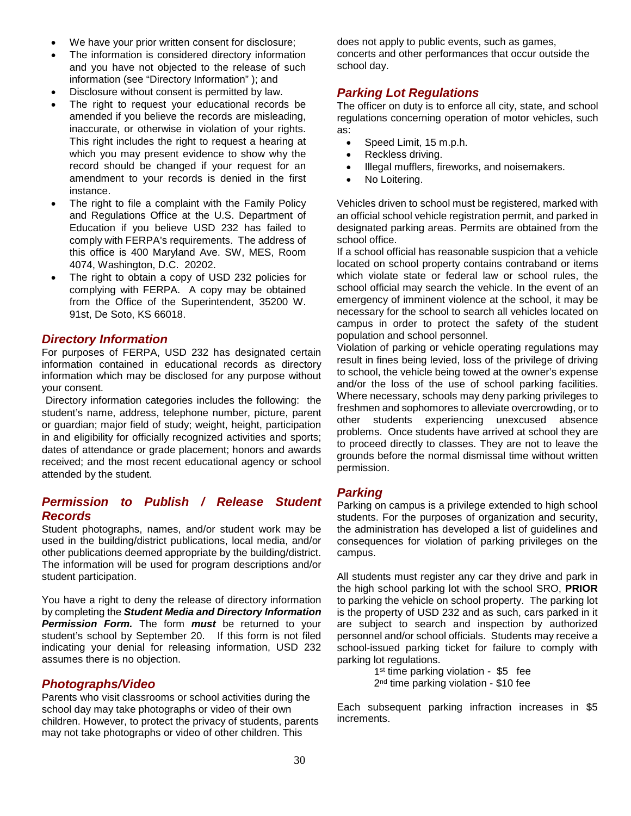- We have your prior written consent for disclosure;
- The information is considered directory information and you have not objected to the release of such information (see "Directory Information" ); and
- Disclosure without consent is permitted by law.
- The right to request your educational records be amended if you believe the records are misleading, inaccurate, or otherwise in violation of your rights. This right includes the right to request a hearing at which you may present evidence to show why the record should be changed if your request for an amendment to your records is denied in the first instance.
- The right to file a complaint with the Family Policy and Regulations Office at the U.S. Department of Education if you believe USD 232 has failed to comply with FERPA's requirements. The address of this office is 400 Maryland Ave. SW, MES, Room 4074, Washington, D.C. 20202.
- The right to obtain a copy of USD 232 policies for complying with FERPA. A copy may be obtained from the Office of the Superintendent, 35200 W. 91st, De Soto, KS 66018.

#### *Directory Information*

For purposes of FERPA, USD 232 has designated certain information contained in educational records as directory information which may be disclosed for any purpose without your consent.

Directory information categories includes the following: the student's name, address, telephone number, picture, parent or guardian; major field of study; weight, height, participation in and eligibility for officially recognized activities and sports; dates of attendance or grade placement; honors and awards received; and the most recent educational agency or school attended by the student.

## *Permission to Publish / Release Student Records*

Student photographs, names, and/or student work may be used in the building/district publications, local media, and/or other publications deemed appropriate by the building/district. The information will be used for program descriptions and/or student participation.

You have a right to deny the release of directory information by completing the *Student Media and Directory Information Permission Form.* The form *must* be returned to your student's school by September 20. If this form is not filed indicating your denial for releasing information, USD 232 assumes there is no objection.

## *Photographs/Video*

Parents who visit classrooms or school activities during the school day may take photographs or video of their own children. However, to protect the privacy of students, parents may not take photographs or video of other children. This

does not apply to public events, such as games, concerts and other performances that occur outside the school day.

## *Parking Lot Regulations*

The officer on duty is to enforce all city, state, and school regulations concerning operation of motor vehicles, such as:

- Speed Limit, 15 m.p.h.
- Reckless driving.
- Illegal mufflers, fireworks, and noisemakers.
- No Loitering.

Vehicles driven to school must be registered, marked with an official school vehicle registration permit, and parked in designated parking areas. Permits are obtained from the school office.

If a school official has reasonable suspicion that a vehicle located on school property contains contraband or items which violate state or federal law or school rules, the school official may search the vehicle. In the event of an emergency of imminent violence at the school, it may be necessary for the school to search all vehicles located on campus in order to protect the safety of the student population and school personnel.

Violation of parking or vehicle operating regulations may result in fines being levied, loss of the privilege of driving to school, the vehicle being towed at the owner's expense and/or the loss of the use of school parking facilities. Where necessary, schools may deny parking privileges to freshmen and sophomores to alleviate overcrowding, or to other students experiencing unexcused absence problems. Once students have arrived at school they are to proceed directly to classes. They are not to leave the grounds before the normal dismissal time without written permission.

## *Parking*

Parking on campus is a privilege extended to high school students. For the purposes of organization and security, the administration has developed a list of guidelines and consequences for violation of parking privileges on the campus.

All students must register any car they drive and park in the high school parking lot with the school SRO, **PRIOR** to parking the vehicle on school property. The parking lot is the property of USD 232 and as such, cars parked in it are subject to search and inspection by authorized personnel and/or school officials. Students may receive a school-issued parking ticket for failure to comply with parking lot regulations.

> 1<sup>st</sup> time parking violation - \$5 fee 2<sup>nd</sup> time parking violation - \$10 fee

Each subsequent parking infraction increases in \$5 increments.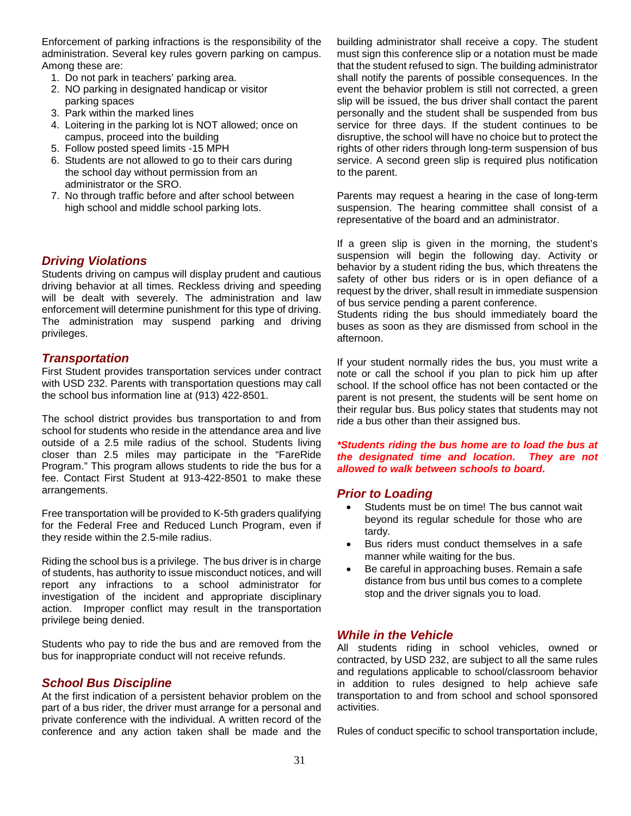Enforcement of parking infractions is the responsibility of the administration. Several key rules govern parking on campus. Among these are:

- 1. Do not park in teachers' parking area.
- 2. NO parking in designated handicap or visitor parking spaces
- 3. Park within the marked lines
- 4. Loitering in the parking lot is NOT allowed; once on campus, proceed into the building
- 5. Follow posted speed limits -15 MPH
- 6. Students are not allowed to go to their cars during the school day without permission from an administrator or the SRO.
- 7. No through traffic before and after school between high school and middle school parking lots.

#### *Driving Violations*

Students driving on campus will display prudent and cautious driving behavior at all times. Reckless driving and speeding will be dealt with severely. The administration and law enforcement will determine punishment for this type of driving. The administration may suspend parking and driving privileges.

#### *Transportation*

First Student provides transportation services under contract with USD 232. Parents with transportation questions may call the school bus information line at (913) 422-8501.

The school district provides bus transportation to and from school for students who reside in the attendance area and live outside of a 2.5 mile radius of the school. Students living closer than 2.5 miles may participate in the "FareRide Program." This program allows students to ride the bus for a fee. Contact First Student at 913-422-8501 to make these arrangements.

Free transportation will be provided to K-5th graders qualifying for the Federal Free and Reduced Lunch Program, even if they reside within the 2.5-mile radius.

Riding the school bus is a privilege. The bus driver is in charge of students, has authority to issue misconduct notices, and will report any infractions to a school administrator for investigation of the incident and appropriate disciplinary action. Improper conflict may result in the transportation privilege being denied.

Students who pay to ride the bus and are removed from the bus for inappropriate conduct will not receive refunds.

#### *School Bus Discipline*

At the first indication of a persistent behavior problem on the part of a bus rider, the driver must arrange for a personal and private conference with the individual. A written record of the conference and any action taken shall be made and the

building administrator shall receive a copy. The student must sign this conference slip or a notation must be made that the student refused to sign. The building administrator shall notify the parents of possible consequences. In the event the behavior problem is still not corrected, a green slip will be issued, the bus driver shall contact the parent personally and the student shall be suspended from bus service for three days. If the student continues to be disruptive, the school will have no choice but to protect the rights of other riders through long-term suspension of bus service. A second green slip is required plus notification to the parent.

Parents may request a hearing in the case of long-term suspension. The hearing committee shall consist of a representative of the board and an administrator.

If a green slip is given in the morning, the student's suspension will begin the following day. Activity or behavior by a student riding the bus, which threatens the safety of other bus riders or is in open defiance of a request by the driver, shall result in immediate suspension of bus service pending a parent conference.

Students riding the bus should immediately board the buses as soon as they are dismissed from school in the afternoon.

If your student normally rides the bus, you must write a note or call the school if you plan to pick him up after school. If the school office has not been contacted or the parent is not present, the students will be sent home on their regular bus. Bus policy states that students may not ride a bus other than their assigned bus.

*\*Students riding the bus home are to load the bus at the designated time and location. They are not allowed to walk between schools to board.*

#### *Prior to Loading*

- Students must be on time! The bus cannot wait beyond its regular schedule for those who are tardy.
- Bus riders must conduct themselves in a safe manner while waiting for the bus.
- Be careful in approaching buses. Remain a safe distance from bus until bus comes to a complete stop and the driver signals you to load.

## *While in the Vehicle*

All students riding in school vehicles, owned or contracted, by USD 232, are subject to all the same rules and regulations applicable to school/classroom behavior in addition to rules designed to help achieve safe transportation to and from school and school sponsored activities.

Rules of conduct specific to school transportation include,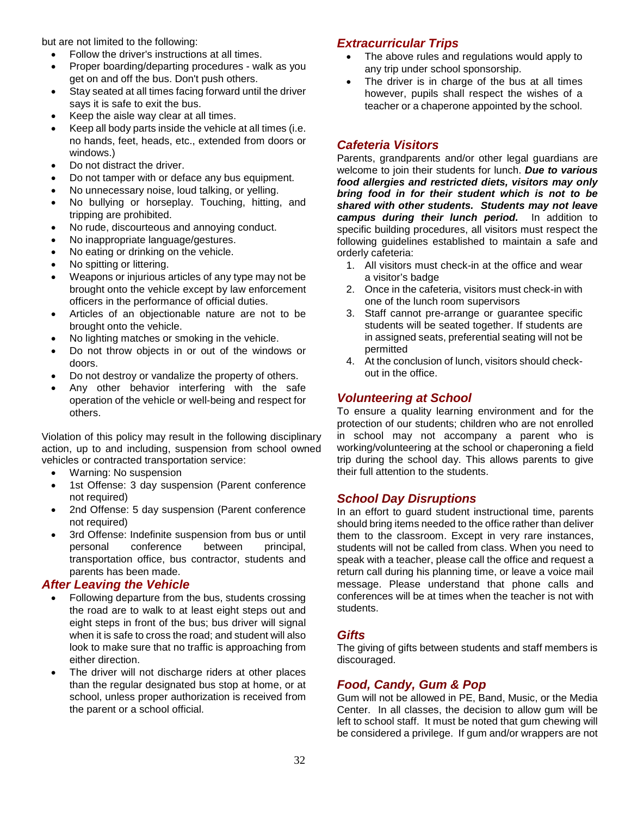but are not limited to the following:

- Follow the driver's instructions at all times.
- Proper boarding/departing procedures walk as you get on and off the bus. Don't push others.
- Stay seated at all times facing forward until the driver says it is safe to exit the bus.
- Keep the aisle way clear at all times.
- Keep all body parts inside the vehicle at all times (i.e. no hands, feet, heads, etc., extended from doors or windows.)
- Do not distract the driver.
- Do not tamper with or deface any bus equipment.
- No unnecessary noise, loud talking, or yelling.
- No bullying or horseplay. Touching, hitting, and tripping are prohibited.
- No rude, discourteous and annoying conduct.
- No inappropriate language/gestures.
- No eating or drinking on the vehicle.
- No spitting or littering.
- Weapons or injurious articles of any type may not be brought onto the vehicle except by law enforcement officers in the performance of official duties.
- Articles of an objectionable nature are not to be brought onto the vehicle.
- No lighting matches or smoking in the vehicle.
- Do not throw objects in or out of the windows or doors.
- Do not destroy or vandalize the property of others.
- Any other behavior interfering with the safe operation of the vehicle or well-being and respect for others.

Violation of this policy may result in the following disciplinary action, up to and including, suspension from school owned vehicles or contracted transportation service:

- Warning: No suspension
- 1st Offense: 3 day suspension (Parent conference not required)
- 2nd Offense: 5 day suspension (Parent conference not required)
- 3rd Offense: Indefinite suspension from bus or until personal conference between principal, transportation office, bus contractor, students and parents has been made.

## *After Leaving the Vehicle*

- Following departure from the bus, students crossing the road are to walk to at least eight steps out and eight steps in front of the bus; bus driver will signal when it is safe to cross the road; and student will also look to make sure that no traffic is approaching from either direction.
- The driver will not discharge riders at other places than the regular designated bus stop at home, or at school, unless proper authorization is received from the parent or a school official.

## *Extracurricular Trips*

- The above rules and regulations would apply to any trip under school sponsorship.
- The driver is in charge of the bus at all times however, pupils shall respect the wishes of a teacher or a chaperone appointed by the school.

## *Cafeteria Visitors*

Parents, grandparents and/or other legal guardians are welcome to join their students for lunch. *Due to various food allergies and restricted diets, visitors may only bring food in for their student which is not to be shared with other students. Students may not leave campus during their lunch period.* In addition to specific building procedures, all visitors must respect the following guidelines established to maintain a safe and orderly cafeteria:

- 1. All visitors must check-in at the office and wear a visitor's badge
- 2. Once in the cafeteria, visitors must check-in with one of the lunch room supervisors
- 3. Staff cannot pre-arrange or guarantee specific students will be seated together. If students are in assigned seats, preferential seating will not be permitted
- 4. At the conclusion of lunch, visitors should checkout in the office.

## *Volunteering at School*

To ensure a quality learning environment and for the protection of our students; children who are not enrolled in school may not accompany a parent who is working/volunteering at the school or chaperoning a field trip during the school day. This allows parents to give their full attention to the students.

## *School Day Disruptions*

In an effort to guard student instructional time, parents should bring items needed to the office rather than deliver them to the classroom. Except in very rare instances, students will not be called from class. When you need to speak with a teacher, please call the office and request a return call during his planning time, or leave a voice mail message. Please understand that phone calls and conferences will be at times when the teacher is not with students.

## <span id="page-38-0"></span>*Gifts*

The giving of gifts between students and staff members is discouraged.

## *Food, Candy, Gum & Pop*

Gum will not be allowed in PE, Band, Music, or the Media Center. In all classes, the decision to allow gum will be left to school staff. It must be noted that gum chewing will be considered a privilege. If gum and/or wrappers are not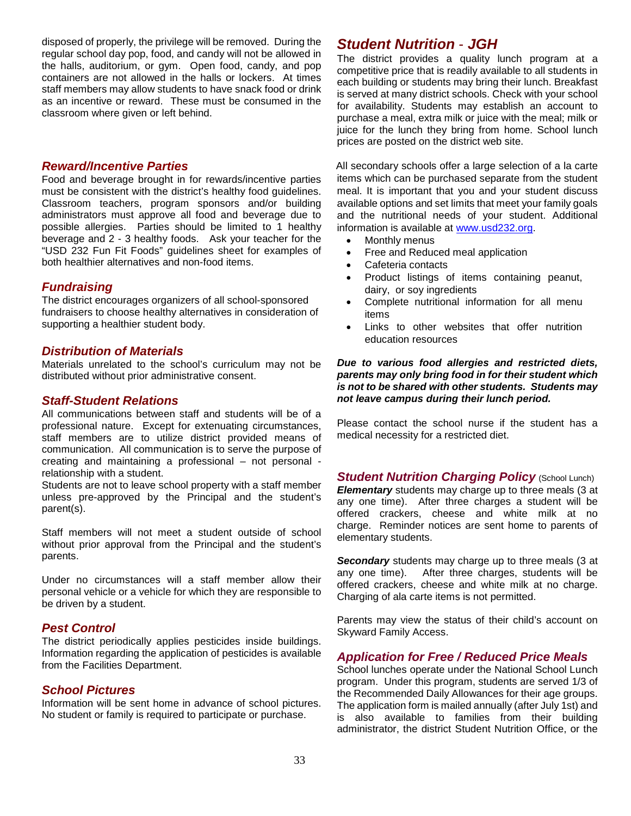disposed of properly, the privilege will be removed. During the regular school day pop, food, and candy will not be allowed in the halls, auditorium, or gym. Open food, candy, and pop containers are not allowed in the halls or lockers. At times staff members may allow students to have snack food or drink as an incentive or reward. These must be consumed in the classroom where given or left behind.

#### *Reward/Incentive Parties*

Food and beverage brought in for rewards/incentive parties must be consistent with the district's healthy food guidelines. Classroom teachers, program sponsors and/or building administrators must approve all food and beverage due to possible allergies. Parties should be limited to 1 healthy beverage and 2 - 3 healthy foods. Ask your teacher for the "USD 232 Fun Fit Foods" guidelines sheet for examples of both healthier alternatives and non-food items.

#### *Fundraising*

The district encourages organizers of all school-sponsored fundraisers to choose healthy alternatives in consideration of supporting a healthier student body.

#### *Distribution of Materials*

Materials unrelated to the school's curriculum may not be distributed without prior administrative consent.

#### *Staff-Student Relations*

All communications between staff and students will be of a professional nature. Except for extenuating circumstances, staff members are to utilize district provided means of communication. All communication is to serve the purpose of creating and maintaining a professional – not personal relationship with a student.

Students are not to leave school property with a staff member unless pre-approved by the Principal and the student's parent(s).

Staff members will not meet a student outside of school without prior approval from the Principal and the student's parents.

Under no circumstances will a staff member allow their personal vehicle or a vehicle for which they are responsible to be driven by a student.

## *Pest Control*

The district periodically applies pesticides inside buildings. Information regarding the application of pesticides is available from the Facilities Department.

#### *School Pictures*

Information will be sent home in advance of school pictures. No student or family is required to participate or purchase.

## *Student Nutrition* - *JGH*

The district provides a quality lunch program at a competitive price that is readily available to all students in each building or students may bring their lunch. Breakfast is served at many district schools. Check with your school for availability. Students may establish an account to purchase a meal, extra milk or juice with the meal; milk or juice for the lunch they bring from home. School lunch prices are posted on the district web site.

All secondary schools offer a large selection of a la carte items which can be purchased separate from the student meal. It is important that you and your student discuss available options and set limits that meet your family goals and the nutritional needs of your student. Additional information is available at [www.usd232.org.](http://www.usd232.org/)

- Monthly menus
- Free and Reduced meal application
- Cafeteria contacts
- Product listings of items containing peanut, dairy, or soy ingredients
- Complete nutritional information for all menu items
- Links to other websites that offer nutrition education resources

#### *Due to various food allergies and restricted diets, parents may only bring food in for their student which is not to be shared with other students. Students may not leave campus during their lunch period.*

Please contact the school nurse if the student has a medical necessity for a restricted diet.

*Student Nutrition Charging Policy (School Lunch) Elementary* students may charge up to three meals (3 at any one time). After three charges a student will be offered crackers, cheese and white milk at no charge. Reminder notices are sent home to parents of elementary students.

*Secondary* students may charge up to three meals (3 at any one time). After three charges, students will be offered crackers, cheese and white milk at no charge. Charging of ala carte items is not permitted.

Parents may view the status of their child's account on Skyward Family Access.

## *Application for Free / Reduced Price Meals*

School lunches operate under the National School Lunch program. Under this program, students are served 1/3 of the Recommended Daily Allowances for their age groups. The application form is mailed annually (after July 1st) and is also available to families from their building administrator, the district Student Nutrition Office, or the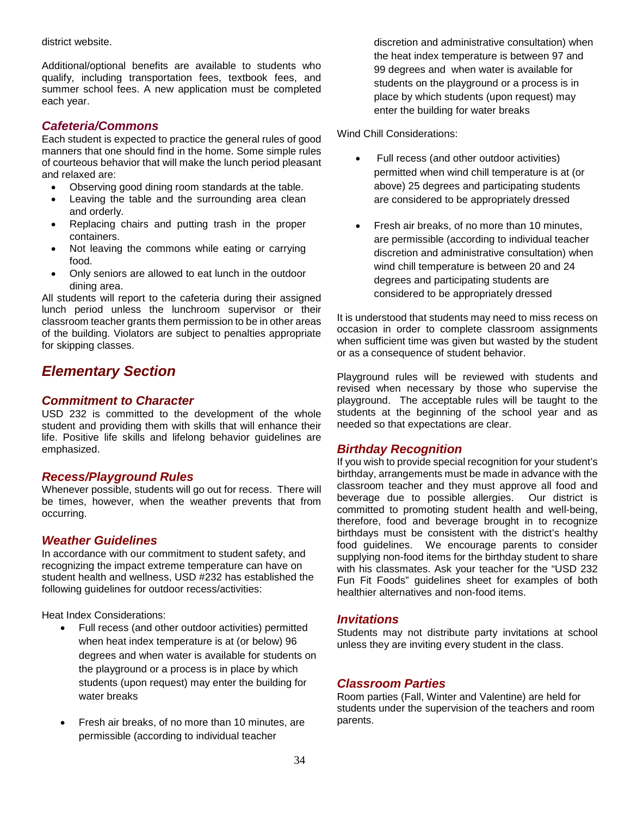district website.

Additional/optional benefits are available to students who qualify, including transportation fees, textbook fees, and summer school fees. A new application must be completed each year.

## *Cafeteria/Commons*

Each student is expected to practice the general rules of good manners that one should find in the home. Some simple rules of courteous behavior that will make the lunch period pleasant and relaxed are:

- Observing good dining room standards at the table.
- Leaving the table and the surrounding area clean and orderly.
- Replacing chairs and putting trash in the proper containers.
- Not leaving the commons while eating or carrying food.
- Only seniors are allowed to eat lunch in the outdoor dining area.

All students will report to the cafeteria during their assigned lunch period unless the lunchroom supervisor or their classroom teacher grants them permission to be in other areas of the building. Violators are subject to penalties appropriate for skipping classes.

## <span id="page-40-0"></span>*Elementary Section*

## *Commitment to Character*

USD 232 is committed to the development of the whole student and providing them with skills that will enhance their life. Positive life skills and lifelong behavior guidelines are emphasized.

## *Recess/Playground Rules*

Whenever possible, students will go out for recess. There will be times, however, when the weather prevents that from occurring.

## *Weather Guidelines*

In accordance with our commitment to student safety, and recognizing the impact extreme temperature can have on student health and wellness, USD #232 has established the following guidelines for outdoor recess/activities:

Heat Index Considerations:

- Full recess (and other outdoor activities) permitted when heat index temperature is at (or below) 96 degrees and when water is available for students on the playground or a process is in place by which students (upon request) may enter the building for water breaks
- Fresh air breaks, of no more than 10 minutes, are permissible (according to individual teacher

discretion and administrative consultation) when the heat index temperature is between 97 and 99 degrees and when water is available for students on the playground or a process is in place by which students (upon request) may enter the building for water breaks

Wind Chill Considerations:

- Full recess (and other outdoor activities) permitted when wind chill temperature is at (or above) 25 degrees and participating students are considered to be appropriately dressed
- Fresh air breaks, of no more than 10 minutes, are permissible (according to individual teacher discretion and administrative consultation) when wind chill temperature is between 20 and 24 degrees and participating students are considered to be appropriately dressed

It is understood that students may need to miss recess on occasion in order to complete classroom assignments when sufficient time was given but wasted by the student or as a consequence of student behavior.

Playground rules will be reviewed with students and revised when necessary by those who supervise the playground. The acceptable rules will be taught to the students at the beginning of the school year and as needed so that expectations are clear.

## *Birthday Recognition*

If you wish to provide special recognition for your student's birthday, arrangements must be made in advance with the classroom teacher and they must approve all food and beverage due to possible allergies. Our district is committed to promoting student health and well-being, therefore, food and beverage brought in to recognize birthdays must be consistent with the district's healthy food guidelines. We encourage parents to consider supplying non-food items for the birthday student to share with his classmates. Ask your teacher for the "USD 232 Fun Fit Foods" guidelines sheet for examples of both healthier alternatives and non-food items.

## *Invitations*

Students may not distribute party invitations at school unless they are inviting every student in the class.

#### *Classroom Parties*

Room parties (Fall, Winter and Valentine) are held for students under the supervision of the teachers and room parents.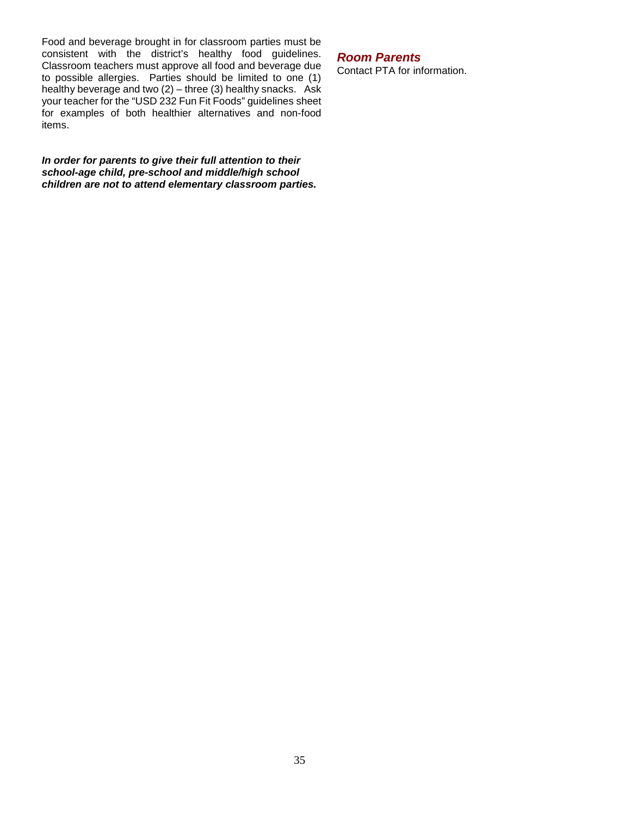Food and beverage brought in for classroom parties must be consistent with the district's healthy food guidelines. Classroom teachers must approve all food and beverage due to possible allergies. Parties should be limited to one (1) healthy beverage and two (2) – three (3) healthy snacks. Ask your teacher for the "USD 232 Fun Fit Foods" guidelines sheet for examples of both healthier alternatives and non-food items.

*In order for parents to give their full attention to their school-age child, pre-school and middle/high school children are not to attend elementary classroom parties.*

## *Room Parents*

Contact PTA for information.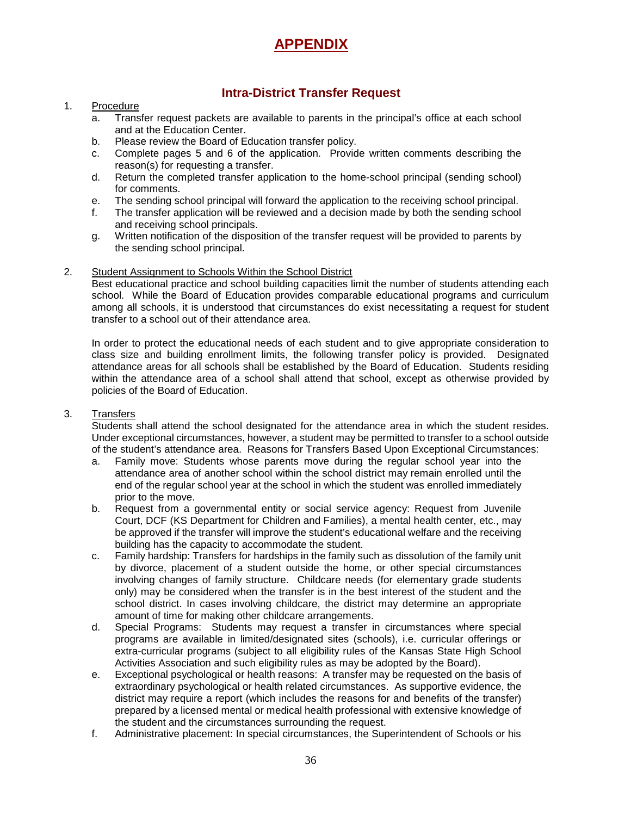## **APPENDIX**

## **Intra-District Transfer Request**

#### 1. Procedure

- a. Transfer request packets are available to parents in the principal's office at each school and at the Education Center.
- b. Please review the Board of Education transfer policy.
- c. Complete pages 5 and 6 of the application. Provide written comments describing the reason(s) for requesting a transfer.
- d. Return the completed transfer application to the home-school principal (sending school) for comments.
- e. The sending school principal will forward the application to the receiving school principal.
- f. The transfer application will be reviewed and a decision made by both the sending school and receiving school principals.
- g. Written notification of the disposition of the transfer request will be provided to parents by the sending school principal.

#### 2. Student Assignment to Schools Within the School District

Best educational practice and school building capacities limit the number of students attending each school. While the Board of Education provides comparable educational programs and curriculum among all schools, it is understood that circumstances do exist necessitating a request for student transfer to a school out of their attendance area.

In order to protect the educational needs of each student and to give appropriate consideration to class size and building enrollment limits, the following transfer policy is provided. Designated attendance areas for all schools shall be established by the Board of Education. Students residing within the attendance area of a school shall attend that school, except as otherwise provided by policies of the Board of Education.

#### 3. Transfers

Students shall attend the school designated for the attendance area in which the student resides. Under exceptional circumstances, however, a student may be permitted to transfer to a school outside of the student's attendance area. Reasons for Transfers Based Upon Exceptional Circumstances:

- a. Family move: Students whose parents move during the regular school year into the attendance area of another school within the school district may remain enrolled until the end of the regular school year at the school in which the student was enrolled immediately prior to the move.
- b. Request from a governmental entity or social service agency: Request from Juvenile Court, DCF (KS Department for Children and Families), a mental health center, etc., may be approved if the transfer will improve the student's educational welfare and the receiving building has the capacity to accommodate the student.
- c. Family hardship: Transfers for hardships in the family such as dissolution of the family unit by divorce, placement of a student outside the home, or other special circumstances involving changes of family structure. Childcare needs (for elementary grade students only) may be considered when the transfer is in the best interest of the student and the school district. In cases involving childcare, the district may determine an appropriate amount of time for making other childcare arrangements.
- d. Special Programs: Students may request a transfer in circumstances where special programs are available in limited/designated sites (schools), i.e. curricular offerings or extra-curricular programs (subject to all eligibility rules of the Kansas State High School Activities Association and such eligibility rules as may be adopted by the Board).
- e. Exceptional psychological or health reasons: A transfer may be requested on the basis of extraordinary psychological or health related circumstances. As supportive evidence, the district may require a report (which includes the reasons for and benefits of the transfer) prepared by a licensed mental or medical health professional with extensive knowledge of the student and the circumstances surrounding the request.
- f. Administrative placement: In special circumstances, the Superintendent of Schools or his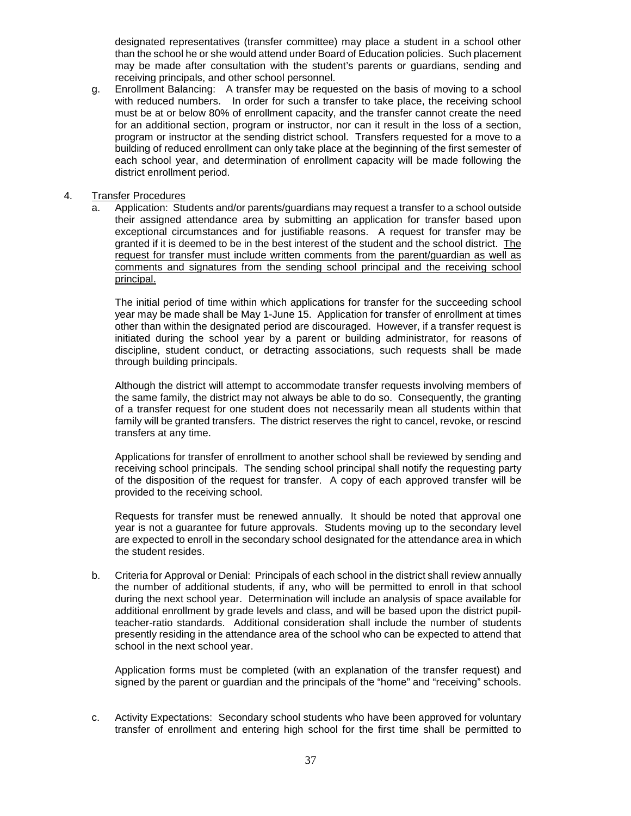designated representatives (transfer committee) may place a student in a school other than the school he or she would attend under Board of Education policies. Such placement may be made after consultation with the student's parents or guardians, sending and receiving principals, and other school personnel.

g. Enrollment Balancing: A transfer may be requested on the basis of moving to a school with reduced numbers. In order for such a transfer to take place, the receiving school must be at or below 80% of enrollment capacity, and the transfer cannot create the need for an additional section, program or instructor, nor can it result in the loss of a section, program or instructor at the sending district school. Transfers requested for a move to a building of reduced enrollment can only take place at the beginning of the first semester of each school year, and determination of enrollment capacity will be made following the district enrollment period.

#### 4. Transfer Procedures

a. Application: Students and/or parents/guardians may request a transfer to a school outside their assigned attendance area by submitting an application for transfer based upon exceptional circumstances and for justifiable reasons. A request for transfer may be granted if it is deemed to be in the best interest of the student and the school district. The request for transfer must include written comments from the parent/guardian as well as comments and signatures from the sending school principal and the receiving school principal.

The initial period of time within which applications for transfer for the succeeding school year may be made shall be May 1-June 15. Application for transfer of enrollment at times other than within the designated period are discouraged. However, if a transfer request is initiated during the school year by a parent or building administrator, for reasons of discipline, student conduct, or detracting associations, such requests shall be made through building principals.

Although the district will attempt to accommodate transfer requests involving members of the same family, the district may not always be able to do so. Consequently, the granting of a transfer request for one student does not necessarily mean all students within that family will be granted transfers. The district reserves the right to cancel, revoke, or rescind transfers at any time.

Applications for transfer of enrollment to another school shall be reviewed by sending and receiving school principals. The sending school principal shall notify the requesting party of the disposition of the request for transfer. A copy of each approved transfer will be provided to the receiving school.

Requests for transfer must be renewed annually. It should be noted that approval one year is not a guarantee for future approvals. Students moving up to the secondary level are expected to enroll in the secondary school designated for the attendance area in which the student resides.

b. Criteria for Approval or Denial: Principals of each school in the district shall review annually the number of additional students, if any, who will be permitted to enroll in that school during the next school year. Determination will include an analysis of space available for additional enrollment by grade levels and class, and will be based upon the district pupilteacher-ratio standards. Additional consideration shall include the number of students presently residing in the attendance area of the school who can be expected to attend that school in the next school year.

Application forms must be completed (with an explanation of the transfer request) and signed by the parent or guardian and the principals of the "home" and "receiving" schools.

c. Activity Expectations: Secondary school students who have been approved for voluntary transfer of enrollment and entering high school for the first time shall be permitted to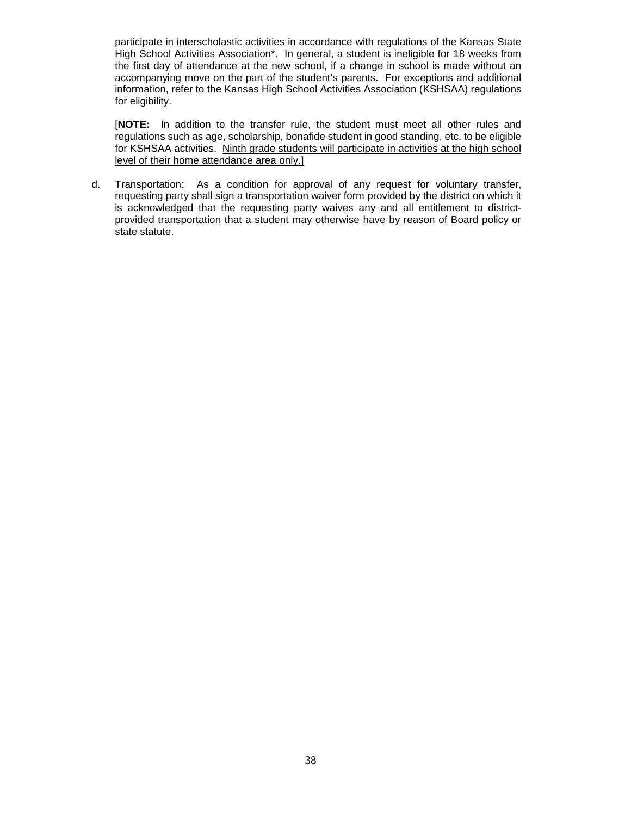participate in interscholastic activities in accordance with regulations of the Kansas State High School Activities Association\*. In general, a student is ineligible for 18 weeks from the first day of attendance at the new school, if a change in school is made without an accompanying move on the part of the student's parents. For exceptions and additional information, refer to the Kansas High School Activities Association (KSHSAA) regulations for eligibility.

[**NOTE:** In addition to the transfer rule, the student must meet all other rules and regulations such as age, scholarship, bonafide student in good standing, etc. to be eligible for KSHSAA activities. Ninth grade students will participate in activities at the high school level of their home attendance area only.]

d. Transportation: As a condition for approval of any request for voluntary transfer, requesting party shall sign a transportation waiver form provided by the district on which it is acknowledged that the requesting party waives any and all entitlement to districtprovided transportation that a student may otherwise have by reason of Board policy or state statute.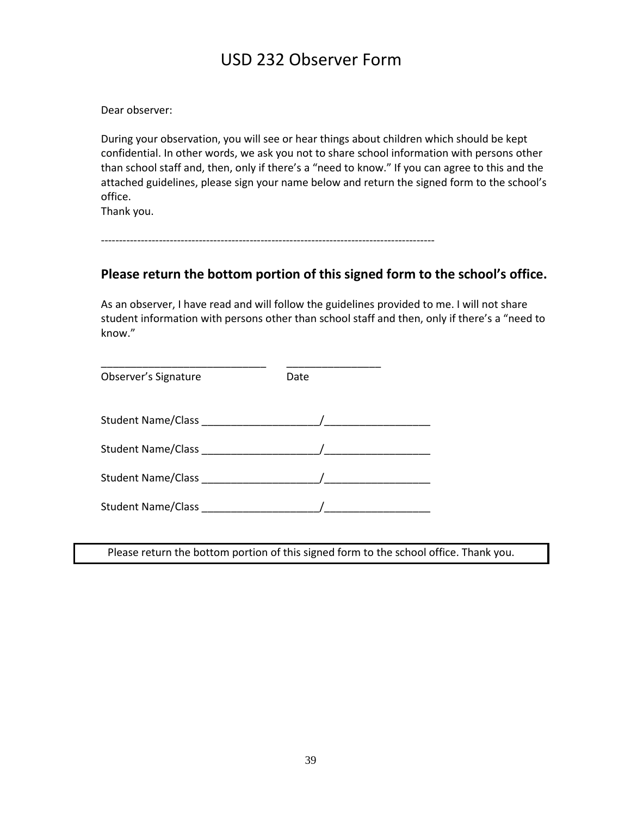## USD 232 Observer Form

Dear observer:

During your observation, you will see or hear things about children which should be kept confidential. In other words, we ask you not to share school information with persons other than school staff and, then, only if there's a "need to know." If you can agree to this and the attached guidelines, please sign your name below and return the signed form to the school's office.

Thank you.

--------------------------------------------------------------------------------------------

## **Please return the bottom portion of this signed form to the school's office.**

As an observer, I have read and will follow the guidelines provided to me. I will not share student information with persons other than school staff and then, only if there's a "need to know."

| Observer's Signature                                                                                          | Date |
|---------------------------------------------------------------------------------------------------------------|------|
|                                                                                                               |      |
|                                                                                                               |      |
| Student Name/Class Manual Manual Manual Manual Manual Manual Manual Manual Manual Manual Manual Manual Manual |      |
| Student Name/Class                                                                                            |      |

Please return the bottom portion of this signed form to the school office. Thank you.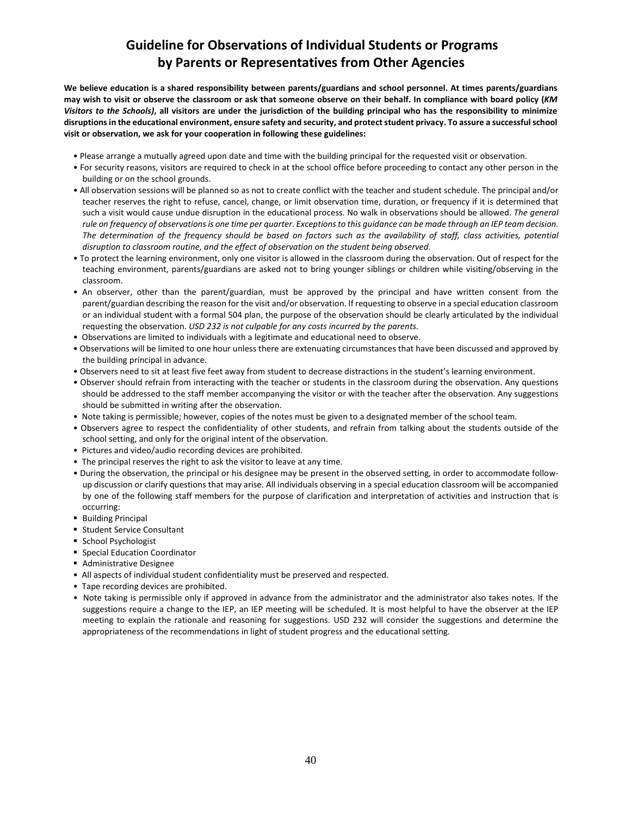## **Guideline for Observations of Individual Students or Programs by Parents or Representatives from Other Agencies**

**We believe education is a shared responsibility between parents/guardians and school personnel. At times parents/guardians may wish to visit or observe the classroom or ask that someone observe on their behalf. In compliance with board policy (***KM Visitors to the Schools)***, all visitors are under the jurisdiction of the building principal who has the responsibility to minimize disruptions in the educational environment, ensure safety and security, and protect student privacy. To assure a successful school visit or observation, we ask for your cooperation in following these guidelines:** 

- Please arrange a mutually agreed upon date and time with the building principal for the requested visit or observation.
- For security reasons, visitors are required to check in at the school office before proceeding to contact any other person in the building or on the school grounds.
- All observation sessions will be planned so as not to create conflict with the teacher and student schedule. The principal and/or teacher reserves the right to refuse, cancel, change, or limit observation time, duration, or frequency if it is determined that such a visit would cause undue disruption in the educational process. No walk in observations should be allowed. *The general rule on frequency of observations is one time per quarter. Exceptions to this guidance can be made through an IEP team decision. The determination of the frequency should be based on factors such as the availability of staff, class activities, potential disruption to classroom routine, and the effect of observation on the student being observed.*
- To protect the learning environment, only one visitor is allowed in the classroom during the observation. Out of respect for the teaching environment, parents/guardians are asked not to bring younger siblings or children while visiting/observing in the classroom.
- An observer, other than the parent/guardian, must be approved by the principal and have written consent from the parent/guardian describing the reason for the visit and/or observation. If requesting to observe in a special education classroom or an individual student with a formal 504 plan, the purpose of the observation should be clearly articulated by the individual requesting the observation. *USD 232 is not culpable for any costs incurred by the parents.*
- Observations are limited to individuals with a legitimate and educational need to observe.
- Observations will be limited to one hour unless there are extenuating circumstances that have been discussed and approved by the building principal in advance.
- Observers need to sit at least five feet away from student to decrease distractions in the student's learning environment.
- Observer should refrain from interacting with the teacher or students in the classroom during the observation. Any questions should be addressed to the staff member accompanying the visitor or with the teacher after the observation. Any suggestions should be submitted in writing after the observation.
- Note taking is permissible; however, copies of the notes must be given to a designated member of the school team.
- Observers agree to respect the confidentiality of other students, and refrain from talking about the students outside of the school setting, and only for the original intent of the observation.
- Pictures and video/audio recording devices are prohibited.
- The principal reserves the right to ask the visitor to leave at any time.
- During the observation, the principal or his designee may be present in the observed setting, in order to accommodate followup discussion or clarify questions that may arise. All individuals observing in a special education classroom will be accompanied by one of the following staff members for the purpose of clarification and interpretation of activities and instruction that is occurring:
- **Building Principal**
- **Student Service Consultant**
- **School Psychologist**
- **Special Education Coordinator**
- **Administrative Designee**
- All aspects of individual student confidentiality must be preserved and respected.
- Tape recording devices are prohibited.
- Note taking is permissible only if approved in advance from the administrator and the administrator also takes notes. If the suggestions require a change to the IEP, an IEP meeting will be scheduled. It is most helpful to have the observer at the IEP meeting to explain the rationale and reasoning for suggestions. USD 232 will consider the suggestions and determine the appropriateness of the recommendations in light of student progress and the educational setting.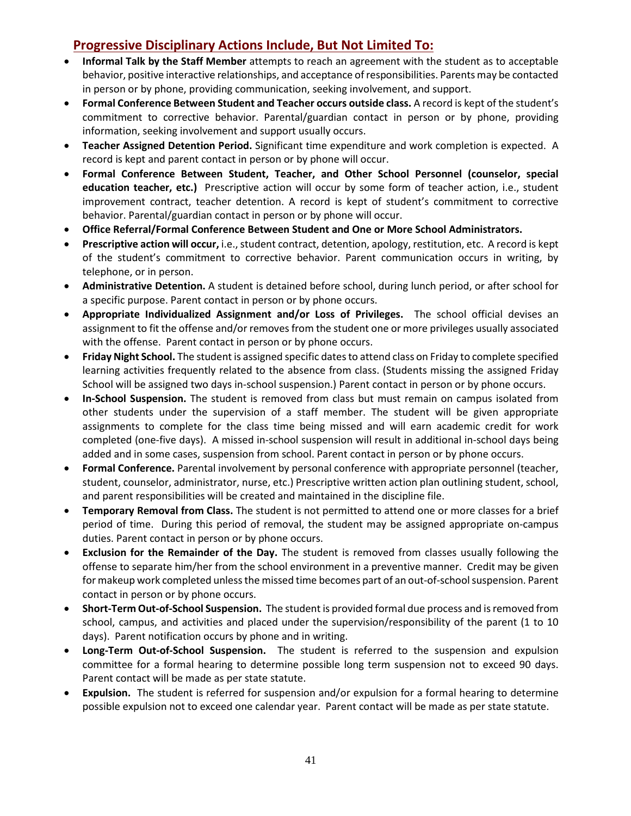## **Progressive Disciplinary Actions Include, But Not Limited To:**

- **Informal Talk by the Staff Member** attempts to reach an agreement with the student as to acceptable behavior, positive interactive relationships, and acceptance of responsibilities. Parents may be contacted in person or by phone, providing communication, seeking involvement, and support.
- **Formal Conference Between Student and Teacher occurs outside class.** A record is kept of the student's commitment to corrective behavior. Parental/guardian contact in person or by phone, providing information, seeking involvement and support usually occurs.
- **Teacher Assigned Detention Period.** Significant time expenditure and work completion is expected. A record is kept and parent contact in person or by phone will occur.
- **Formal Conference Between Student, Teacher, and Other School Personnel (counselor, special education teacher, etc.)** Prescriptive action will occur by some form of teacher action, i.e., student improvement contract, teacher detention. A record is kept of student's commitment to corrective behavior. Parental/guardian contact in person or by phone will occur.
- **Office Referral/Formal Conference Between Student and One or More School Administrators.**
- **Prescriptive action will occur,** i.e., student contract, detention, apology, restitution, etc. A record is kept of the student's commitment to corrective behavior. Parent communication occurs in writing, by telephone, or in person.
- **Administrative Detention.** A student is detained before school, during lunch period, or after school for a specific purpose. Parent contact in person or by phone occurs.
- **Appropriate Individualized Assignment and/or Loss of Privileges.** The school official devises an assignment to fit the offense and/or removes from the student one or more privileges usually associated with the offense. Parent contact in person or by phone occurs.
- **Friday Night School.** The student is assigned specific dates to attend class on Friday to complete specified learning activities frequently related to the absence from class. (Students missing the assigned Friday School will be assigned two days in-school suspension.) Parent contact in person or by phone occurs.
- **In-School Suspension.** The student is removed from class but must remain on campus isolated from other students under the supervision of a staff member. The student will be given appropriate assignments to complete for the class time being missed and will earn academic credit for work completed (one-five days). A missed in-school suspension will result in additional in-school days being added and in some cases, suspension from school. Parent contact in person or by phone occurs.
- **Formal Conference.** Parental involvement by personal conference with appropriate personnel (teacher, student, counselor, administrator, nurse, etc.) Prescriptive written action plan outlining student, school, and parent responsibilities will be created and maintained in the discipline file.
- **Temporary Removal from Class.** The student is not permitted to attend one or more classes for a brief period of time. During this period of removal, the student may be assigned appropriate on-campus duties. Parent contact in person or by phone occurs.
- **Exclusion for the Remainder of the Day.** The student is removed from classes usually following the offense to separate him/her from the school environment in a preventive manner. Credit may be given for makeup work completed unless the missed time becomes part of an out-of-school suspension. Parent contact in person or by phone occurs.
- **Short-Term Out-of-School Suspension.** The student is provided formal due process and is removed from school, campus, and activities and placed under the supervision/responsibility of the parent (1 to 10 days). Parent notification occurs by phone and in writing.
- **Long-Term Out-of-School Suspension.** The student is referred to the suspension and expulsion committee for a formal hearing to determine possible long term suspension not to exceed 90 days. Parent contact will be made as per state statute.
- **Expulsion.** The student is referred for suspension and/or expulsion for a formal hearing to determine possible expulsion not to exceed one calendar year. Parent contact will be made as per state statute.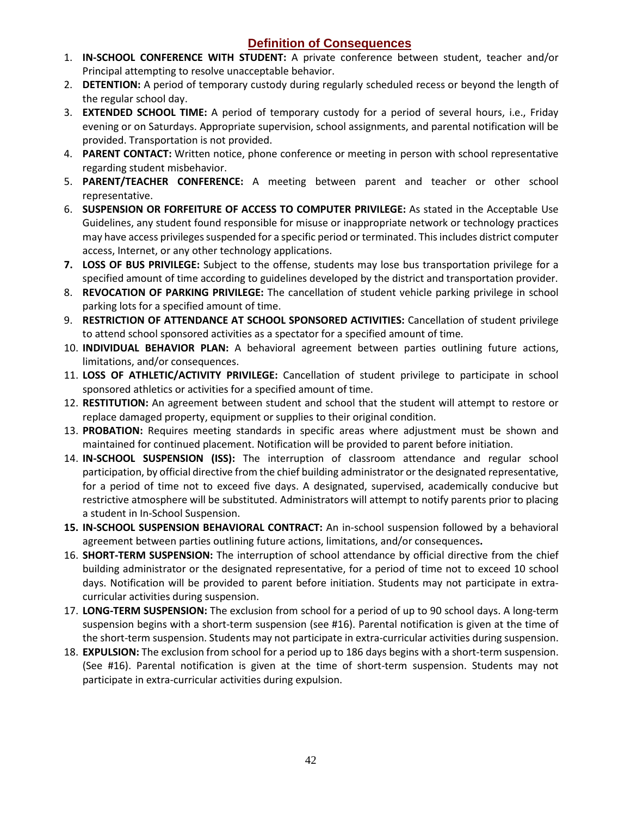## **Definition of Consequences**

- 1. **IN-SCHOOL CONFERENCE WITH STUDENT:** A private conference between student, teacher and/or Principal attempting to resolve unacceptable behavior.
- 2. **DETENTION:** A period of temporary custody during regularly scheduled recess or beyond the length of the regular school day.
- 3. **EXTENDED SCHOOL TIME:** A period of temporary custody for a period of several hours, i.e., Friday evening or on Saturdays. Appropriate supervision, school assignments, and parental notification will be provided. Transportation is not provided.
- 4. **PARENT CONTACT:** Written notice, phone conference or meeting in person with school representative regarding student misbehavior.
- 5. **PARENT/TEACHER CONFERENCE:** A meeting between parent and teacher or other school representative.
- 6. **SUSPENSION OR FORFEITURE OF ACCESS TO COMPUTER PRIVILEGE:** As stated in the Acceptable Use Guidelines, any student found responsible for misuse or inappropriate network or technology practices may have access privileges suspended for a specific period or terminated. This includes district computer access, Internet, or any other technology applications.
- **7. LOSS OF BUS PRIVILEGE:** Subject to the offense, students may lose bus transportation privilege for a specified amount of time according to guidelines developed by the district and transportation provider.
- 8. **REVOCATION OF PARKING PRIVILEGE:** The cancellation of student vehicle parking privilege in school parking lots for a specified amount of time.
- 9. **RESTRICTION OF ATTENDANCE AT SCHOOL SPONSORED ACTIVITIES:** Cancellation of student privilege to attend school sponsored activities as a spectator for a specified amount of time.
- 10. **INDIVIDUAL BEHAVIOR PLAN:** A behavioral agreement between parties outlining future actions, limitations, and/or consequences.
- 11. **LOSS OF ATHLETIC/ACTIVITY PRIVILEGE:** Cancellation of student privilege to participate in school sponsored athletics or activities for a specified amount of time.
- 12. **RESTITUTION:** An agreement between student and school that the student will attempt to restore or replace damaged property, equipment or supplies to their original condition.
- 13. **PROBATION:** Requires meeting standards in specific areas where adjustment must be shown and maintained for continued placement. Notification will be provided to parent before initiation.
- 14. **IN-SCHOOL SUSPENSION (ISS):** The interruption of classroom attendance and regular school participation, by official directive from the chief building administrator or the designated representative, for a period of time not to exceed five days. A designated, supervised, academically conducive but restrictive atmosphere will be substituted. Administrators will attempt to notify parents prior to placing a student in In-School Suspension.
- **15. IN-SCHOOL SUSPENSION BEHAVIORAL CONTRACT:** An in-school suspension followed by a behavioral agreement between parties outlining future actions, limitations, and/or consequences**.**
- 16. **SHORT-TERM SUSPENSION:** The interruption of school attendance by official directive from the chief building administrator or the designated representative, for a period of time not to exceed 10 school days. Notification will be provided to parent before initiation. Students may not participate in extracurricular activities during suspension.
- 17. **LONG-TERM SUSPENSION:** The exclusion from school for a period of up to 90 school days. A long-term suspension begins with a short-term suspension (see #16). Parental notification is given at the time of the short-term suspension. Students may not participate in extra-curricular activities during suspension.
- 18. **EXPULSION:** The exclusion from school for a period up to 186 days begins with a short-term suspension. (See #16). Parental notification is given at the time of short-term suspension. Students may not participate in extra-curricular activities during expulsion.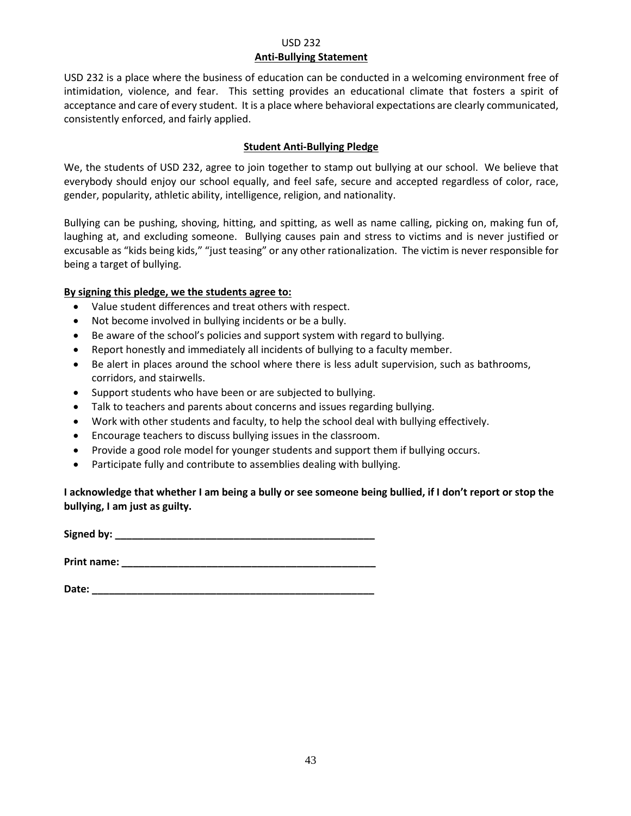#### USD 232 **Anti-Bullying Statement**

USD 232 is a place where the business of education can be conducted in a welcoming environment free of intimidation, violence, and fear. This setting provides an educational climate that fosters a spirit of acceptance and care of every student. It is a place where behavioral expectations are clearly communicated, consistently enforced, and fairly applied.

#### **Student Anti-Bullying Pledge**

We, the students of USD 232, agree to join together to stamp out bullying at our school. We believe that everybody should enjoy our school equally, and feel safe, secure and accepted regardless of color, race, gender, popularity, athletic ability, intelligence, religion, and nationality.

Bullying can be pushing, shoving, hitting, and spitting, as well as name calling, picking on, making fun of, laughing at, and excluding someone. Bullying causes pain and stress to victims and is never justified or excusable as "kids being kids," "just teasing" or any other rationalization. The victim is never responsible for being a target of bullying.

## **By signing this pledge, we the students agree to:**

- Value student differences and treat others with respect.
- Not become involved in bullying incidents or be a bully.
- Be aware of the school's policies and support system with regard to bullying.
- Report honestly and immediately all incidents of bullying to a faculty member.
- Be alert in places around the school where there is less adult supervision, such as bathrooms, corridors, and stairwells.
- Support students who have been or are subjected to bullying.
- Talk to teachers and parents about concerns and issues regarding bullying.
- Work with other students and faculty, to help the school deal with bullying effectively.
- Encourage teachers to discuss bullying issues in the classroom.
- Provide a good role model for younger students and support them if bullying occurs.
- Participate fully and contribute to assemblies dealing with bullying.

## **I acknowledge that whether I am being a bully or see someone being bullied, if I don't report or stop the bullying, I am just as guilty.**

**Signed by: \_\_\_\_\_\_\_\_\_\_\_\_\_\_\_\_\_\_\_\_\_\_\_\_\_\_\_\_\_\_\_\_\_\_\_\_\_\_\_\_\_\_\_\_\_\_**

**Print name: \_\_\_\_\_\_\_\_\_\_\_\_\_\_\_\_\_\_\_\_\_\_\_\_\_\_\_\_\_\_\_\_\_\_\_\_\_\_\_\_\_\_\_\_\_**

**Date: \_\_\_\_\_\_\_\_\_\_\_\_\_\_\_\_\_\_\_\_\_\_\_\_\_\_\_\_\_\_\_\_\_\_\_\_\_\_\_\_\_\_\_\_\_\_\_\_\_\_**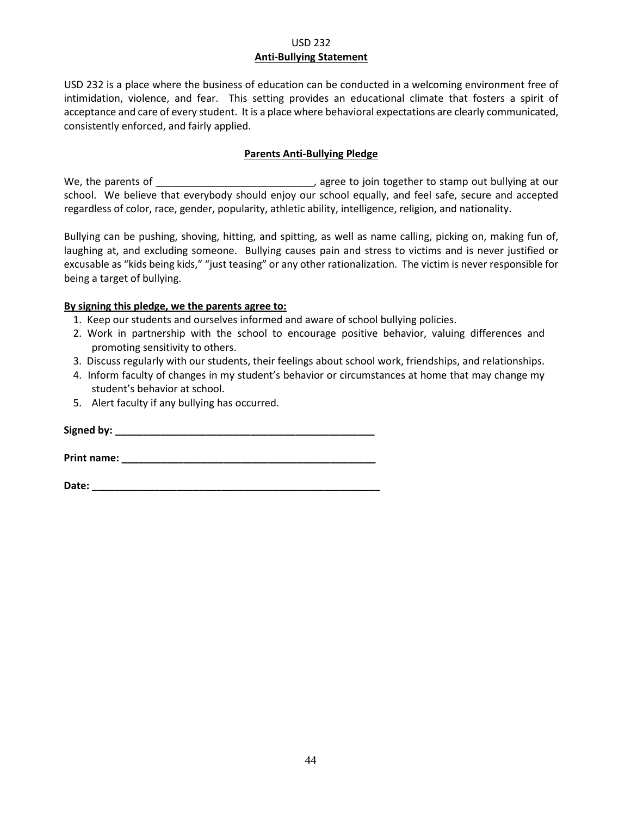#### USD 232 **Anti-Bullying Statement**

USD 232 is a place where the business of education can be conducted in a welcoming environment free of intimidation, violence, and fear. This setting provides an educational climate that fosters a spirit of acceptance and care of every student. It is a place where behavioral expectations are clearly communicated, consistently enforced, and fairly applied.

#### **Parents Anti-Bullying Pledge**

We, the parents of \_\_\_\_\_\_\_\_\_\_\_\_\_\_\_\_\_\_\_\_\_\_\_\_\_\_\_\_, agree to join together to stamp out bullying at our school. We believe that everybody should enjoy our school equally, and feel safe, secure and accepted regardless of color, race, gender, popularity, athletic ability, intelligence, religion, and nationality.

Bullying can be pushing, shoving, hitting, and spitting, as well as name calling, picking on, making fun of, laughing at, and excluding someone. Bullying causes pain and stress to victims and is never justified or excusable as "kids being kids," "just teasing" or any other rationalization. The victim is never responsible for being a target of bullying.

#### **By signing this pledge, we the parents agree to:**

- 1. Keep our students and ourselves informed and aware of school bullying policies.
- 2. Work in partnership with the school to encourage positive behavior, valuing differences and promoting sensitivity to others.
- 3. Discuss regularly with our students, their feelings about school work, friendships, and relationships.
- 4. Inform faculty of changes in my student's behavior or circumstances at home that may change my student's behavior at school.
- 5. Alert faculty if any bullying has occurred.

**Signed by: \_\_\_\_\_\_\_\_\_\_\_\_\_\_\_\_\_\_\_\_\_\_\_\_\_\_\_\_\_\_\_\_\_\_\_\_\_\_\_\_\_\_\_\_\_\_**

**Print name: \_\_\_\_\_\_\_\_\_\_\_\_\_\_\_\_\_\_\_\_\_\_\_\_\_\_\_\_\_\_\_\_\_\_\_\_\_\_\_\_\_\_\_\_\_**

**Date: \_\_\_\_\_\_\_\_\_\_\_\_\_\_\_\_\_\_\_\_\_\_\_\_\_\_\_\_\_\_\_\_\_\_\_\_\_\_\_\_\_\_\_\_\_\_\_\_\_\_\_**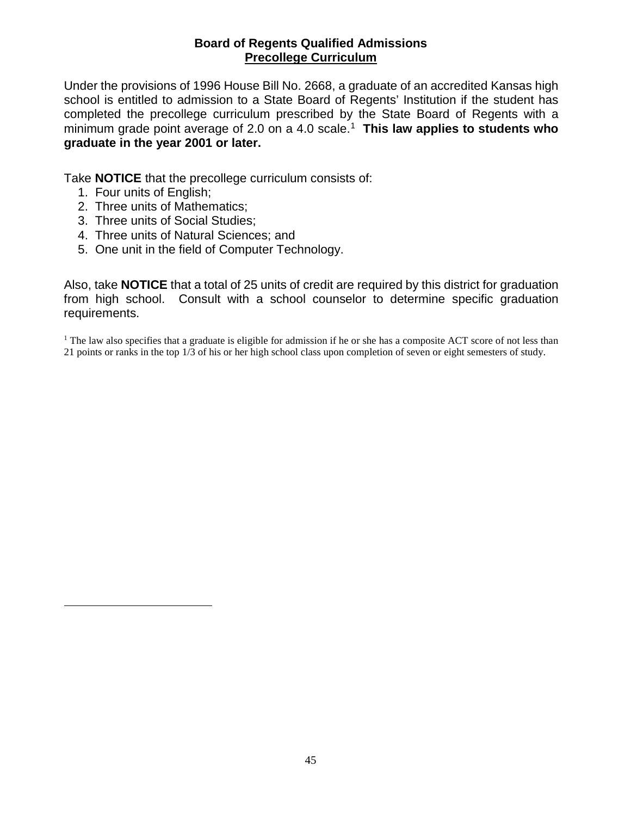## <span id="page-51-0"></span>**Board of Regents Qualified Admissions Precollege Curriculum**

Under the provisions of 1996 House Bill No. 2668, a graduate of an accredited Kansas high school is entitled to admission to a State Board of Regents' Institution if the student has completed the precollege curriculum prescribed by the State Board of Regents with a minimum grade point average of 2.0 on a 4.0 scale.[1](#page-51-1) **This law applies to students who graduate in the year 2001 or later.**

Take **NOTICE** that the precollege curriculum consists of:

1. Four units of English;

<span id="page-51-1"></span> $\overline{a}$ 

- 2. Three units of Mathematics;
- 3. Three units of Social Studies;
- 4. Three units of Natural Sciences; and
- 5. One unit in the field of Computer Technology.

Also, take **NOTICE** that a total of 25 units of credit are required by this district for graduation from high school. Consult with a school counselor to determine specific graduation requirements.

<sup>1</sup> The law also specifies that a graduate is eligible for admission if he or she has a composite ACT score of not less than 21 points or ranks in the top 1/3 of his or her high school class upon completion of seven or eight semesters of study.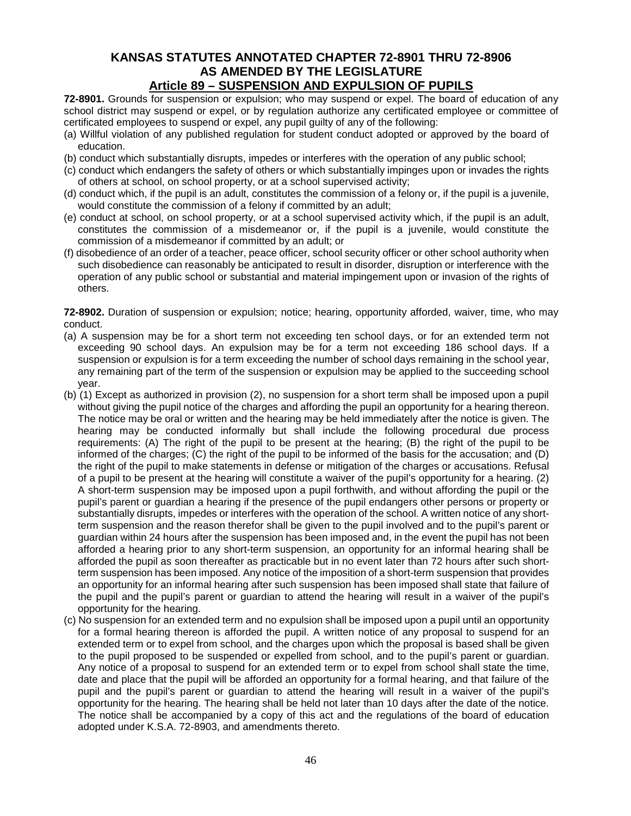## **KANSAS STATUTES ANNOTATED CHAPTER 72-8901 THRU 72-8906 AS AMENDED BY THE LEGISLATURE Article 89 – SUSPENSION AND EXPULSION OF PUPILS**

**72-8901.** Grounds for suspension or expulsion; who may suspend or expel. The board of education of any school district may suspend or expel, or by regulation authorize any certificated employee or committee of certificated employees to suspend or expel, any pupil guilty of any of the following:

- (a) Willful violation of any published regulation for student conduct adopted or approved by the board of education.
- (b) conduct which substantially disrupts, impedes or interferes with the operation of any public school;
- (c) conduct which endangers the safety of others or which substantially impinges upon or invades the rights of others at school, on school property, or at a school supervised activity;
- (d) conduct which, if the pupil is an adult, constitutes the commission of a felony or, if the pupil is a juvenile, would constitute the commission of a felony if committed by an adult;
- (e) conduct at school, on school property, or at a school supervised activity which, if the pupil is an adult, constitutes the commission of a misdemeanor or, if the pupil is a juvenile, would constitute the commission of a misdemeanor if committed by an adult; or
- (f) disobedience of an order of a teacher, peace officer, school security officer or other school authority when such disobedience can reasonably be anticipated to result in disorder, disruption or interference with the operation of any public school or substantial and material impingement upon or invasion of the rights of others.

**72-8902.** Duration of suspension or expulsion; notice; hearing, opportunity afforded, waiver, time, who may conduct.

- (a) A suspension may be for a short term not exceeding ten school days, or for an extended term not exceeding 90 school days. An expulsion may be for a term not exceeding 186 school days. If a suspension or expulsion is for a term exceeding the number of school days remaining in the school year, any remaining part of the term of the suspension or expulsion may be applied to the succeeding school year.
- (b) (1) Except as authorized in provision (2), no suspension for a short term shall be imposed upon a pupil without giving the pupil notice of the charges and affording the pupil an opportunity for a hearing thereon. The notice may be oral or written and the hearing may be held immediately after the notice is given. The hearing may be conducted informally but shall include the following procedural due process requirements: (A) The right of the pupil to be present at the hearing; (B) the right of the pupil to be informed of the charges; (C) the right of the pupil to be informed of the basis for the accusation; and (D) the right of the pupil to make statements in defense or mitigation of the charges or accusations. Refusal of a pupil to be present at the hearing will constitute a waiver of the pupil's opportunity for a hearing. (2) A short-term suspension may be imposed upon a pupil forthwith, and without affording the pupil or the pupil's parent or guardian a hearing if the presence of the pupil endangers other persons or property or substantially disrupts, impedes or interferes with the operation of the school. A written notice of any shortterm suspension and the reason therefor shall be given to the pupil involved and to the pupil's parent or guardian within 24 hours after the suspension has been imposed and, in the event the pupil has not been afforded a hearing prior to any short-term suspension, an opportunity for an informal hearing shall be afforded the pupil as soon thereafter as practicable but in no event later than 72 hours after such shortterm suspension has been imposed. Any notice of the imposition of a short-term suspension that provides an opportunity for an informal hearing after such suspension has been imposed shall state that failure of the pupil and the pupil's parent or guardian to attend the hearing will result in a waiver of the pupil's opportunity for the hearing.
- (c) No suspension for an extended term and no expulsion shall be imposed upon a pupil until an opportunity for a formal hearing thereon is afforded the pupil. A written notice of any proposal to suspend for an extended term or to expel from school, and the charges upon which the proposal is based shall be given to the pupil proposed to be suspended or expelled from school, and to the pupil's parent or guardian. Any notice of a proposal to suspend for an extended term or to expel from school shall state the time, date and place that the pupil will be afforded an opportunity for a formal hearing, and that failure of the pupil and the pupil's parent or guardian to attend the hearing will result in a waiver of the pupil's opportunity for the hearing. The hearing shall be held not later than 10 days after the date of the notice. The notice shall be accompanied by a copy of this act and the regulations of the board of education adopted under K.S.A. 72-8903, and amendments thereto.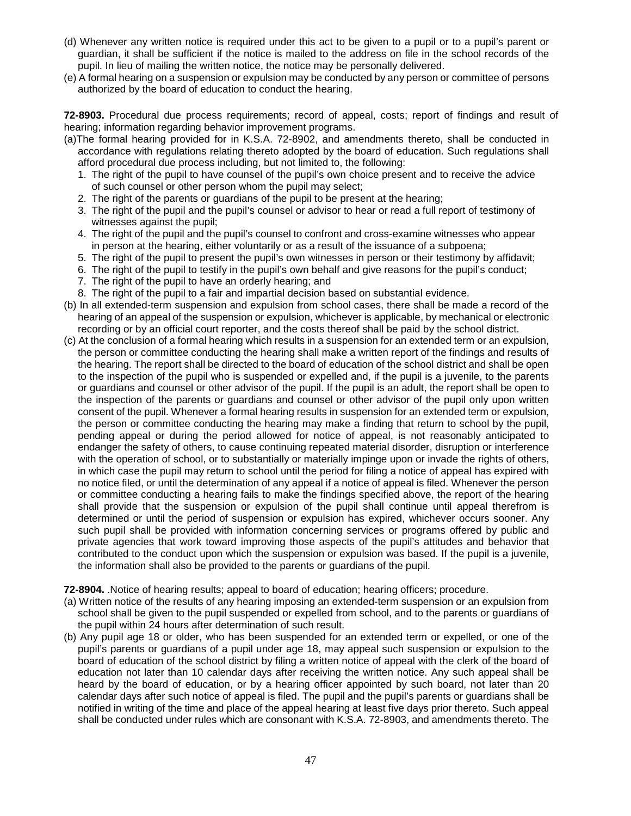- (d) Whenever any written notice is required under this act to be given to a pupil or to a pupil's parent or guardian, it shall be sufficient if the notice is mailed to the address on file in the school records of the pupil. In lieu of mailing the written notice, the notice may be personally delivered.
- (e) A formal hearing on a suspension or expulsion may be conducted by any person or committee of persons authorized by the board of education to conduct the hearing.

**72-8903.** Procedural due process requirements; record of appeal, costs; report of findings and result of hearing; information regarding behavior improvement programs.

- (a)The formal hearing provided for in K.S.A. 72-8902, and amendments thereto, shall be conducted in accordance with regulations relating thereto adopted by the board of education. Such regulations shall afford procedural due process including, but not limited to, the following:
	- 1. The right of the pupil to have counsel of the pupil's own choice present and to receive the advice of such counsel or other person whom the pupil may select;
	- 2. The right of the parents or guardians of the pupil to be present at the hearing;
	- 3. The right of the pupil and the pupil's counsel or advisor to hear or read a full report of testimony of witnesses against the pupil;
	- 4. The right of the pupil and the pupil's counsel to confront and cross-examine witnesses who appear in person at the hearing, either voluntarily or as a result of the issuance of a subpoena;
	- 5. The right of the pupil to present the pupil's own witnesses in person or their testimony by affidavit;
	- 6. The right of the pupil to testify in the pupil's own behalf and give reasons for the pupil's conduct;
	- 7. The right of the pupil to have an orderly hearing; and
	- 8. The right of the pupil to a fair and impartial decision based on substantial evidence.
- (b) In all extended-term suspension and expulsion from school cases, there shall be made a record of the hearing of an appeal of the suspension or expulsion, whichever is applicable, by mechanical or electronic recording or by an official court reporter, and the costs thereof shall be paid by the school district.
- (c) At the conclusion of a formal hearing which results in a suspension for an extended term or an expulsion, the person or committee conducting the hearing shall make a written report of the findings and results of the hearing. The report shall be directed to the board of education of the school district and shall be open to the inspection of the pupil who is suspended or expelled and, if the pupil is a juvenile, to the parents or guardians and counsel or other advisor of the pupil. If the pupil is an adult, the report shall be open to the inspection of the parents or guardians and counsel or other advisor of the pupil only upon written consent of the pupil. Whenever a formal hearing results in suspension for an extended term or expulsion, the person or committee conducting the hearing may make a finding that return to school by the pupil, pending appeal or during the period allowed for notice of appeal, is not reasonably anticipated to endanger the safety of others, to cause continuing repeated material disorder, disruption or interference with the operation of school, or to substantially or materially impinge upon or invade the rights of others, in which case the pupil may return to school until the period for filing a notice of appeal has expired with no notice filed, or until the determination of any appeal if a notice of appeal is filed. Whenever the person or committee conducting a hearing fails to make the findings specified above, the report of the hearing shall provide that the suspension or expulsion of the pupil shall continue until appeal therefrom is determined or until the period of suspension or expulsion has expired, whichever occurs sooner. Any such pupil shall be provided with information concerning services or programs offered by public and private agencies that work toward improving those aspects of the pupil's attitudes and behavior that contributed to the conduct upon which the suspension or expulsion was based. If the pupil is a juvenile, the information shall also be provided to the parents or guardians of the pupil.

**72-8904.** .Notice of hearing results; appeal to board of education; hearing officers; procedure.

- (a) Written notice of the results of any hearing imposing an extended-term suspension or an expulsion from school shall be given to the pupil suspended or expelled from school, and to the parents or guardians of the pupil within 24 hours after determination of such result.
- (b) Any pupil age 18 or older, who has been suspended for an extended term or expelled, or one of the pupil's parents or guardians of a pupil under age 18, may appeal such suspension or expulsion to the board of education of the school district by filing a written notice of appeal with the clerk of the board of education not later than 10 calendar days after receiving the written notice. Any such appeal shall be heard by the board of education, or by a hearing officer appointed by such board, not later than 20 calendar days after such notice of appeal is filed. The pupil and the pupil's parents or guardians shall be notified in writing of the time and place of the appeal hearing at least five days prior thereto. Such appeal shall be conducted under rules which are consonant with K.S.A. 72-8903, and amendments thereto. The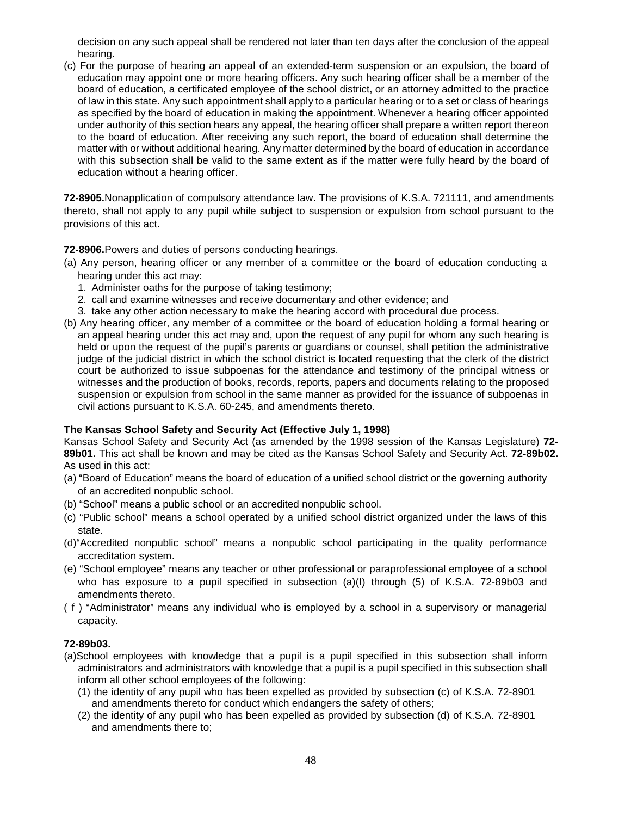decision on any such appeal shall be rendered not later than ten days after the conclusion of the appeal hearing.

(c) For the purpose of hearing an appeal of an extended-term suspension or an expulsion, the board of education may appoint one or more hearing officers. Any such hearing officer shall be a member of the board of education, a certificated employee of the school district, or an attorney admitted to the practice of law in this state. Any such appointment shall apply to a particular hearing or to a set or class of hearings as specified by the board of education in making the appointment. Whenever a hearing officer appointed under authority of this section hears any appeal, the hearing officer shall prepare a written report thereon to the board of education. After receiving any such report, the board of education shall determine the matter with or without additional hearing. Any matter determined by the board of education in accordance with this subsection shall be valid to the same extent as if the matter were fully heard by the board of education without a hearing officer.

**72-8905.**Nonapplication of compulsory attendance law. The provisions of K.S.A. 721111, and amendments thereto, shall not apply to any pupil while subject to suspension or expulsion from school pursuant to the provisions of this act.

**72-8906.**Powers and duties of persons conducting hearings.

- (a) Any person, hearing officer or any member of a committee or the board of education conducting a hearing under this act may:
	- 1. Administer oaths for the purpose of taking testimony;
	- 2. call and examine witnesses and receive documentary and other evidence; and
	- 3. take any other action necessary to make the hearing accord with procedural due process.
- (b) Any hearing officer, any member of a committee or the board of education holding a formal hearing or an appeal hearing under this act may and, upon the request of any pupil for whom any such hearing is held or upon the request of the pupil's parents or guardians or counsel, shall petition the administrative judge of the judicial district in which the school district is located requesting that the clerk of the district court be authorized to issue subpoenas for the attendance and testimony of the principal witness or witnesses and the production of books, records, reports, papers and documents relating to the proposed suspension or expulsion from school in the same manner as provided for the issuance of subpoenas in civil actions pursuant to K.S.A. 60-245, and amendments thereto.

#### **The Kansas School Safety and Security Act (Effective July 1, 1998)**

Kansas School Safety and Security Act (as amended by the 1998 session of the Kansas Legislature) **72- 89b01.** This act shall be known and may be cited as the Kansas School Safety and Security Act. **72-89b02.** As used in this act:

- (a) "Board of Education" means the board of education of a unified school district or the governing authority of an accredited nonpublic school.
- (b) "School" means a public school or an accredited nonpublic school.
- (c) "Public school" means a school operated by a unified school district organized under the laws of this state.
- (d)"Accredited nonpublic school" means a nonpublic school participating in the quality performance accreditation system.
- (e) "School employee" means any teacher or other professional or paraprofessional employee of a school who has exposure to a pupil specified in subsection (a)(I) through (5) of K.S.A. 72-89b03 and amendments thereto.
- ( f ) "Administrator" means any individual who is employed by a school in a supervisory or managerial capacity.

#### **72-89b03.**

- (a)School employees with knowledge that a pupil is a pupil specified in this subsection shall inform administrators and administrators with knowledge that a pupil is a pupil specified in this subsection shall inform all other school employees of the following:
	- (1) the identity of any pupil who has been expelled as provided by subsection (c) of K.S.A. 72-8901 and amendments thereto for conduct which endangers the safety of others;
	- (2) the identity of any pupil who has been expelled as provided by subsection (d) of K.S.A. 72-8901 and amendments there to;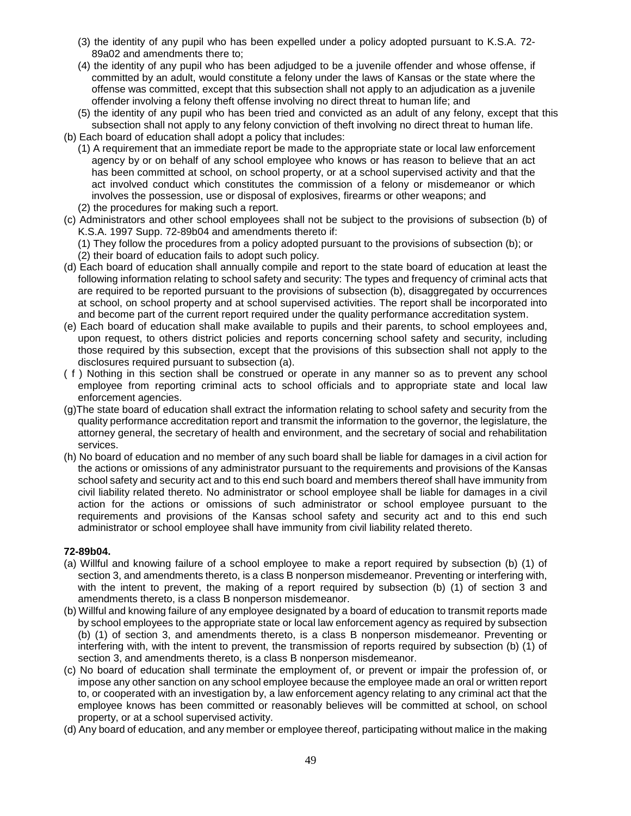- (3) the identity of any pupil who has been expelled under a policy adopted pursuant to K.S.A. 72- 89a02 and amendments there to;
- (4) the identity of any pupil who has been adjudged to be a juvenile offender and whose offense, if committed by an adult, would constitute a felony under the laws of Kansas or the state where the offense was committed, except that this subsection shall not apply to an adjudication as a juvenile offender involving a felony theft offense involving no direct threat to human life; and
- (5) the identity of any pupil who has been tried and convicted as an adult of any felony, except that this subsection shall not apply to any felony conviction of theft involving no direct threat to human life.
- (b) Each board of education shall adopt a policy that includes:
	- (1) A requirement that an immediate report be made to the appropriate state or local law enforcement agency by or on behalf of any school employee who knows or has reason to believe that an act has been committed at school, on school property, or at a school supervised activity and that the act involved conduct which constitutes the commission of a felony or misdemeanor or which involves the possession, use or disposal of explosives, firearms or other weapons; and (2) the procedures for making such a report.
- 
- (c) Administrators and other school employees shall not be subject to the provisions of subsection (b) of K.S.A. 1997 Supp. 72-89b04 and amendments thereto if:

(1) They follow the procedures from a policy adopted pursuant to the provisions of subsection (b); or (2) their board of education fails to adopt such policy.

- (d) Each board of education shall annually compile and report to the state board of education at least the following information relating to school safety and security: The types and frequency of criminal acts that are required to be reported pursuant to the provisions of subsection (b), disaggregated by occurrences at school, on school property and at school supervised activities. The report shall be incorporated into and become part of the current report required under the quality performance accreditation system.
- (e) Each board of education shall make available to pupils and their parents, to school employees and, upon request, to others district policies and reports concerning school safety and security, including those required by this subsection, except that the provisions of this subsection shall not apply to the disclosures required pursuant to subsection (a).
- ( f ) Nothing in this section shall be construed or operate in any manner so as to prevent any school employee from reporting criminal acts to school officials and to appropriate state and local law enforcement agencies.
- (g)The state board of education shall extract the information relating to school safety and security from the quality performance accreditation report and transmit the information to the governor, the legislature, the attorney general, the secretary of health and environment, and the secretary of social and rehabilitation services.
- (h) No board of education and no member of any such board shall be liable for damages in a civil action for the actions or omissions of any administrator pursuant to the requirements and provisions of the Kansas school safety and security act and to this end such board and members thereof shall have immunity from civil liability related thereto. No administrator or school employee shall be liable for damages in a civil action for the actions or omissions of such administrator or school employee pursuant to the requirements and provisions of the Kansas school safety and security act and to this end such administrator or school employee shall have immunity from civil liability related thereto.

#### **72-89b04.**

- (a) Willful and knowing failure of a school employee to make a report required by subsection (b) (1) of section 3, and amendments thereto, is a class B nonperson misdemeanor. Preventing or interfering with, with the intent to prevent, the making of a report required by subsection (b) (1) of section 3 and amendments thereto, is a class B nonperson misdemeanor.
- (b) Willful and knowing failure of any employee designated by a board of education to transmit reports made by school employees to the appropriate state or local law enforcement agency as required by subsection (b) (1) of section 3, and amendments thereto, is a class B nonperson misdemeanor. Preventing or interfering with, with the intent to prevent, the transmission of reports required by subsection (b) (1) of section 3, and amendments thereto, is a class B nonperson misdemeanor.
- (c) No board of education shall terminate the employment of, or prevent or impair the profession of, or impose any other sanction on any school employee because the employee made an oral or written report to, or cooperated with an investigation by, a law enforcement agency relating to any criminal act that the employee knows has been committed or reasonably believes will be committed at school, on school property, or at a school supervised activity.
- (d) Any board of education, and any member or employee thereof, participating without malice in the making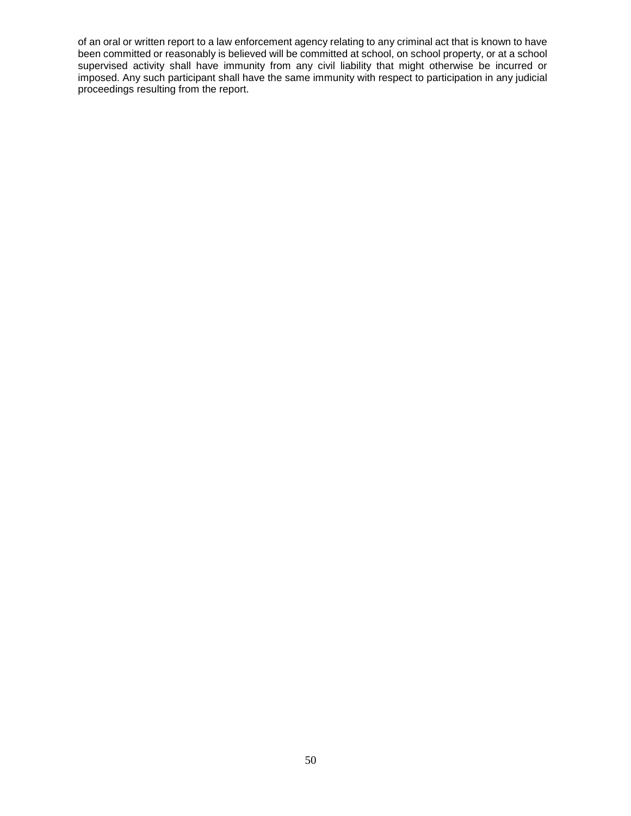of an oral or written report to a law enforcement agency relating to any criminal act that is known to have been committed or reasonably is believed will be committed at school, on school property, or at a school supervised activity shall have immunity from any civil liability that might otherwise be incurred or imposed. Any such participant shall have the same immunity with respect to participation in any judicial proceedings resulting from the report.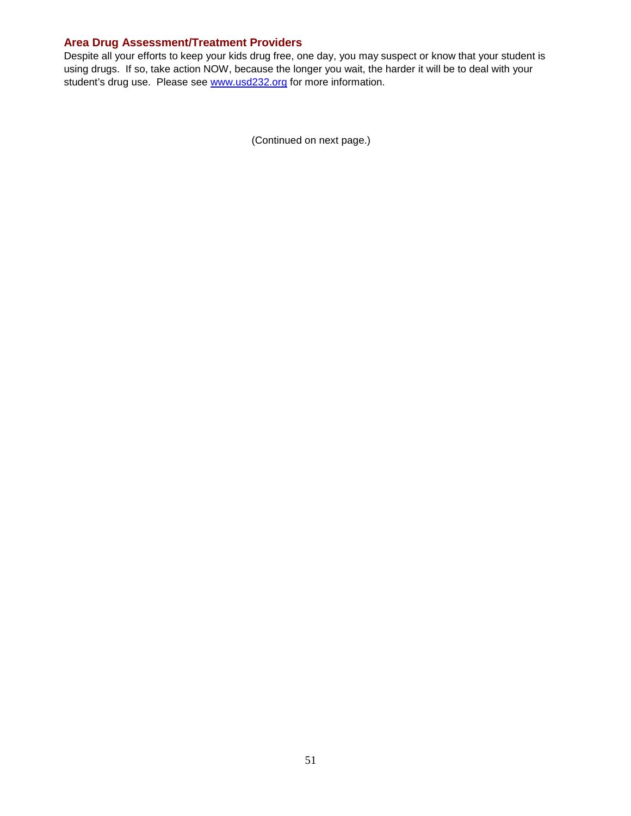## **Area Drug Assessment/Treatment Providers**

Despite all your efforts to keep your kids drug free, one day, you may suspect or know that your student is using drugs. If so, take action NOW, because the longer you wait, the harder it will be to deal with your student's drug use. Please see [www.usd232.org](http://www.usd232.org/) for more information.

<span id="page-57-0"></span>(Continued on next page.)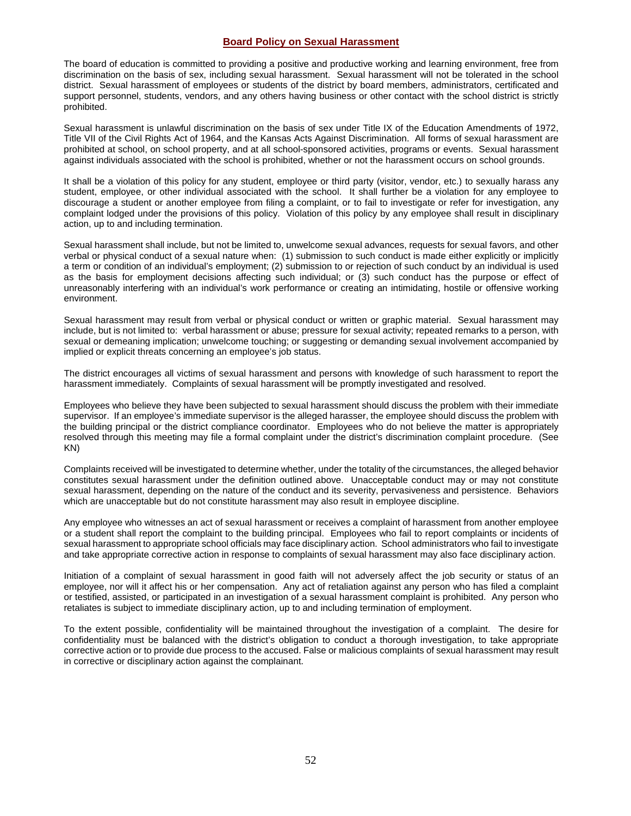#### **Board Policy on Sexual Harassment**

The board of education is committed to providing a positive and productive working and learning environment, free from discrimination on the basis of sex, including sexual harassment. Sexual harassment will not be tolerated in the school district. Sexual harassment of employees or students of the district by board members, administrators, certificated and support personnel, students, vendors, and any others having business or other contact with the school district is strictly prohibited.

Sexual harassment is unlawful discrimination on the basis of sex under Title IX of the Education Amendments of 1972, Title VII of the Civil Rights Act of 1964, and the Kansas Acts Against Discrimination. All forms of sexual harassment are prohibited at school, on school property, and at all school-sponsored activities, programs or events. Sexual harassment against individuals associated with the school is prohibited, whether or not the harassment occurs on school grounds.

It shall be a violation of this policy for any student, employee or third party (visitor, vendor, etc.) to sexually harass any student, employee, or other individual associated with the school. It shall further be a violation for any employee to discourage a student or another employee from filing a complaint, or to fail to investigate or refer for investigation, any complaint lodged under the provisions of this policy. Violation of this policy by any employee shall result in disciplinary action, up to and including termination.

Sexual harassment shall include, but not be limited to, unwelcome sexual advances, requests for sexual favors, and other verbal or physical conduct of a sexual nature when: (1) submission to such conduct is made either explicitly or implicitly a term or condition of an individual's employment; (2) submission to or rejection of such conduct by an individual is used as the basis for employment decisions affecting such individual; or (3) such conduct has the purpose or effect of unreasonably interfering with an individual's work performance or creating an intimidating, hostile or offensive working environment.

Sexual harassment may result from verbal or physical conduct or written or graphic material. Sexual harassment may include, but is not limited to: verbal harassment or abuse; pressure for sexual activity; repeated remarks to a person, with sexual or demeaning implication; unwelcome touching; or suggesting or demanding sexual involvement accompanied by implied or explicit threats concerning an employee's job status.

The district encourages all victims of sexual harassment and persons with knowledge of such harassment to report the harassment immediately. Complaints of sexual harassment will be promptly investigated and resolved.

Employees who believe they have been subjected to sexual harassment should discuss the problem with their immediate supervisor. If an employee's immediate supervisor is the alleged harasser, the employee should discuss the problem with the building principal or the district compliance coordinator. Employees who do not believe the matter is appropriately resolved through this meeting may file a formal complaint under the district's discrimination complaint procedure. (See KN)

Complaints received will be investigated to determine whether, under the totality of the circumstances, the alleged behavior constitutes sexual harassment under the definition outlined above. Unacceptable conduct may or may not constitute sexual harassment, depending on the nature of the conduct and its severity, pervasiveness and persistence. Behaviors which are unacceptable but do not constitute harassment may also result in employee discipline.

Any employee who witnesses an act of sexual harassment or receives a complaint of harassment from another employee or a student shall report the complaint to the building principal. Employees who fail to report complaints or incidents of sexual harassment to appropriate school officials may face disciplinary action. School administrators who fail to investigate and take appropriate corrective action in response to complaints of sexual harassment may also face disciplinary action.

Initiation of a complaint of sexual harassment in good faith will not adversely affect the job security or status of an employee, nor will it affect his or her compensation. Any act of retaliation against any person who has filed a complaint or testified, assisted, or participated in an investigation of a sexual harassment complaint is prohibited. Any person who retaliates is subject to immediate disciplinary action, up to and including termination of employment.

To the extent possible, confidentiality will be maintained throughout the investigation of a complaint. The desire for confidentiality must be balanced with the district's obligation to conduct a thorough investigation, to take appropriate corrective action or to provide due process to the accused. False or malicious complaints of sexual harassment may result in corrective or disciplinary action against the complainant.